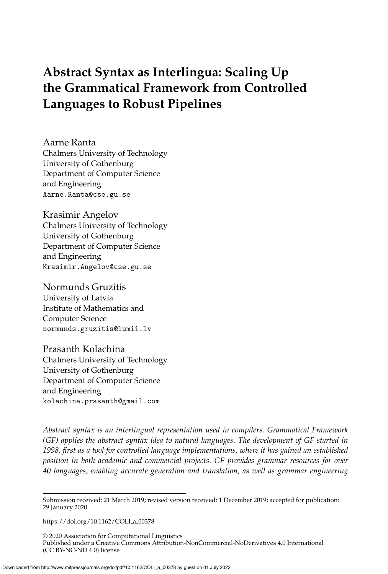# <span id="page-0-0"></span>**Abstract Syntax as Interlingua: Scaling Up the Grammatical Framework from Controlled Languages to Robust Pipelines**

Aarne Ranta Chalmers University of Technology University of Gothenburg Department of Computer Science and Engineering Aarne.Ranta@cse.gu.se

Krasimir Angelov Chalmers University of Technology University of Gothenburg Department of Computer Science and Engineering Krasimir.Angelov@cse.gu.se

Normunds Gruzitis University of Latvia Institute of Mathematics and Computer Science normunds.gruzitis@lumii.lv

Prasanth Kolachina Chalmers University of Technology University of Gothenburg Department of Computer Science and Engineering kolachina.prasanth@gmail.com

*Abstract syntax is an interlingual representation used in compilers. Grammatical Framework (GF) applies the abstract syntax idea to natural languages. The development of GF started in 1998, first as a tool for controlled language implementations, where it has gained an established position in both academic and commercial projects. GF provides grammar resources for over 40 languages, enabling accurate generation and translation, as well as grammar engineering*

[https://doi.org/10.1162/COLI](https://doi.org/10.1162/COLI_a_00378)\_a\_00378

© 2020 Association for Computational Linguistics Published under a Creative Commons Attribution-NonCommercial-NoDerivatives 4.0 International (CC BY-NC-ND 4.0) license

Submission received: 21 March 2019; revised version received: 1 December 2019; accepted for publication: 29 January 2020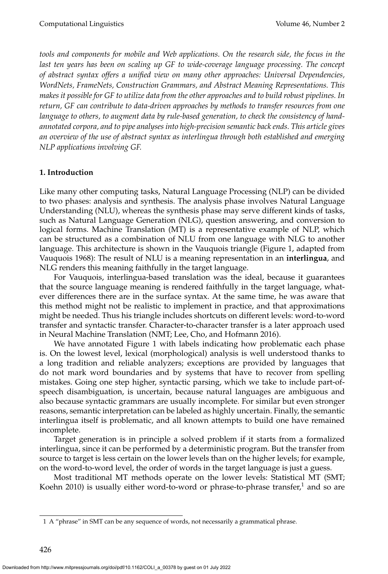*tools and components for mobile and Web applications. On the research side, the focus in the* last ten years has been on scaling up GF to wide-coverage language processing. The concept *of abstract syntax offers a unified view on many other approaches: Universal Dependencies, WordNets, FrameNets, Construction Grammars, and Abstract Meaning Representations. This makes it possible for GF to utilize data from the other approaches and to build robust pipelines. In return, GF can contribute to data-driven approaches by methods to transfer resources from one language to others, to augment data by rule-based generation, to check the consistency of handannotated corpora, and to pipe analyses into high-precision semantic back ends. This article gives an overview of the use of abstract syntax as interlingua through both established and emerging NLP applications involving GF.*

# **1. Introduction**

Like many other computing tasks, Natural Language Processing (NLP) can be divided to two phases: analysis and synthesis. The analysis phase involves Natural Language Understanding (NLU), whereas the synthesis phase may serve different kinds of tasks, such as Natural Language Generation (NLG), question answering, and conversion to logical forms. Machine Translation (MT) is a representative example of NLP, which can be structured as a combination of NLU from one language with NLG to another language. This architecture is shown in the Vauquois triangle (Figure [1,](#page-2-0) adapted from Vauquois [1968\)](#page-0-0): The result of NLU is a meaning representation in an **interlingua**, and NLG renders this meaning faithfully in the target language.

For Vauquois, interlingua-based translation was the ideal, because it guarantees that the source language meaning is rendered faithfully in the target language, whatever differences there are in the surface syntax. At the same time, he was aware that this method might not be realistic to implement in practice, and that approximations might be needed. Thus his triangle includes shortcuts on different levels: word-to-word transfer and syntactic transfer. Character-to-character transfer is a later approach used in Neural Machine Translation (NMT; Lee, Cho, and Hofmann [2016\)](#page-0-0).

We have annotated Figure [1](#page-2-0) with labels indicating how problematic each phase is. On the lowest level, lexical (morphological) analysis is well understood thanks to a long tradition and reliable analyzers; exceptions are provided by languages that do not mark word boundaries and by systems that have to recover from spelling mistakes. Going one step higher, syntactic parsing, which we take to include part-ofspeech disambiguation, is uncertain, because natural languages are ambiguous and also because syntactic grammars are usually incomplete. For similar but even stronger reasons, semantic interpretation can be labeled as highly uncertain. Finally, the semantic interlingua itself is problematic, and all known attempts to build one have remained incomplete.

Target generation is in principle a solved problem if it starts from a formalized interlingua, since it can be performed by a deterministic program. But the transfer from source to target is less certain on the lower levels than on the higher levels; for example, on the word-to-word level, the order of words in the target language is just a guess.

Most traditional MT methods operate on the lower levels: Statistical MT (SMT; Koehn [2010\)](#page-0-0) is usually either word-to-word or phrase-to-phrase transfer, $^1$  $^1$  and so are

<span id="page-1-0"></span><sup>1</sup> A "phrase" in SMT can be any sequence of words, not necessarily a grammatical phrase.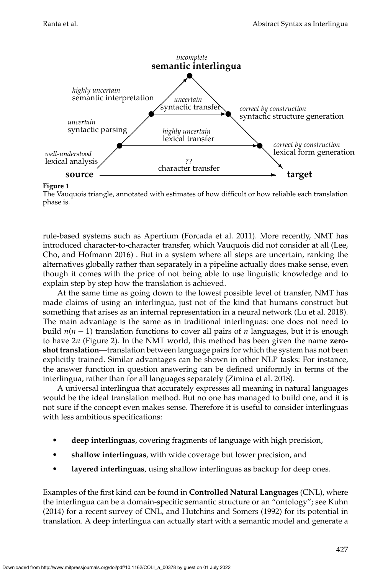

**Figure 1**

<span id="page-2-0"></span>The Vauquois triangle, annotated with estimates of how difficult or how reliable each translation phase is.

rule-based systems such as Apertium [\(Forcada et al. 2011\)](#page-0-0). More recently, NMT has introduced character-to-character transfer, which Vauquois did not consider at all [\(Lee,](#page-0-0) [Cho, and Hofmann 2016\)](#page-0-0) . But in a system where all steps are uncertain, ranking the alternatives globally rather than separately in a pipeline actually does make sense, even though it comes with the price of not being able to use linguistic knowledge and to explain step by step how the translation is achieved.

At the same time as going down to the lowest possible level of transfer, NMT has made claims of using an interlingua, just not of the kind that humans construct but something that arises as an internal representation in a neural network [\(Lu et al. 2018\)](#page-0-0). The main advantage is the same as in traditional interlinguas: one does not need to build  $n(n-1)$  translation functions to cover all pairs of *n* languages, but it is enough to have 2*n* (Figure [2\)](#page-3-0). In the NMT world, this method has been given the name **zeroshot translation**—translation between language pairs for which the system has not been explicitly trained. Similar advantages can be shown in other NLP tasks: For instance, the answer function in question answering can be defined uniformly in terms of the interlingua, rather than for all languages separately [\(Zimina et al. 2018\)](#page-0-0).

A universal interlingua that accurately expresses all meaning in natural languages would be the ideal translation method. But no one has managed to build one, and it is not sure if the concept even makes sense. Therefore it is useful to consider interlinguas with less ambitious specifications:

- **deep interlinguas**, covering fragments of language with high precision,
- **shallow interlinguas**, with wide coverage but lower precision, and
- **layered interlinguas**, using shallow interlinguas as backup for deep ones.

Examples of the first kind can be found in **Controlled Natural Languages** (CNL), where the interlingua can be a domain-specific semantic structure or an "ontology"; see [Kuhn](#page-0-0) [\(2014\)](#page-0-0) for a recent survey of CNL, and [Hutchins and Somers \(1992\)](#page-0-0) for its potential in translation. A deep interlingua can actually start with a semantic model and generate a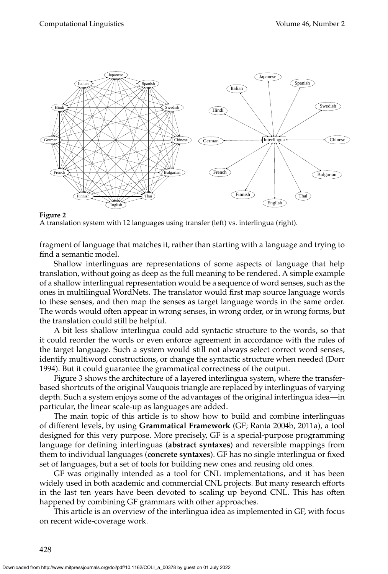

<span id="page-3-0"></span>A translation system with 12 languages using transfer (left) vs. interlingua (right).

fragment of language that matches it, rather than starting with a language and trying to find a semantic model.

Shallow interlinguas are representations of some aspects of language that help translation, without going as deep as the full meaning to be rendered. A simple example of a shallow interlingual representation would be a sequence of word senses, such as the ones in multilingual WordNets. The translator would first map source language words to these senses, and then map the senses as target language words in the same order. The words would often appear in wrong senses, in wrong order, or in wrong forms, but the translation could still be helpful.

A bit less shallow interlingua could add syntactic structure to the words, so that it could reorder the words or even enforce agreement in accordance with the rules of the target language. Such a system would still not always select correct word senses, identify multiword constructions, or change the syntactic structure when needed [\(Dorr](#page-0-0) [1994\)](#page-0-0). But it could guarantee the grammatical correctness of the output.

Figure [3](#page-4-0) shows the architecture of a layered interlingua system, where the transferbased shortcuts of the original Vauquois triangle are replaced by interlinguas of varying depth. Such a system enjoys some of the advantages of the original interlingua idea—in particular, the linear scale-up as languages are added.

The main topic of this article is to show how to build and combine interlinguas of different levels, by using **Grammatical Framework** (GF; Ranta [2004b, 2011a\)](#page-0-0), a tool designed for this very purpose. More precisely, GF is a special-purpose programming language for defining interlinguas (**abstract syntaxes**) and reversible mappings from them to individual languages (**concrete syntaxes**). GF has no single interlingua or fixed set of languages, but a set of tools for building new ones and reusing old ones.

GF was originally intended as a tool for CNL implementations, and it has been widely used in both academic and commercial CNL projects. But many research efforts in the last ten years have been devoted to scaling up beyond CNL. This has often happened by combining GF grammars with other approaches.

This article is an overview of the interlingua idea as implemented in GF, with focus on recent wide-coverage work.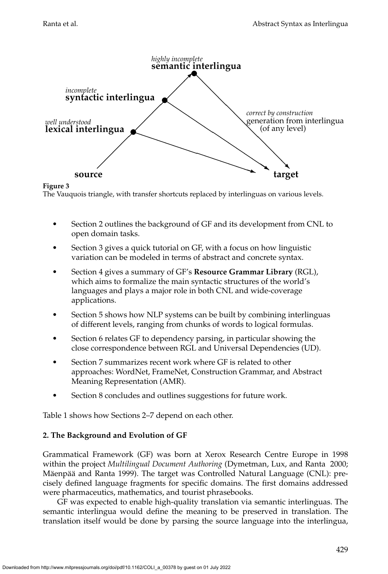

<span id="page-4-0"></span>**Figure 3** The Vauquois triangle, with transfer shortcuts replaced by interlinguas on various levels.

- Section [2](#page-4-1) outlines the background of GF and its development from CNL to open domain tasks.
- Section [3](#page-9-0) gives a quick tutorial on GF, with a focus on how linguistic variation can be modeled in terms of abstract and concrete syntax.
- Section [4](#page-19-0) gives a summary of GF's **Resource Grammar Library** (RGL), which aims to formalize the main syntactic structures of the world's languages and plays a major role in both CNL and wide-coverage applications.
- Section [5](#page-27-0) shows how NLP systems can be built by combining interlinguas of different levels, ranging from chunks of words to logical formulas.
- Section [6](#page-33-0) relates GF to dependency parsing, in particular showing the close correspondence between RGL and Universal Dependencies (UD).
- Section [7](#page-41-0) summarizes recent work where GF is related to other approaches: WordNet, FrameNet, Construction Grammar, and Abstract Meaning Representation (AMR).
- Section [8](#page-53-0) concludes and outlines suggestions for future work.

Table [1](#page-5-0) shows how Sections 2–7 depend on each other.

# <span id="page-4-1"></span>**2. The Background and Evolution of GF**

Grammatical Framework (GF) was born at Xerox Research Centre Europe in 1998 within the project *Multilingual Document Authoring* [\(Dymetman, Lux, and Ranta 2000;](#page-0-0) Mäenpää and Ranta 1999). The target was Controlled Natural Language (CNL): precisely defined language fragments for specific domains. The first domains addressed were pharmaceutics, mathematics, and tourist phrasebooks.

GF was expected to enable high-quality translation via semantic interlinguas. The semantic interlingua would define the meaning to be preserved in translation. The translation itself would be done by parsing the source language into the interlingua,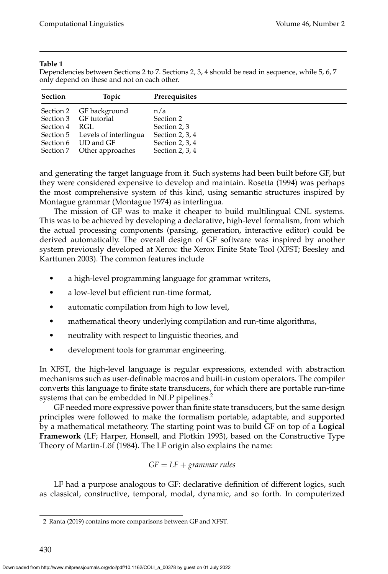#### **Table 1**

<span id="page-5-0"></span>Dependencies between Sections 2 to 7. Sections 2, 3, 4 should be read in sequence, while 5, 6, 7 only depend on these and not on each other.

| <b>Section</b> | Topic                           | <b>Prerequisites</b> |
|----------------|---------------------------------|----------------------|
|                | Section 2 GF background         | n/a                  |
|                | Section 3 GF tutorial           | Section 2            |
| Section 4 RGL  |                                 | Section 2, 3         |
|                | Section 5 Levels of interlingua | Section 2, 3, $4$    |
|                | Section 6 UD and GF             | Section 2, 3, $4$    |
|                | Section 7 Other approaches      | Section 2, $3, 4$    |

and generating the target language from it. Such systems had been built before GF, but they were considered expensive to develop and maintain. [Rosetta \(1994\)](#page-0-0) was perhaps the most comprehensive system of this kind, using semantic structures inspired by Montague grammar [\(Montague 1974\)](#page-0-0) as interlingua.

The mission of GF was to make it cheaper to build multilingual CNL systems. This was to be achieved by developing a declarative, high-level formalism, from which the actual processing components (parsing, generation, interactive editor) could be derived automatically. The overall design of GF software was inspired by another system previously developed at Xerox: the Xerox Finite State Tool (XFST; Beesley and Karttunen [2003\)](#page-0-0). The common features include

- a high-level programming language for grammar writers,
- a low-level but efficient run-time format,
- automatic compilation from high to low level,
- mathematical theory underlying compilation and run-time algorithms,
- neutrality with respect to linguistic theories, and
- development tools for grammar engineering.

In XFST, the high-level language is regular expressions, extended with abstraction mechanisms such as user-definable macros and built-in custom operators. The compiler converts this language to finite state transducers, for which there are portable run-time systems that can be embedded in NLP pipelines.<sup>[2](#page-5-1)</sup>

GF needed more expressive power than finite state transducers, but the same design principles were followed to make the formalism portable, adaptable, and supported by a mathematical metatheory. The starting point was to build GF on top of a **Logical Framework** (LF; Harper, Honsell, and Plotkin [1993\)](#page-0-0), based on the Constructive Type Theory of Martin-Löf (1984). The LF origin also explains the name:

$$
GF = LF + grammar
$$
 rules

LF had a purpose analogous to GF: declarative definition of different logics, such as classical, constructive, temporal, modal, dynamic, and so forth. In computerized

<span id="page-5-1"></span><sup>2</sup> [Ranta \(2019\)](#page-0-0) contains more comparisons between GF and XFST.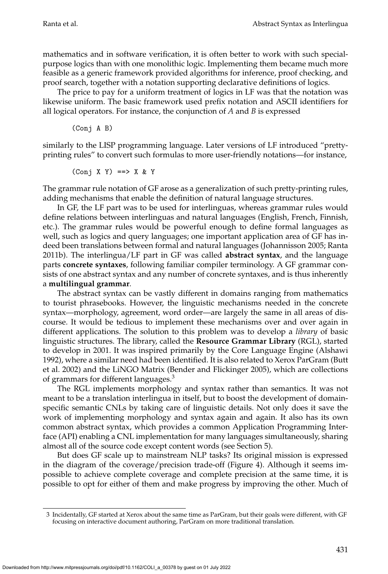mathematics and in software verification, it is often better to work with such specialpurpose logics than with one monolithic logic. Implementing them became much more feasible as a generic framework provided algorithms for inference, proof checking, and proof search, together with a notation supporting declarative definitions of logics.

The price to pay for a uniform treatment of logics in LF was that the notation was likewise uniform. The basic framework used prefix notation and ASCII identifiers for all logical operators. For instance, the conjunction of *A* and *B* is expressed

(Conj A B)

similarly to the LISP programming language. Later versions of LF introduced "prettyprinting rules" to convert such formulas to more user-friendly notations—for instance,

$$
(Conj X Y) \implies X & Y
$$

The grammar rule notation of GF arose as a generalization of such pretty-printing rules, adding mechanisms that enable the definition of natural language structures.

In GF, the LF part was to be used for interlinguas, whereas grammar rules would define relations between interlinguas and natural languages (English, French, Finnish, etc.). The grammar rules would be powerful enough to define formal languages as well, such as logics and query languages; one important application area of GF has indeed been translations between formal and natural languages [\(Johannisson 2005; Ranta](#page-0-0) [2011b\)](#page-0-0). The interlingua/LF part in GF was called **abstract syntax**, and the language parts **concrete syntaxes**, following familiar compiler terminology. A GF grammar consists of one abstract syntax and any number of concrete syntaxes, and is thus inherently a **multilingual grammar**.

The abstract syntax can be vastly different in domains ranging from mathematics to tourist phrasebooks. However, the linguistic mechanisms needed in the concrete syntax—morphology, agreement, word order—are largely the same in all areas of discourse. It would be tedious to implement these mechanisms over and over again in different applications. The solution to this problem was to develop a *library* of basic linguistic structures. The library, called the **Resource Grammar Library** (RGL), started to develop in 2001. It was inspired primarily by the Core Language Engine [\(Alshawi](#page-0-0) [1992\)](#page-0-0), where a similar need had been identified. It is also related to Xerox ParGram [\(Butt](#page-0-0) [et al. 2002\)](#page-0-0) and the LiNGO Matrix [\(Bender and Flickinger 2005\)](#page-0-0), which are collections of grammars for different languages.<sup>[3](#page-6-0)</sup>

The RGL implements morphology and syntax rather than semantics. It was not meant to be a translation interlingua in itself, but to boost the development of domainspecific semantic CNLs by taking care of linguistic details. Not only does it save the work of implementing morphology and syntax again and again. It also has its own common abstract syntax, which provides a common Application Programming Interface (API) enabling a CNL implementation for many languages simultaneously, sharing almost all of the source code except content words (see Section [5\)](#page-27-0).

But does GF scale up to mainstream NLP tasks? Its original mission is expressed in the diagram of the coverage/precision trade-off (Figure [4\)](#page-7-0). Although it seems impossible to achieve complete coverage and complete precision at the same time, it is possible to opt for either of them and make progress by improving the other. Much of

<span id="page-6-0"></span><sup>3</sup> Incidentally, GF started at Xerox about the same time as ParGram, but their goals were different, with GF focusing on interactive document authoring, ParGram on more traditional translation.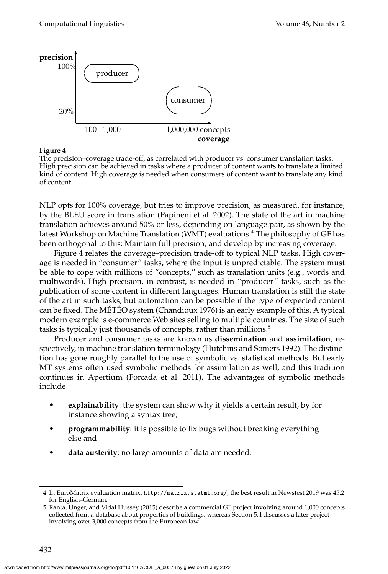

<span id="page-7-0"></span>The precision–coverage trade-off, as correlated with producer vs. consumer translation tasks. High precision can be achieved in tasks where a producer of content wants to translate a limited kind of content. High coverage is needed when consumers of content want to translate any kind of content.

NLP opts for 100% coverage, but tries to improve precision, as measured, for instance, by the BLEU score in translation [\(Papineni et al. 2002\)](#page-0-0). The state of the art in machine translation achieves around 50% or less, depending on language pair, as shown by the latest Workshop on Machine Translation (WMT) evaluations.<sup>[4](#page-7-1)</sup> The philosophy of GF has been orthogonal to this: Maintain full precision, and develop by increasing coverage.

Figure [4](#page-7-0) relates the coverage–precision trade-off to typical NLP tasks. High coverage is needed in "consumer" tasks, where the input is unpredictable. The system must be able to cope with millions of "concepts," such as translation units (e.g., words and multiwords). High precision, in contrast, is needed in "producer" tasks, such as the publication of some content in different languages. Human translation is still the state of the art in such tasks, but automation can be possible if the type of expected content can be fixed. The MÉTÉO system [\(Chandioux 1976\)](#page-0-0) is an early example of this. A typical modern example is e-commerce Web sites selling to multiple countries. The size of such tasks is typically just thousands of concepts, rather than millions.<sup>[5](#page-7-2)</sup>

Producer and consumer tasks are known as **dissemination** and **assimilation**, respectively, in machine translation terminology [\(Hutchins and Somers 1992\)](#page-0-0). The distinction has gone roughly parallel to the use of symbolic vs. statistical methods. But early MT systems often used symbolic methods for assimilation as well, and this tradition continues in Apertium [\(Forcada et al. 2011\)](#page-0-0). The advantages of symbolic methods include

- **explainability**: the system can show why it yields a certain result, by for instance showing a syntax tree;
- **programmability**: it is possible to fix bugs without breaking everything else and
- **data austerity**: no large amounts of data are needed.

<span id="page-7-1"></span><sup>4</sup> In EuroMatrix evaluation matrix, <http://matrix.statmt.org/>, the best result in Newstest 2019 was 45.2 for English–German.

<span id="page-7-2"></span><sup>5</sup> [Ranta, Unger, and Vidal Hussey \(2015\)](#page-0-0) describe a commercial GF project involving around 1,000 concepts collected from a database about properties of buildings, whereas Section [5.4](#page-31-0) discusses a later project involving over 3,000 concepts from the European law.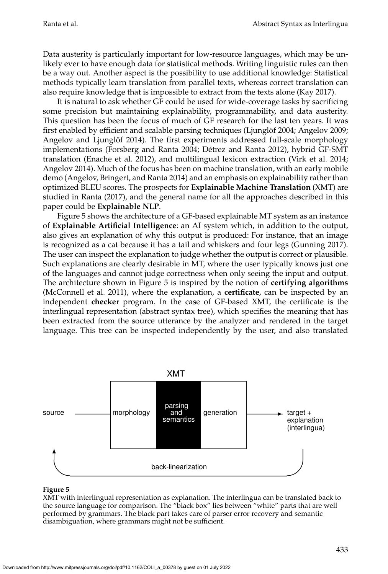Data austerity is particularly important for low-resource languages, which may be unlikely ever to have enough data for statistical methods. Writing linguistic rules can then be a way out. Another aspect is the possibility to use additional knowledge: Statistical methods typically learn translation from parallel texts, whereas correct translation can also require knowledge that is impossible to extract from the texts alone [\(Kay 2017\)](#page-0-0).

It is natural to ask whether GF could be used for wide-coverage tasks by sacrificing some precision but maintaining explainability, programmability, and data austerity. This question has been the focus of much of GF research for the last ten years. It was first enabled by efficient and scalable parsing techniques (Ljunglöf 2004; Angelov 2009; Angelov and Ljunglöf 2014). The first experiments addressed full-scale morphology implementations [\(Forsberg and Ranta 2004; Detrez and Ranta 2012\)](#page-0-0), hybrid GF-SMT ´ translation [\(Enache et al. 2012\)](#page-0-0), and multilingual lexicon extraction [\(Virk et al. 2014;](#page-0-0) [Angelov 2014\)](#page-0-0). Much of the focus has been on machine translation, with an early mobile demo [\(Angelov, Bringert, and Ranta 2014\)](#page-0-0) and an emphasis on explainability rather than optimized BLEU scores. The prospects for **Explainable Machine Translation** (XMT) are studied in [Ranta \(2017\)](#page-0-0), and the general name for all the approaches described in this paper could be **Explainable NLP**.

Figure [5](#page-8-0) shows the architecture of a GF-based explainable MT system as an instance of **Explainable Artificial Intelligence**: an AI system which, in addition to the output, also gives an explanation of why this output is produced: For instance, that an image is recognized as a cat because it has a tail and whiskers and four legs [\(Gunning 2017\)](#page-0-0). The user can inspect the explanation to judge whether the output is correct or plausible. Such explanations are clearly desirable in MT, where the user typically knows just one of the languages and cannot judge correctness when only seeing the input and output. The architecture shown in Figure [5](#page-8-0) is inspired by the notion of **certifying algorithms** [\(McConnell et al. 2011\)](#page-0-0), where the explanation, a **certificate**, can be inspected by an independent **checker** program. In the case of GF-based XMT, the certificate is the interlingual representation (abstract syntax tree), which specifies the meaning that has been extracted from the source utterance by the analyzer and rendered in the target language. This tree can be inspected independently by the user, and also translated



#### **Figure 5**

<span id="page-8-0"></span>XMT with interlingual representation as explanation. The interlingua can be translated back to the source language for comparison. The "black box" lies between "white" parts that are well performed by grammars. The black part takes care of parser error recovery and semantic disambiguation, where grammars might not be sufficient.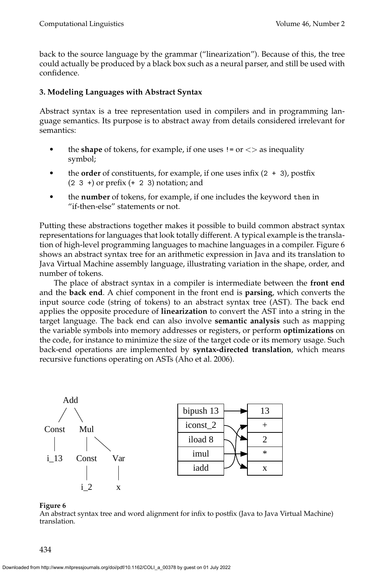back to the source language by the grammar ("linearization"). Because of this, the tree could actually be produced by a black box such as a neural parser, and still be used with confidence.

# <span id="page-9-0"></span>**3. Modeling Languages with Abstract Syntax**

Abstract syntax is a tree representation used in compilers and in programming language semantics. Its purpose is to abstract away from details considered irrelevant for semantics:

- the **shape** of tokens, for example, if one uses  $!=$  or  $\lt$  as inequality symbol;
- the **order** of constituents, for example, if one uses infix  $(2 + 3)$ , postfix  $(2 \ 3 \ +)$  or prefix  $(+ 2 \ 3)$  notation; and
- the **number** of tokens, for example, if one includes the keyword then in "if-then-else" statements or not.

Putting these abstractions together makes it possible to build common abstract syntax representations for languages that look totally different. A typical example is the translation of high-level programming languages to machine languages in a compiler. Figure [6](#page-9-1) shows an abstract syntax tree for an arithmetic expression in Java and its translation to Java Virtual Machine assembly language, illustrating variation in the shape, order, and number of tokens.

The place of abstract syntax in a compiler is intermediate between the **front end** and the **back end**. A chief component in the front end is **parsing**, which converts the input source code (string of tokens) to an abstract syntax tree (AST). The back end applies the opposite procedure of **linearization** to convert the AST into a string in the target language. The back end can also involve **semantic analysis** such as mapping the variable symbols into memory addresses or registers, or perform **optimizations** on the code, for instance to minimize the size of the target code or its memory usage. Such back-end operations are implemented by **syntax-directed translation**, which means recursive functions operating on ASTs [\(Aho et al. 2006\)](#page-0-0).



# **Figure 6**

<span id="page-9-1"></span>An abstract syntax tree and word alignment for infix to postfix (Java to Java Virtual Machine) translation.

434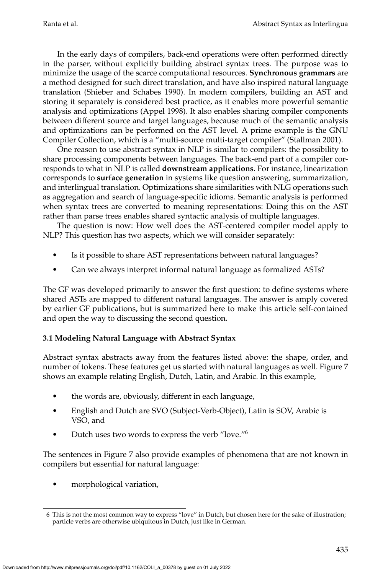In the early days of compilers, back-end operations were often performed directly in the parser, without explicitly building abstract syntax trees. The purpose was to minimize the usage of the scarce computational resources. **Synchronous grammars** are a method designed for such direct translation, and have also inspired natural language translation [\(Shieber and Schabes 1990\)](#page-0-0). In modern compilers, building an AST and storing it separately is considered best practice, as it enables more powerful semantic analysis and optimizations [\(Appel 1998\)](#page-0-0). It also enables sharing compiler components between different source and target languages, because much of the semantic analysis and optimizations can be performed on the AST level. A prime example is the GNU Compiler Collection, which is a "multi-source multi-target compiler" [\(Stallman 2001\)](#page-0-0).

One reason to use abstract syntax in NLP is similar to compilers: the possibility to share processing components between languages. The back-end part of a compiler corresponds to what in NLP is called **downstream applications**. For instance, linearization corresponds to **surface generation** in systems like question answering, summarization, and interlingual translation. Optimizations share similarities with NLG operations such as aggregation and search of language-specific idioms. Semantic analysis is performed when syntax trees are converted to meaning representations: Doing this on the AST rather than parse trees enables shared syntactic analysis of multiple languages.

The question is now: How well does the AST-centered compiler model apply to NLP? This question has two aspects, which we will consider separately:

- Is it possible to share AST representations between natural languages?
- Can we always interpret informal natural language as formalized ASTs?

The GF was developed primarily to answer the first question: to define systems where shared ASTs are mapped to different natural languages. The answer is amply covered by earlier GF publications, but is summarized here to make this article self-contained and open the way to discussing the second question.

# **3.1 Modeling Natural Language with Abstract Syntax**

Abstract syntax abstracts away from the features listed above: the shape, order, and number of tokens. These features get us started with natural languages as well. Figure [7](#page-11-0) shows an example relating English, Dutch, Latin, and Arabic. In this example,

- the words are, obviously, different in each language,
- English and Dutch are SVO (Subject-Verb-Object), Latin is SOV, Arabic is VSO, and
- Dutch uses two words to express the verb "love."[6](#page-10-0)

The sentences in Figure [7](#page-11-0) also provide examples of phenomena that are not known in compilers but essential for natural language:

• morphological variation,

<span id="page-10-0"></span><sup>6</sup> This is not the most common way to express "love" in Dutch, but chosen here for the sake of illustration; particle verbs are otherwise ubiquitous in Dutch, just like in German.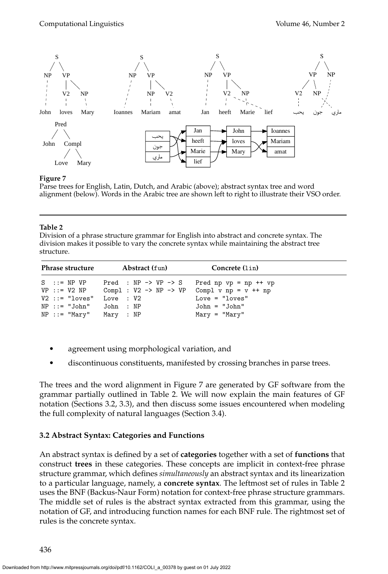

<span id="page-11-0"></span>Parse trees for English, Latin, Dutch, and Arabic (above); abstract syntax tree and word alignment (below). Words in the Arabic tree are shown left to right to illustrate their VSO order.

#### **Table 2**

<span id="page-11-1"></span>Division of a phrase structure grammar for English into abstract and concrete syntax. The division makes it possible to vary the concrete syntax while maintaining the abstract tree structure.

| Phrase structure                                                                                                               | Abstract (fun)                                                                                                | Concrete (lin)                                                                  |
|--------------------------------------------------------------------------------------------------------------------------------|---------------------------------------------------------------------------------------------------------------|---------------------------------------------------------------------------------|
| $S$ ::= NP VP<br>$VP : := V2 NP$<br>$V2 ::= "loves"$ Love : $V2$<br>$NP :: = "John"$ John : $NP$<br>$NP :: = "Mary"$ Mary : NP | Pred : NP $\rightarrow$ VP $\rightarrow$ S<br>Compl : $V2 \rightarrow NP \rightarrow VP$ Compl v np = v ++ np | Pred np $vp = np + fvp$<br>$Love = "loves"$<br>John = "John"<br>$Mary = "Mary"$ |

- agreement using morphological variation, and
- discontinuous constituents, manifested by crossing branches in parse trees.

The trees and the word alignment in Figure [7](#page-11-0) are generated by GF software from the grammar partially outlined in Table [2.](#page-11-1) We will now explain the main features of GF notation (Sections [3.2,](#page-11-2) [3.3\)](#page-12-0), and then discuss some issues encountered when modeling the full complexity of natural languages (Section [3.4\)](#page-13-0).

# <span id="page-11-2"></span>**3.2 Abstract Syntax: Categories and Functions**

An abstract syntax is defined by a set of **categories** together with a set of **functions** that construct **trees** in these categories. These concepts are implicit in context-free phrase structure grammar, which defines *simultaneously* an abstract syntax and its linearization to a particular language, namely, a **concrete syntax**. The leftmost set of rules in Table [2](#page-11-1) uses the BNF (Backus-Naur Form) notation for context-free phrase structure grammars. The middle set of rules is the abstract syntax extracted from this grammar, using the notation of GF, and introducing function names for each BNF rule. The rightmost set of rules is the concrete syntax.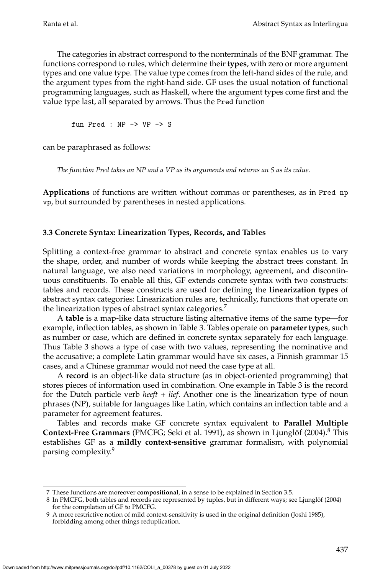The categories in abstract correspond to the nonterminals of the BNF grammar. The functions correspond to rules, which determine their **types**, with zero or more argument types and one value type. The value type comes from the left-hand sides of the rule, and the argument types from the right-hand side. GF uses the usual notation of functional programming languages, such as Haskell, where the argument types come first and the value type last, all separated by arrows. Thus the Pred function

fun Pred : NP -> VP -> S

can be paraphrased as follows:

*The function Pred takes an NP and a VP as its arguments and returns an S as its value.*

**Applications** of functions are written without commas or parentheses, as in Pred np vp, but surrounded by parentheses in nested applications.

# <span id="page-12-0"></span>**3.3 Concrete Syntax: Linearization Types, Records, and Tables**

Splitting a context-free grammar to abstract and concrete syntax enables us to vary the shape, order, and number of words while keeping the abstract trees constant. In natural language, we also need variations in morphology, agreement, and discontinuous constituents. To enable all this, GF extends concrete syntax with two constructs: tables and records. These constructs are used for defining the **linearization types** of abstract syntax categories: Linearization rules are, technically, functions that operate on the linearization types of abstract syntax categories.<sup>[7](#page-12-1)</sup>

A **table** is a map-like data structure listing alternative items of the same type—for example, inflection tables, as shown in Table [3.](#page-13-1) Tables operate on **parameter types**, such as number or case, which are defined in concrete syntax separately for each language. Thus Table [3](#page-13-1) shows a type of case with two values, representing the nominative and the accusative; a complete Latin grammar would have six cases, a Finnish grammar 15 cases, and a Chinese grammar would not need the case type at all.

A **record** is an object-like data structure (as in object-oriented programming) that stores pieces of information used in combination. One example in Table [3](#page-13-1) is the record for the Dutch particle verb *heeft + lief*. Another one is the linearization type of noun phrases (NP), suitable for languages like Latin, which contains an inflection table and a parameter for agreement features.

Tables and records make GF concrete syntax equivalent to **Parallel Multiple Context-Free Grammars** (PMCFG; Seki et al. [1991\)](#page-0-0), as shown in Ljunglöf (2004).<sup>[8](#page-12-2)</sup> This establishes GF as a **mildly context-sensitive** grammar formalism, with polynomial parsing complexity.<sup>[9](#page-12-3)</sup>

<span id="page-12-1"></span><sup>7</sup> These functions are moreover **compositional**, in a sense to be explained in Section [3.5.](#page-17-0)

<span id="page-12-2"></span><sup>8</sup> In PMCFG, both tables and records are represented by tuples, but in different ways; see Ljunglöf (2004) for the compilation of GF to PMCFG.

<span id="page-12-3"></span><sup>9</sup> A more restrictive notion of mild context-sensitivity is used in the original definition [\(Joshi 1985\)](#page-0-0), forbidding among other things reduplication.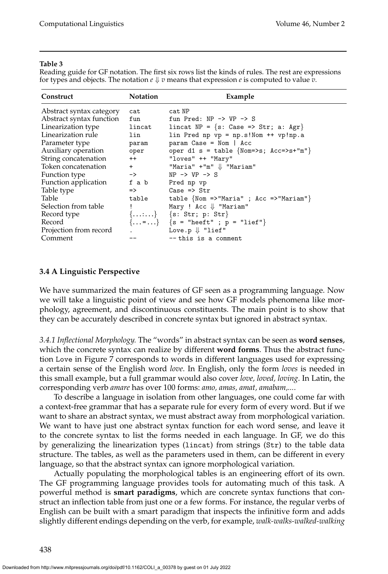#### **Table 3**

<span id="page-13-1"></span>Reading guide for GF notation. The first six rows list the kinds of rules. The rest are expressions for types and objects. The notation  $e \Downarrow v$  means that expression  $e$  is computed to value  $v$ .

| Construct                | <b>Notation</b> | Example                                                        |
|--------------------------|-----------------|----------------------------------------------------------------|
| Abstract syntax category | cat             | cat NP                                                         |
| Abstract syntax function | fun             | fun Pred: $NP \rightarrow VP \rightarrow S$                    |
| Linearization type       | lincat          | lincat NP = {s: Case => Str; a: Agr}                           |
| Linearization rule       | lin             | $lin$ Pred np vp = np.s!Nom ++ vp!np.a                         |
| Parameter type           | param           | $param Case = Nom   Acc$                                       |
| Auxiliary operation      | oper            | oper d1 s = table {Nom=>s; $Acc=>s+{^m}$ "}                    |
| String concatenation     | $++$            | "loves" ++ "Mary"                                              |
| Token concatenation      | $+$ $-$         | "Maria" $+$ "m" $\Downarrow$ "Mariam"                          |
| Function type            | $\rightarrow$   | $NP \rightarrow VP \rightarrow S$                              |
| Function application     |                 | f a b Pred np vp                                               |
| Table type               | $\Rightarrow$   | Case $\Rightarrow$ Str                                         |
| Table                    | table           | table $\{Nom \Rightarrow "Maria" ; Acc \Rightarrow "Mariam"\}$ |
| Selection from table     |                 | Mary ! Acc $\Downarrow$ "Mariam"                               |
| Record type              |                 | ${}$ {s: Str; p: Str}                                          |
| Record                   |                 | $\{ = \}$ {s = "heeft" ; p = "lief"}                           |
| Projection from record   | $\mathbf{r}$    | Love.p $\Downarrow$ "lief"                                     |
| Comment                  |                 | $--$ this is a comment                                         |

#### <span id="page-13-0"></span>**3.4 A Linguistic Perspective**

We have summarized the main features of GF seen as a programming language. Now we will take a linguistic point of view and see how GF models phenomena like morphology, agreement, and discontinuous constituents. The main point is to show that they can be accurately described in concrete syntax but ignored in abstract syntax.

<span id="page-13-2"></span>*3.4.1 Inflectional Morphology.* The "words" in abstract syntax can be seen as **word senses**, which the concrete syntax can realize by different **word forms**. Thus the abstract function Love in Figure [7](#page-11-0) corresponds to words in different languages used for expressing a certain sense of the English word *love*. In English, only the form *loves* is needed in this small example, but a full grammar would also cover *love, loved, loving*. In Latin, the corresponding verb *amare* has over 100 forms: *amo, amas, amat, amabam,...*.

To describe a language in isolation from other languages, one could come far with a context-free grammar that has a separate rule for every form of every word. But if we want to share an abstract syntax, we must abstract away from morphological variation. We want to have just one abstract syntax function for each word sense, and leave it to the concrete syntax to list the forms needed in each language. In GF, we do this by generalizing the linearization types (lincat) from strings (Str) to the table data structure. The tables, as well as the parameters used in them, can be different in every language, so that the abstract syntax can ignore morphological variation.

Actually populating the morphological tables is an engineering effort of its own. The GF programming language provides tools for automating much of this task. A powerful method is **smart paradigms**, which are concrete syntax functions that construct an inflection table from just one or a few forms. For instance, the regular verbs of English can be built with a smart paradigm that inspects the infinitive form and adds slightly different endings depending on the verb, for example, *walk-walks-walked-walking*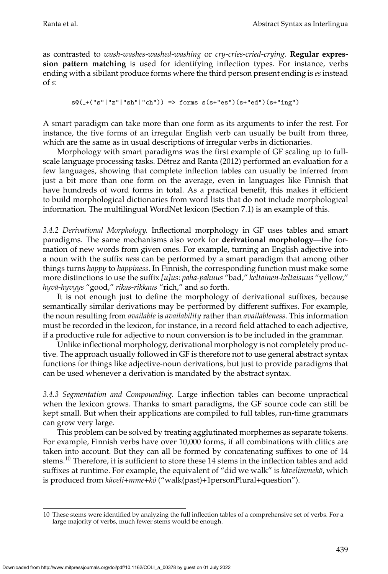as contrasted to *wash-washes-washed-washing* or *cry-cries-cried-crying*. **Regular expression pattern matching** is used for identifying inflection types. For instance, verbs ending with a sibilant produce forms where the third person present ending is *es* instead of *s*:

```
s@(+("s"|"z"|"sh"|"ch")) => forms s(s+"es")(s+"ed")(s+"ing")
```
A smart paradigm can take more than one form as its arguments to infer the rest. For instance, the five forms of an irregular English verb can usually be built from three, which are the same as in usual descriptions of irregular verbs in dictionaries.

Morphology with smart paradigms was the first example of GF scaling up to fullscale language processing tasks. Détrez and Ranta (2012) performed an evaluation for a few languages, showing that complete inflection tables can usually be inferred from just a bit more than one form on the average, even in languages like Finnish that have hundreds of word forms in total. As a practical benefit, this makes it efficient to build morphological dictionaries from word lists that do not include morphological information. The multilingual WordNet lexicon (Section [7.1\)](#page-41-1) is an example of this.

*3.4.2 Derivational Morphology.* Inflectional morphology in GF uses tables and smart paradigms. The same mechanisms also work for **derivational morphology**—the formation of new words from given ones. For example, turning an English adjective into a noun with the suffix *ness* can be performed by a smart paradigm that among other things turns *happy* to *happiness*. In Finnish, the corresponding function must make some more distinctions to use the suffix *[u]us*: *paha-pahuus* "bad," *keltainen-keltaisuus* "yellow," *hyv¨a-hyvyys* "good," *rikas-rikkaus* "rich," and so forth.

It is not enough just to define the morphology of derivational suffixes, because semantically similar derivations may be performed by different suffixes. For example, the noun resulting from *available* is *availability* rather than *availableness*. This information must be recorded in the lexicon, for instance, in a record field attached to each adjective, if a productive rule for adjective to noun conversion is to be included in the grammar.

Unlike inflectional morphology, derivational morphology is not completely productive. The approach usually followed in GF is therefore not to use general abstract syntax functions for things like adjective-noun derivations, but just to provide paradigms that can be used whenever a derivation is mandated by the abstract syntax.

<span id="page-14-1"></span>*3.4.3 Segmentation and Compounding.* Large inflection tables can become unpractical when the lexicon grows. Thanks to smart paradigms, the GF source code can still be kept small. But when their applications are compiled to full tables, run-time grammars can grow very large.

This problem can be solved by treating agglutinated morphemes as separate tokens. For example, Finnish verbs have over 10,000 forms, if all combinations with clitics are taken into account. But they can all be formed by concatenating suffixes to one of 14 stems.<sup>[10](#page-14-0)</sup> Therefore, it is sufficient to store these 14 stems in the inflection tables and add suffixes at runtime. For example, the equivalent of "did we walk" is *kävelimmekö*, which is produced from *käveli+mme+kö* ("walk(past)+1personPlural+question").

<span id="page-14-0"></span><sup>10</sup> These stems were identified by analyzing the full inflection tables of a comprehensive set of verbs. For a large majority of verbs, much fewer stems would be enough.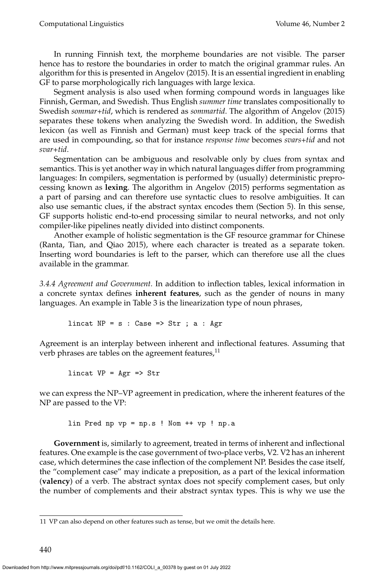In running Finnish text, the morpheme boundaries are not visible. The parser hence has to restore the boundaries in order to match the original grammar rules. An algorithm for this is presented in [Angelov \(2015\)](#page-0-0). It is an essential ingredient in enabling GF to parse morphologically rich languages with large lexica.

Segment analysis is also used when forming compound words in languages like Finnish, German, and Swedish. Thus English *summer time* translates compositionally to Swedish *sommar+tid*, which is rendered as *sommartid*. The algorithm of [Angelov \(2015\)](#page-0-0) separates these tokens when analyzing the Swedish word. In addition, the Swedish lexicon (as well as Finnish and German) must keep track of the special forms that are used in compounding, so that for instance *response time* becomes *svars+tid* and not *svar+tid*.

Segmentation can be ambiguous and resolvable only by clues from syntax and semantics. This is yet another way in which natural languages differ from programming languages: In compilers, segmentation is performed by (usually) deterministic preprocessing known as **lexing**. The algorithm in [Angelov \(2015\)](#page-0-0) performs segmentation as a part of parsing and can therefore use syntactic clues to resolve ambiguities. It can also use semantic clues, if the abstract syntax encodes them (Section [5\)](#page-27-0). In this sense, GF supports holistic end-to-end processing similar to neural networks, and not only compiler-like pipelines neatly divided into distinct components.

Another example of holistic segmentation is the GF resource grammar for Chinese [\(Ranta, Tian, and Qiao 2015\)](#page-0-0), where each character is treated as a separate token. Inserting word boundaries is left to the parser, which can therefore use all the clues available in the grammar.

<span id="page-15-1"></span>*3.4.4 Agreement and Government.* In addition to inflection tables, lexical information in a concrete syntax defines **inherent features**, such as the gender of nouns in many languages. An example in Table [3](#page-13-1) is the linearization type of noun phrases,

lincat  $NP = s : Case \implies Str ; a : Agr$ 

Agreement is an interplay between inherent and inflectional features. Assuming that verb phrases are tables on the agreement features, $11$ 

lincat  $VP = Agr \Rightarrow Str$ 

we can express the NP–VP agreement in predication, where the inherent features of the NP are passed to the VP:

lin Pred np vp = np.s ! Nom ++ vp ! np.a

**Government** is, similarly to agreement, treated in terms of inherent and inflectional features. One example is the case government of two-place verbs, V2. V2 has an inherent case, which determines the case inflection of the complement NP. Besides the case itself, the "complement case" may indicate a preposition, as a part of the lexical information (**valency**) of a verb. The abstract syntax does not specify complement cases, but only the number of complements and their abstract syntax types. This is why we use the

<span id="page-15-0"></span><sup>11</sup> VP can also depend on other features such as tense, but we omit the details here.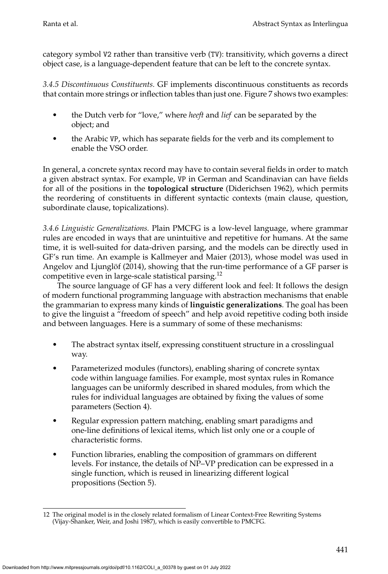category symbol V2 rather than transitive verb (TV): transitivity, which governs a direct object case, is a language-dependent feature that can be left to the concrete syntax.

*3.4.5 Discontinuous Constituents.* GF implements discontinuous constituents as records that contain more strings or inflection tables than just one. Figure [7](#page-11-0) shows two examples:

- the Dutch verb for "love," where *heeft* and *lief* can be separated by the object; and
- the Arabic VP, which has separate fields for the verb and its complement to enable the VSO order.

In general, a concrete syntax record may have to contain several fields in order to match a given abstract syntax. For example, VP in German and Scandinavian can have fields for all of the positions in the **topological structure** [\(Diderichsen 1962\)](#page-0-0), which permits the reordering of constituents in different syntactic contexts (main clause, question, subordinate clause, topicalizations).

*3.4.6 Linguistic Generalizations.* Plain PMCFG is a low-level language, where grammar rules are encoded in ways that are unintuitive and repetitive for humans. At the same time, it is well-suited for data-driven parsing, and the models can be directly used in GF's run time. An example is [Kallmeyer and Maier \(2013\)](#page-0-0), whose model was used in Angelov and Ljunglöf  $(2014)$ , showing that the run-time performance of a GF parser is competitive even in large-scale statistical parsing.[12](#page-16-0)

The source language of GF has a very different look and feel: It follows the design of modern functional programming language with abstraction mechanisms that enable the grammarian to express many kinds of **linguistic generalizations**. The goal has been to give the linguist a "freedom of speech" and help avoid repetitive coding both inside and between languages. Here is a summary of some of these mechanisms:

- The abstract syntax itself, expressing constituent structure in a crosslingual way.
- Parameterized modules (functors), enabling sharing of concrete syntax code within language families. For example, most syntax rules in Romance languages can be uniformly described in shared modules, from which the rules for individual languages are obtained by fixing the values of some parameters (Section [4\)](#page-19-0).
- Regular expression pattern matching, enabling smart paradigms and one-line definitions of lexical items, which list only one or a couple of characteristic forms.
- Function libraries, enabling the composition of grammars on different levels. For instance, the details of NP–VP predication can be expressed in a single function, which is reused in linearizing different logical propositions (Section [5\)](#page-27-0).

<span id="page-16-0"></span><sup>12</sup> The original model is in the closely related formalism of Linear Context-Free Rewriting Systems [\(Vijay-Shanker, Weir, and Joshi 1987\)](#page-0-0), which is easily convertible to PMCFG.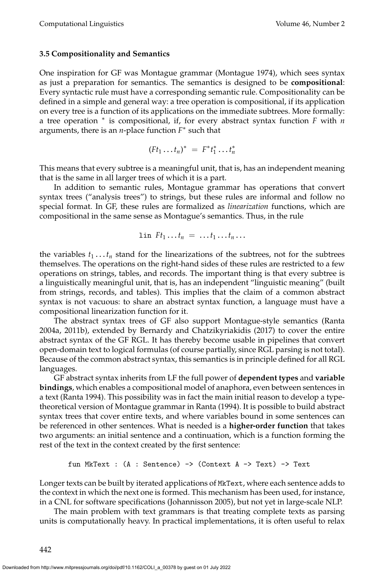#### <span id="page-17-0"></span>**3.5 Compositionality and Semantics**

One inspiration for GF was Montague grammar [\(Montague 1974\)](#page-0-0), which sees syntax as just a preparation for semantics. The semantics is designed to be **compositional**: Every syntactic rule must have a corresponding semantic rule. Compositionality can be defined in a simple and general way: a tree operation is compositional, if its application on every tree is a function of its applications on the immediate subtrees. More formally: a tree operation <sup>∗</sup> is compositional, if, for every abstract syntax function *F* with *n* arguments, there is an *n*-place function *F* ∗ such that

$$
(Ft_1 \ldots t_n)^* = F^*t_1^* \ldots t_n^*
$$

This means that every subtree is a meaningful unit, that is, has an independent meaning that is the same in all larger trees of which it is a part.

In addition to semantic rules, Montague grammar has operations that convert syntax trees ("analysis trees") to strings, but these rules are informal and follow no special format. In GF, these rules are formalized as *linearization* functions, which are compositional in the same sense as Montague's semantics. Thus, in the rule

$$
\text{lin } F t_1 \ldots t_n = \ldots t_1 \ldots t_n \ldots
$$

the variables  $t_1 \ldots t_n$  stand for the linearizations of the subtrees, not for the subtrees themselves. The operations on the right-hand sides of these rules are restricted to a few operations on strings, tables, and records. The important thing is that every subtree is a linguistically meaningful unit, that is, has an independent "linguistic meaning" (built from strings, records, and tables). This implies that the claim of a common abstract syntax is not vacuous: to share an abstract syntax function, a language must have a compositional linearization function for it.

The abstract syntax trees of GF also support Montague-style semantics [\(Ranta](#page-0-0) [2004a, 2011b\)](#page-0-0), extended by [Bernardy and Chatzikyriakidis \(2017\)](#page-0-0) to cover the entire abstract syntax of the GF RGL. It has thereby become usable in pipelines that convert open-domain text to logical formulas (of course partially, since RGL parsing is not total). Because of the common abstract syntax, this semantics is in principle defined for all RGL languages.

GF abstract syntax inherits from LF the full power of **dependent types** and **variable bindings**, which enables a compositional model of anaphora, even between sentences in a text [\(Ranta 1994\)](#page-0-0). This possibility was in fact the main initial reason to develop a typetheoretical version of Montague grammar in [Ranta \(1994\)](#page-0-0). It is possible to build abstract syntax trees that cover entire texts, and where variables bound in some sentences can be referenced in other sentences. What is needed is a **higher-order function** that takes two arguments: an initial sentence and a continuation, which is a function forming the rest of the text in the context created by the first sentence:

fun MKText : (A : Sentence) 
$$
\rightarrow
$$
 (Context A  $\rightarrow$  Text)  $\rightarrow$  Text

Longer texts can be built by iterated applications of MkText, where each sentence adds to the context in which the next one is formed. This mechanism has been used, for instance, in a CNL for software specifications [\(Johannisson 2005\)](#page-0-0), but not yet in large-scale NLP.

The main problem with text grammars is that treating complete texts as parsing units is computationally heavy. In practical implementations, it is often useful to relax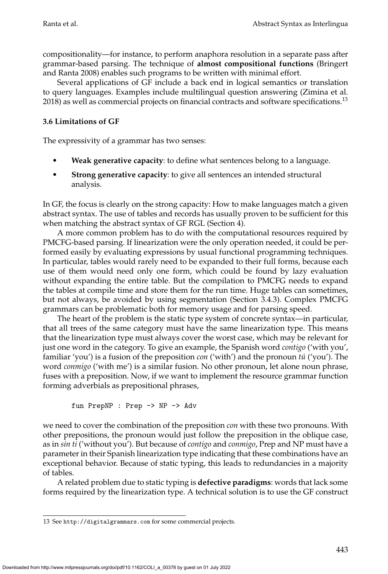compositionality—for instance, to perform anaphora resolution in a separate pass after grammar-based parsing. The technique of **almost compositional functions** [\(Bringert](#page-0-0) [and Ranta 2008\)](#page-0-0) enables such programs to be written with minimal effort.

Several applications of GF include a back end in logical semantics or translation to query languages. Examples include multilingual question answering [\(Zimina et al.](#page-0-0)  $2018$ ) as well as commercial projects on financial contracts and software specifications.<sup>[13](#page-18-0)</sup>

# <span id="page-18-1"></span>**3.6 Limitations of GF**

The expressivity of a grammar has two senses:

- **Weak generative capacity**: to define what sentences belong to a language.
- **Strong generative capacity**: to give all sentences an intended structural analysis.

In GF, the focus is clearly on the strong capacity: How to make languages match a given abstract syntax. The use of tables and records has usually proven to be sufficient for this when matching the abstract syntax of GF RGL (Section [4\)](#page-19-0).

A more common problem has to do with the computational resources required by PMCFG-based parsing. If linearization were the only operation needed, it could be performed easily by evaluating expressions by usual functional programming techniques. In particular, tables would rarely need to be expanded to their full forms, because each use of them would need only one form, which could be found by lazy evaluation without expanding the entire table. But the compilation to PMCFG needs to expand the tables at compile time and store them for the run time. Huge tables can sometimes, but not always, be avoided by using segmentation (Section [3.4.3\)](#page-14-1). Complex PMCFG grammars can be problematic both for memory usage and for parsing speed.

The heart of the problem is the static type system of concrete syntax—in particular, that all trees of the same category must have the same linearization type. This means that the linearization type must always cover the worst case, which may be relevant for just one word in the category. To give an example, the Spanish word *contigo* ('with you', familiar 'you') is a fusion of the preposition *con* ('with') and the pronoun *tú* ('you'). The word *conmigo* ('with me') is a similar fusion. No other pronoun, let alone noun phrase, fuses with a preposition. Now, if we want to implement the resource grammar function forming adverbials as prepositional phrases,

fun PrepNP : Prep -> NP -> Adv

we need to cover the combination of the preposition *con* with these two pronouns. With other prepositions, the pronoun would just follow the preposition in the oblique case, as in *sin ti* ('without you'). But because of *contigo* and *conmigo*, Prep and NP must have a parameter in their Spanish linearization type indicating that these combinations have an exceptional behavior. Because of static typing, this leads to redundancies in a majority of tables.

A related problem due to static typing is **defective paradigms**: words that lack some forms required by the linearization type. A technical solution is to use the GF construct

<span id="page-18-0"></span><sup>13</sup> See <http://digitalgrammars.com> for some commercial projects.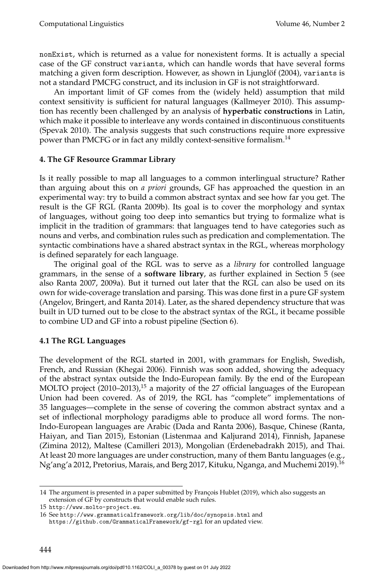nonExist, which is returned as a value for nonexistent forms. It is actually a special case of the GF construct variants, which can handle words that have several forms matching a given form description. However, as shown in Ljunglöf (2004), variants is not a standard PMCFG construct, and its inclusion in GF is not straightforward.

An important limit of GF comes from the (widely held) assumption that mild context sensitivity is sufficient for natural languages [\(Kallmeyer 2010\)](#page-0-0). This assumption has recently been challenged by an analysis of **hyperbatic constructions** in Latin, which make it possible to interleave any words contained in discontinuous constituents [\(Spevak 2010\)](#page-0-0). The analysis suggests that such constructions require more expressive power than PMCFG or in fact any mildly context-sensitive formalism.<sup>[14](#page-19-1)</sup>

# <span id="page-19-0"></span>**4. The GF Resource Grammar Library**

Is it really possible to map all languages to a common interlingual structure? Rather than arguing about this on *a priori* grounds, GF has approached the question in an experimental way: try to build a common abstract syntax and see how far you get. The result is the GF RGL [\(Ranta 2009b\)](#page-0-0). Its goal is to cover the morphology and syntax of languages, without going too deep into semantics but trying to formalize what is implicit in the tradition of grammars: that languages tend to have categories such as nouns and verbs, and combination rules such as predication and complementation. The syntactic combinations have a shared abstract syntax in the RGL, whereas morphology is defined separately for each language.

The original goal of the RGL was to serve as a *library* for controlled language grammars, in the sense of a **software library**, as further explained in Section [5](#page-27-0) (see also Ranta [2007, 2009a\)](#page-0-0). But it turned out later that the RGL can also be used on its own for wide-coverage translation and parsing. This was done first in a pure GF system [\(Angelov, Bringert, and Ranta 2014\)](#page-0-0). Later, as the shared dependency structure that was built in UD turned out to be close to the abstract syntax of the RGL, it became possible to combine UD and GF into a robust pipeline (Section [6\)](#page-33-0).

### **4.1 The RGL Languages**

The development of the RGL started in 2001, with grammars for English, Swedish, French, and Russian [\(Khegai 2006\)](#page-0-0). Finnish was soon added, showing the adequacy of the abstract syntax outside the Indo-European family. By the end of the European MOLTO project  $(2010-2013)$ ,<sup>[15](#page-19-2)</sup> a majority of the 27 official languages of the European Union had been covered. As of 2019, the RGL has "complete" implementations of 35 languages—complete in the sense of covering the common abstract syntax and a set of inflectional morphology paradigms able to produce all word forms. The non-Indo-European languages are Arabic [\(Dada and Ranta 2006\)](#page-0-0), Basque, Chinese [\(Ranta,](#page-0-0) [Haiyan, and Tian 2015\)](#page-0-0), Estonian [\(Listenmaa and Kaljurand 2014\)](#page-0-0), Finnish, Japanese [\(Zimina 2012\)](#page-0-0), Maltese [\(Camilleri 2013\)](#page-0-0), Mongolian [\(Erdenebadrakh 2015\)](#page-0-0), and Thai. At least 20 more languages are under construction, many of them Bantu languages (e.g., Ng'ang'a [2012,](#page-0-0) Pretorius, Marais, and Berg [2017,](#page-0-0) Kituku, Nganga, and Muchemi [2019\)](#page-0-0).[16](#page-19-3)

<span id="page-19-1"></span><sup>14</sup> The argument is presented in a paper submitted by François [Hublet \(2019\)](#page-0-0), which also suggests an extension of GF by constructs that would enable such rules.

<span id="page-19-2"></span><sup>15</sup> <http://www.molto-project.eu>.

<span id="page-19-3"></span><sup>16</sup> See <http://www.grammaticalframework.org/lib/doc/synopsis.html> and <https://github.com/GrammaticalFramework/gf-rgl> for an updated view.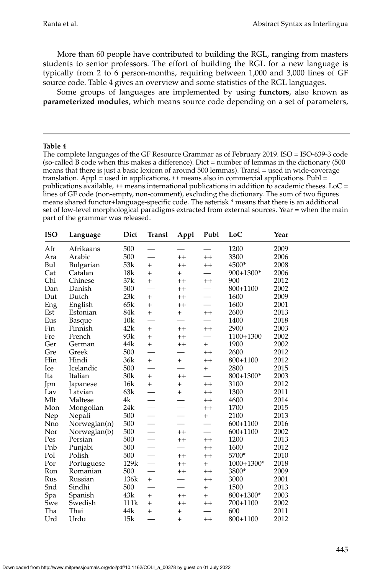More than 60 people have contributed to building the RGL, ranging from masters students to senior professors. The effort of building the RGL for a new language is typically from 2 to 6 person-months, requiring between 1,000 and 3,000 lines of GF source code. Table [4](#page-20-0) gives an overview and some statistics of the RGL languages.

Some groups of languages are implemented by using **functors**, also known as **parameterized modules**, which means source code depending on a set of parameters,

#### **Table 4**

<span id="page-20-0"></span>The complete languages of the GF Resource Grammar as of February 2019. ISO = ISO-639-3 code (so-called B code when this makes a difference). Dict = number of lemmas in the dictionary (500 means that there is just a basic lexicon of around 500 lemmas). Transl = used in wide-coverage translation. Appl = used in applications,  $++$  means also in commercial applications. Publ = publications available,  $++$  means international publications in addition to academic theses. LoC = lines of GF code (non-empty, non-comment), excluding the dictionary. The sum of two figures means shared functor+language-specific code. The asterisk \* means that there is an additional set of low-level morphological paradigms extracted from external sources. Year = when the main part of the grammar was released.

| <b>ISO</b> | Language     | Dict<br>Publ<br>Transl<br>Appl |                          | LoC             | Year    |              |      |
|------------|--------------|--------------------------------|--------------------------|-----------------|---------|--------------|------|
| Afr        | Afrikaans    | 500                            |                          |                 |         | 1200         | 2009 |
| Ara        | Arabic       | 500                            |                          | $^{++}$         | $^{++}$ | 3300         | 2006 |
| Bul        | Bulgarian    | 53k                            | $^{+}$                   | $^{++}$         | $^{++}$ | 4500*        | 2008 |
| Cat        | Catalan      | 18k                            | $+$                      | $\hbox{+}$      |         | 900+1300*    | 2006 |
| Chi        | Chinese      | 37k                            | $+$                      | $^{\mathrm{+}}$ | $^{++}$ | 900          | 2012 |
| Dan        | Danish       | 500                            | $\overline{\phantom{0}}$ | $^{++}$         |         | 800+1100     | 2002 |
| Dut        | Dutch        | 23k                            | $^{+}$                   | $^{++}$         |         | 1600         | 2009 |
| Eng        | English      | 65k                            | $\ddot{}$                | $^{++}$         |         | 1600         | 2001 |
| Est        | Estonian     | 84k                            | $+$                      | $+$             | $^{++}$ | 2600         | 2013 |
| Eus        | Basque       | 10k                            | $\overline{\phantom{0}}$ |                 |         | 1400         | 2018 |
| Fin        | Finnish      | 42k                            | $^+$                     | $^{++}$         | $^{++}$ | 2900         | 2003 |
| Fre        | French       | 93k                            | $\ddot{}$                | $^{++}$         |         | 1100+1300    | 2002 |
| Ger        | German       | 44k                            | $+$                      | $^{++}$         | $^+$    | 1900         | 2002 |
| Gre        | Greek        | 500                            |                          |                 | $^{++}$ | 2600         | 2012 |
| Hin        | Hindi        | 36k                            | $+$                      | $+$             | $^{++}$ | 800+1100     | 2012 |
| Ice        | Icelandic    | 500                            | $\overline{\phantom{0}}$ |                 | $^{+}$  | 2800         | 2015 |
| Ita        | Italian      | 30k                            | $+$                      | $^{++}$         |         | $800+1300*$  | 2003 |
| Jpn        | Japanese     | 16k                            | $+$                      | $+$             | $^{++}$ | 3100         | 2012 |
| Lav        | Latvian      | 63k                            |                          | $+$             | $^{++}$ | 1300         | 2011 |
| Mlt        | Maltese      | 4k                             |                          |                 | $^{++}$ | 4600         | 2014 |
| Mon        | Mongolian    | 24k                            | $\overline{\phantom{0}}$ |                 | $^{++}$ | 1700         | 2015 |
| Nep        | Nepali       | 500                            |                          |                 | $^{+}$  | 2100         | 2013 |
| Nno        | Norwegian(n) | 500                            |                          |                 |         | $600 + 1100$ | 2016 |
| Nor        | Norwegian(b) | 500                            |                          | $^{++}$         |         | 600+1100     | 2002 |
| Pes        | Persian      | 500                            |                          | $^{++}$         | $^{++}$ | 1200         | 2013 |
| Pnb        | Punjabi      | 500                            |                          |                 | $^{++}$ | 1600         | 2012 |
| Pol        | Polish       | 500                            |                          | $++$            | $^{++}$ | 5700*        | 2010 |
| Por        | Portuguese   | 129k                           | $\overline{\phantom{0}}$ | $++$            | $^{+}$  | 1000+1300*   | 2018 |
| Ron        | Romanian     | 500                            |                          | $^{++}$         | $^{++}$ | 3800*        | 2009 |
| Rus        | Russian      | 136k                           | $+$                      |                 | $^{++}$ | 3000         | 2001 |
| Snd        | Sindhi       | 500                            |                          |                 | $^{+}$  | 1500         | 2013 |
| Spa        | Spanish      | 43k                            | $\qquad \qquad +$        | $^{++}$         | $^{+}$  | $800+1300*$  | 2003 |
| Swe        | Swedish      | 111k                           | $\qquad \qquad +$        | $^{++}$         | $^{++}$ | 700+1100     | 2002 |
| Tha        | Thai         | 44k                            | $^{+}$                   | $^{+}$          |         | 600          | 2011 |
| Urd        | Urdu         | 15k                            |                          | $\ddot{}$       | $^{++}$ | 800+1100     | 2012 |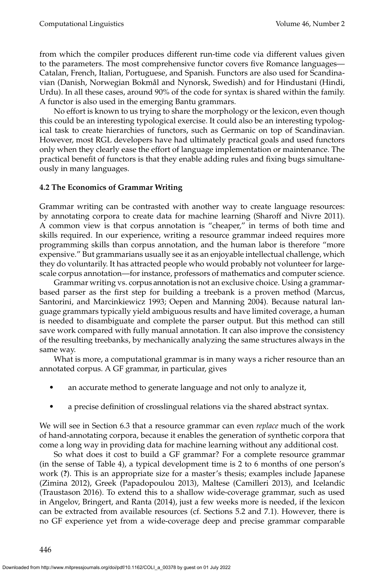from which the compiler produces different run-time code via different values given to the parameters. The most comprehensive functor covers five Romance languages— Catalan, French, Italian, Portuguese, and Spanish. Functors are also used for Scandinavian (Danish, Norwegian Bokmal and Nynorsk, Swedish) and for Hindustani (Hindi, ˚ Urdu). In all these cases, around 90% of the code for syntax is shared within the family. A functor is also used in the emerging Bantu grammars.

No effort is known to us trying to share the morphology or the lexicon, even though this could be an interesting typological exercise. It could also be an interesting typological task to create hierarchies of functors, such as Germanic on top of Scandinavian. However, most RGL developers have had ultimately practical goals and used functors only when they clearly ease the effort of language implementation or maintenance. The practical benefit of functors is that they enable adding rules and fixing bugs simultaneously in many languages.

# **4.2 The Economics of Grammar Writing**

Grammar writing can be contrasted with another way to create language resources: by annotating corpora to create data for machine learning [\(Sharoff and Nivre 2011\)](#page-0-0). A common view is that corpus annotation is "cheaper," in terms of both time and skills required. In our experience, writing a resource grammar indeed requires more programming skills than corpus annotation, and the human labor is therefore "more expensive." But grammarians usually see it as an enjoyable intellectual challenge, which they do voluntarily. It has attracted people who would probably not volunteer for largescale corpus annotation—for instance, professors of mathematics and computer science.

Grammar writing vs. corpus annotation is not an exclusive choice. Using a grammarbased parser as the first step for building a treebank is a proven method (Marcus, Santorini, and Marcinkiewicz [1993;](#page-0-0) Oepen and Manning [2004\)](#page-0-0). Because natural language grammars typically yield ambiguous results and have limited coverage, a human is needed to disambiguate and complete the parser output. But this method can still save work compared with fully manual annotation. It can also improve the consistency of the resulting treebanks, by mechanically analyzing the same structures always in the same way.

What is more, a computational grammar is in many ways a richer resource than an annotated corpus. A GF grammar, in particular, gives

- an accurate method to generate language and not only to analyze it,
- a precise definition of crosslingual relations via the shared abstract syntax.

We will see in Section [6.3](#page-37-0) that a resource grammar can even *replace* much of the work of hand-annotating corpora, because it enables the generation of synthetic corpora that come a long way in providing data for machine learning without any additional cost.

So what does it cost to build a GF grammar? For a complete resource grammar (in the sense of Table [4\)](#page-20-0), a typical development time is 2 to 6 months of one person's work (**?**). This is an appropriate size for a master's thesis; examples include Japanese [\(Zimina 2012\)](#page-0-0), Greek [\(Papadopoulou 2013\)](#page-0-0), Maltese [\(Camilleri 2013\)](#page-0-0), and Icelandic [\(Traustason 2016\)](#page-0-0). To extend this to a shallow wide-coverage grammar, such as used in [Angelov, Bringert, and Ranta \(2014\)](#page-0-0), just a few weeks more is needed, if the lexicon can be extracted from available resources (cf. Sections [5.2](#page-29-0) and [7.1\)](#page-41-1). However, there is no GF experience yet from a wide-coverage deep and precise grammar comparable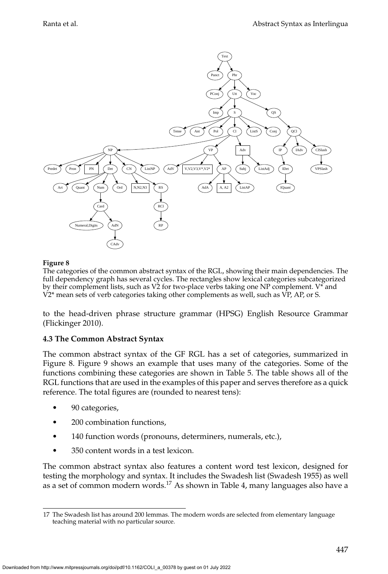

<span id="page-22-0"></span>The categories of the common abstract syntax of the RGL, showing their main dependencies. The full dependency graph has several cycles. The rectangles show lexical categories subcategorized by their complement lists, such as V2 for two-place verbs taking one NP complement. V\* and  $V2*$  mean sets of verb categories taking other complements as well, such as  $\overline{VP}$ , AP, or S.

to the head-driven phrase structure grammar (HPSG) English Resource Grammar [\(Flickinger 2010\)](#page-0-0).

# <span id="page-22-2"></span>**4.3 The Common Abstract Syntax**

The common abstract syntax of the GF RGL has a set of categories, summarized in Figure [8.](#page-22-0) Figure 9 shows an example that uses many of the categories. Some of the functions combining these categories are shown in Table [5.](#page-24-0) The table shows all of the RGL functions that are used in the examples of this paper and serves therefore as a quick reference. The total figures are (rounded to nearest tens):

- 90 categories,
- 200 combination functions,
- 140 function words (pronouns, determiners, numerals, etc.),
- 350 content words in a test lexicon.

The common abstract syntax also features a content word test lexicon, designed for testing the morphology and syntax. It includes the Swadesh list [\(Swadesh 1955\)](#page-0-0) as well as a set of common modern words.[17](#page-22-1) As shown in Table [4,](#page-20-0) many languages also have a

<span id="page-22-1"></span><sup>17</sup> The Swadesh list has around 200 lemmas. The modern words are selected from elementary language teaching material with no particular source.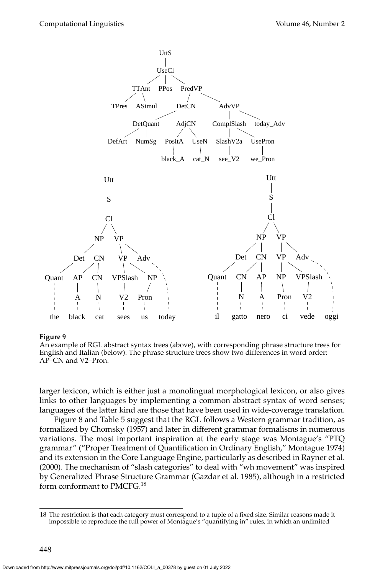

An example of RGL abstract syntax trees (above), with corresponding phrase structure trees for English and Italian (below). The phrase structure trees show two differences in word order: AP–CN and V2–Pron.

larger lexicon, which is either just a monolingual morphological lexicon, or also gives links to other languages by implementing a common abstract syntax of word senses; languages of the latter kind are those that have been used in wide-coverage translation.

Figure [8](#page-22-0) and Table [5](#page-24-0) suggest that the RGL follows a Western grammar tradition, as formalized by [Chomsky \(1957\)](#page-0-0) and later in different grammar formalisms in numerous variations. The most important inspiration at the early stage was Montague's "PTQ grammar" ("Proper Treatment of Quantification in Ordinary English," Montague [1974\)](#page-0-0) and its extension in the Core Language Engine, particularly as described in [Rayner et al.](#page-0-0) [\(2000\)](#page-0-0). The mechanism of "slash categories" to deal with "wh movement" was inspired by Generalized Phrase Structure Grammar [\(Gazdar et al. 1985\)](#page-0-0), although in a restricted form conformant to PMCFG.<sup>[18](#page-23-0)</sup>

<span id="page-23-0"></span><sup>18</sup> The restriction is that each category must correspond to a tuple of a fixed size. Similar reasons made it impossible to reproduce the full power of Montague's "quantifying in" rules, in which an unlimited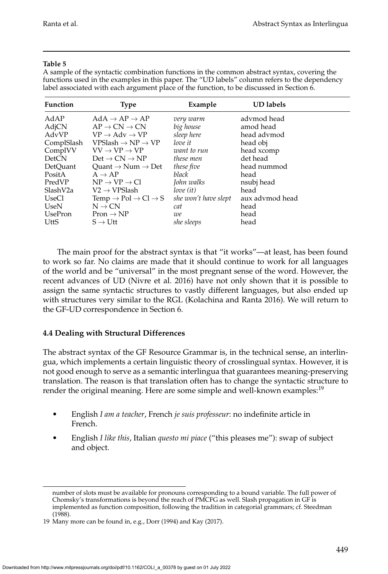### **Table 5**

<span id="page-24-0"></span>A sample of the syntactic combination functions in the common abstract syntax, covering the functions used in the examples in this paper. The "UD labels" column refers to the dependency label associated with each argument place of the function, to be discussed in Section [6.](#page-33-0)

| <b>Function</b>       | <b>Type</b>                                                                          | Example                               | <b>UD</b> labels         |
|-----------------------|--------------------------------------------------------------------------------------|---------------------------------------|--------------------------|
| AdAP                  | $AdA \rightarrow AP \rightarrow AP$                                                  | very warm                             | advmod head              |
| AdjCN<br>AdvVP        | $AP \rightarrow CN \rightarrow CN$<br>$VP \rightarrow Adv \rightarrow VP$            | big house<br>sleep here               | amod head<br>head advmod |
| ComplSlash<br>ComplVV | $VPSlash \rightarrow NP \rightarrow VP$<br>$VV \rightarrow VP \rightarrow VP$        | love it<br>want to run                | head obj<br>head xcomp   |
| <b>DetCN</b>          | $Det \rightarrow CN \rightarrow NP$                                                  | these men                             | det head                 |
| DetOuant<br>PositA    | Ouant $\rightarrow$ Num $\rightarrow$ Det<br>$A \rightarrow AP$                      | these five<br>black                   | head nummod<br>head      |
| PredVP                | $NP \rightarrow VP \rightarrow Cl$                                                   | John walks                            | nsubj head               |
| SlashV2a<br>UseCl     | $V2 \rightarrow VPS$ lash<br>Temp $\rightarrow$ Pol $\rightarrow$ Cl $\rightarrow$ S | $love$ $(it)$<br>she won't have slept | head<br>aux advmod head  |
| UseN<br>UsePron       | $N \rightarrow CN$                                                                   | cat                                   | head<br>head             |
| UttS                  | $Pron \rightarrow NP$<br>$S \rightarrow U$ tt                                        | we<br>she sleeps                      | head                     |

The main proof for the abstract syntax is that "it works"—at least, has been found to work so far. No claims are made that it should continue to work for all languages of the world and be "universal" in the most pregnant sense of the word. However, the recent advances of UD [\(Nivre et al. 2016\)](#page-0-0) have not only shown that it is possible to assign the same syntactic structures to vastly different languages, but also ended up with structures very similar to the RGL [\(Kolachina and Ranta 2016\)](#page-0-0). We will return to the GF-UD correspondence in Section [6.](#page-33-0)

# <span id="page-24-2"></span>**4.4 Dealing with Structural Differences**

The abstract syntax of the GF Resource Grammar is, in the technical sense, an interlingua, which implements a certain linguistic theory of crosslingual syntax. However, it is not good enough to serve as a semantic interlingua that guarantees meaning-preserving translation. The reason is that translation often has to change the syntactic structure to render the original meaning. Here are some simple and well-known examples:<sup>[19](#page-24-1)</sup>

- English *I am a teacher*, French *je suis professeur*: no indefinite article in French.
- English *I like this*, Italian *questo mi piace* ("this pleases me"): swap of subject and object.

number of slots must be available for pronouns corresponding to a bound variable. The full power of Chomsky's transformations is beyond the reach of PMCFG as well. Slash propagation in GF is implemented as function composition, following the tradition in categorial grammars; cf. [Steedman](#page-0-0) [\(1988\)](#page-0-0).

<span id="page-24-1"></span><sup>19</sup> Many more can be found in, e.g., [Dorr \(1994\)](#page-0-0) and [Kay \(2017\)](#page-0-0).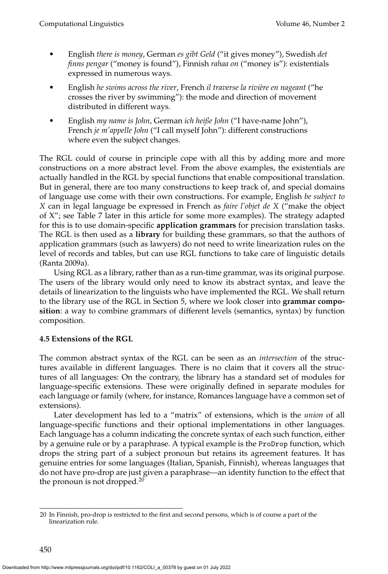- English *there is money*, German *es gibt Geld* ("it gives money"), Swedish *det finns pengar* ("money is found"), Finnish *rahaa on* ("money is"): existentials expressed in numerous ways.
- English *he swims across the river*, French *il traverse la rivi`ere en nageant* ("he crosses the river by swimming"): the mode and direction of movement distributed in different ways.
- English *my name is John*, German *ich heiße John* ("I have-name John"), French *je m'appelle John* ("I call myself John"): different constructions where even the subject changes.

The RGL could of course in principle cope with all this by adding more and more constructions on a more abstract level. From the above examples, the existentials are actually handled in the RGL by special functions that enable compositional translation. But in general, there are too many constructions to keep track of, and special domains of language use come with their own constructions. For example, English *be subject to X* can in legal language be expressed in French as *faire l'objet de X* ("make the object of X"; see Table [7](#page-32-0) later in this article for some more examples). The strategy adapted for this is to use domain-specific **application grammars** for precision translation tasks. The RGL is then used as a **library** for building these grammars, so that the authors of application grammars (such as lawyers) do not need to write linearization rules on the level of records and tables, but can use RGL functions to take care of linguistic details [\(Ranta 2009a\)](#page-0-0).

Using RGL as a library, rather than as a run-time grammar, was its original purpose. The users of the library would only need to know its abstract syntax, and leave the details of linearization to the linguists who have implemented the RGL. We shall return to the library use of the RGL in Section [5,](#page-27-0) where we look closer into **grammar composition**: a way to combine grammars of different levels (semantics, syntax) by function composition.

# <span id="page-25-1"></span>**4.5 Extensions of the RGL**

The common abstract syntax of the RGL can be seen as an *intersection* of the structures available in different languages. There is no claim that it covers all the structures of all languages: On the contrary, the library has a standard set of modules for language-specific extensions. These were originally defined in separate modules for each language or family (where, for instance, Romances language have a common set of extensions).

Later development has led to a "matrix" of extensions, which is the *union* of all language-specific functions and their optional implementations in other languages. Each language has a column indicating the concrete syntax of each such function, either by a genuine rule or by a paraphrase. A typical example is the ProDrop function, which drops the string part of a subject pronoun but retains its agreement features. It has genuine entries for some languages (Italian, Spanish, Finnish), whereas languages that do not have pro-drop are just given a paraphrase—an identity function to the effect that the pronoun is not dropped.<sup>[20](#page-25-0)</sup>

<span id="page-25-0"></span><sup>20</sup> In Finnish, pro-drop is restricted to the first and second persons, which is of course a part of the linearization rule.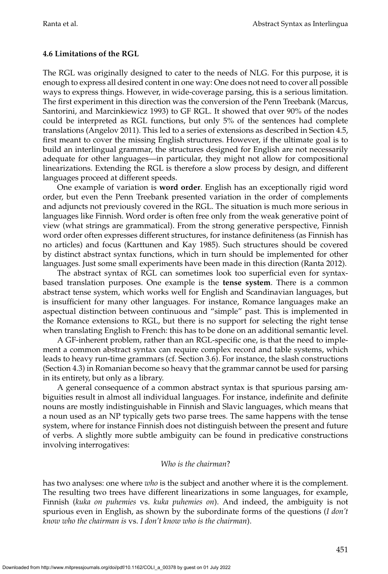### <span id="page-26-0"></span>**4.6 Limitations of the RGL**

The RGL was originally designed to cater to the needs of NLG. For this purpose, it is enough to express all desired content in one way: One does not need to cover all possible ways to express things. However, in wide-coverage parsing, this is a serious limitation. The first experiment in this direction was the conversion of the Penn Treebank [\(Marcus,](#page-0-0) [Santorini, and Marcinkiewicz 1993\)](#page-0-0) to GF RGL. It showed that over 90% of the nodes could be interpreted as RGL functions, but only 5% of the sentences had complete translations [\(Angelov 2011\)](#page-0-0). This led to a series of extensions as described in Section [4.5,](#page-25-1) first meant to cover the missing English structures. However, if the ultimate goal is to build an interlingual grammar, the structures designed for English are not necessarily adequate for other languages—in particular, they might not allow for compositional linearizations. Extending the RGL is therefore a slow process by design, and different languages proceed at different speeds.

One example of variation is **word order**. English has an exceptionally rigid word order, but even the Penn Treebank presented variation in the order of complements and adjuncts not previously covered in the RGL. The situation is much more serious in languages like Finnish. Word order is often free only from the weak generative point of view (what strings are grammatical). From the strong generative perspective, Finnish word order often expresses different structures, for instance definiteness (as Finnish has no articles) and focus [\(Karttunen and Kay 1985\)](#page-0-0). Such structures should be covered by distinct abstract syntax functions, which in turn should be implemented for other languages. Just some small experiments have been made in this direction [\(Ranta 2012\)](#page-0-0).

The abstract syntax of RGL can sometimes look too superficial even for syntaxbased translation purposes. One example is the **tense system**. There is a common abstract tense system, which works well for English and Scandinavian languages, but is insufficient for many other languages. For instance, Romance languages make an aspectual distinction between continuous and "simple" past. This is implemented in the Romance extensions to RGL, but there is no support for selecting the right tense when translating English to French: this has to be done on an additional semantic level.

A GF-inherent problem, rather than an RGL-specific one, is that the need to implement a common abstract syntax can require complex record and table systems, which leads to heavy run-time grammars (cf. Section [3.6\)](#page-18-1). For instance, the slash constructions (Section [4.3\)](#page-22-2) in Romanian become so heavy that the grammar cannot be used for parsing in its entirety, but only as a library.

A general consequence of a common abstract syntax is that spurious parsing ambiguities result in almost all individual languages. For instance, indefinite and definite nouns are mostly indistinguishable in Finnish and Slavic languages, which means that a noun used as an NP typically gets two parse trees. The same happens with the tense system, where for instance Finnish does not distinguish between the present and future of verbs. A slightly more subtle ambiguity can be found in predicative constructions involving interrogatives:

#### *Who is the chairman*?

has two analyses: one where *who* is the subject and another where it is the complement. The resulting two trees have different linearizations in some languages, for example, Finnish (*kuka on puhemies* vs. *kuka puhemies on*). And indeed, the ambiguity is not spurious even in English, as shown by the subordinate forms of the questions (*I don't know who the chairman is* vs. *I don't know who is the chairman*).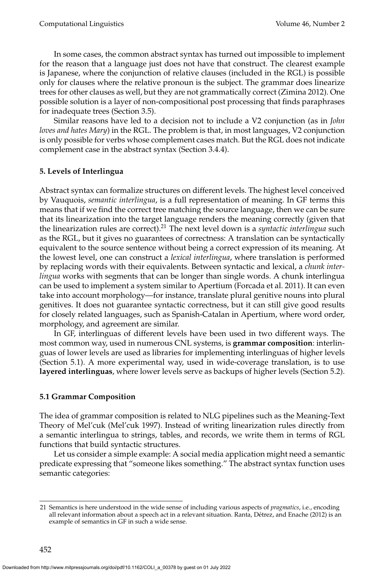In some cases, the common abstract syntax has turned out impossible to implement for the reason that a language just does not have that construct. The clearest example is Japanese, where the conjunction of relative clauses (included in the RGL) is possible only for clauses where the relative pronoun is the subject. The grammar does linearize trees for other clauses as well, but they are not grammatically correct [\(Zimina 2012\)](#page-0-0). One possible solution is a layer of non-compositional post processing that finds paraphrases for inadequate trees (Section [3.5\)](#page-17-0).

Similar reasons have led to a decision not to include a V2 conjunction (as in *John loves and hates Mary*) in the RGL. The problem is that, in most languages, V2 conjunction is only possible for verbs whose complement cases match. But the RGL does not indicate complement case in the abstract syntax (Section [3.4.4\)](#page-15-1).

# <span id="page-27-0"></span>**5. Levels of Interlingua**

Abstract syntax can formalize structures on different levels. The highest level conceived by Vauquois, *semantic interlingua*, is a full representation of meaning. In GF terms this means that if we find the correct tree matching the source language, then we can be sure that its linearization into the target language renders the meaning correctly (given that the linearization rules are correct).[21](#page-27-1) The next level down is a *syntactic interlingua* such as the RGL, but it gives no guarantees of correctness: A translation can be syntactically equivalent to the source sentence without being a correct expression of its meaning. At the lowest level, one can construct a *lexical interlingua*, where translation is performed by replacing words with their equivalents. Between syntactic and lexical, a *chunk interlingua* works with segments that can be longer than single words. A chunk interlingua can be used to implement a system similar to Apertium [\(Forcada et al. 2011\)](#page-0-0). It can even take into account morphology—for instance, translate plural genitive nouns into plural genitives. It does not guarantee syntactic correctness, but it can still give good results for closely related languages, such as Spanish-Catalan in Apertium, where word order, morphology, and agreement are similar.

In GF, interlinguas of different levels have been used in two different ways. The most common way, used in numerous CNL systems, is **grammar composition**: interlinguas of lower levels are used as libraries for implementing interlinguas of higher levels (Section [5.1\)](#page-27-2). A more experimental way, used in wide-coverage translation, is to use **layered interlinguas**, where lower levels serve as backups of higher levels (Section [5.2\)](#page-29-0).

### <span id="page-27-2"></span>**5.1 Grammar Composition**

The idea of grammar composition is related to NLG pipelines such as the Meaning-Text Theory of Mel'cuk [\(Mel'cuk 1997\)](#page-0-0). Instead of writing linearization rules directly from a semantic interlingua to strings, tables, and records, we write them in terms of RGL functions that build syntactic structures.

Let us consider a simple example: A social media application might need a semantic predicate expressing that "someone likes something." The abstract syntax function uses semantic categories:

<span id="page-27-1"></span><sup>21</sup> Semantics is here understood in the wide sense of including various aspects of *pragmatics*, i.e., encoding all relevant information about a speech act in a relevant situation. Ranta, Détrez, and Enache (2012) is an example of semantics in GF in such a wide sense.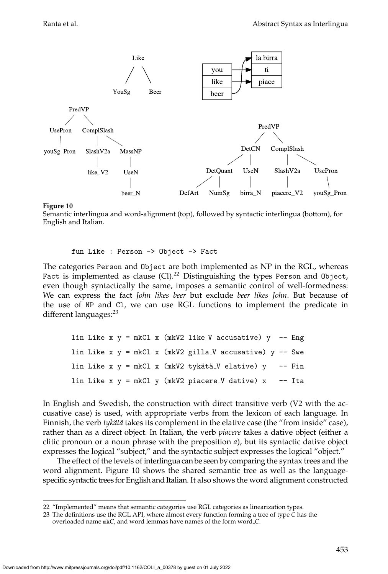![](_page_28_Figure_2.jpeg)

<span id="page-28-2"></span>Semantic interlingua and word-alignment (top), followed by syntactic interlingua (bottom), for English and Italian.

fun Like : Person -> Object -> Fact

The categories Person and Object are both implemented as NP in the RGL, whereas Fact is implemented as clause (Cl).<sup>[22](#page-28-0)</sup> Distinguishing the types Person and 0bject, even though syntactically the same, imposes a semantic control of well-formedness: We can express the fact *John likes beer* but exclude *beer likes John*. But because of the use of NP and Cl, we can use RGL functions to implement the predicate in different languages:<sup>[23](#page-28-1)</sup>

|  |  |  |  | lin Like x $y = mkCl x$ (mkV2 like_V accusative) $y - Eng$            |  |
|--|--|--|--|-----------------------------------------------------------------------|--|
|  |  |  |  | lin Like x $y = mkCl x$ (mkV2 gilla_V accusative) $y - Swe$           |  |
|  |  |  |  | lin Like x $y = mkCl x$ (mkV2 tykätä_V elative) $y \rightarrow$ - Fin |  |
|  |  |  |  | lin Like $x \, y = mkCl$ y (mkV2 piacere_V dative) $x$ -- Ita         |  |

In English and Swedish, the construction with direct transitive verb (V2 with the accusative case) is used, with appropriate verbs from the lexicon of each language. In Finnish, the verb *tykätä* takes its complement in the elative case (the "from inside" case), rather than as a direct object. In Italian, the verb *piacere* takes a dative object (either a clitic pronoun or a noun phrase with the preposition *a*), but its syntactic dative object expresses the logical "subject," and the syntactic subject expresses the logical "object."

The effect of the levels of interlingua can be seen by comparing the syntax trees and the word alignment. Figure [10](#page-28-2) shows the shared semantic tree as well as the languagespecific syntactic trees for English and Italian. It also shows the word alignment constructed

<span id="page-28-0"></span><sup>22 &</sup>quot;Implemented" means that semantic categories use RGL categories as linearization types.

<span id="page-28-1"></span><sup>23</sup> The definitions use the RGL API, where almost every function forming a tree of type *C* has the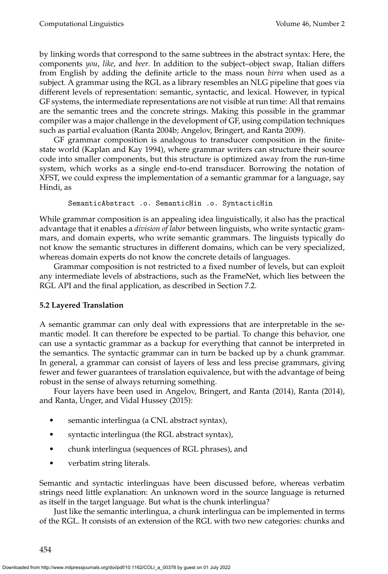by linking words that correspond to the same subtrees in the abstract syntax: Here, the components *you*, *like*, and *beer*. In addition to the subject–object swap, Italian differs from English by adding the definite article to the mass noun *birra* when used as a subject. A grammar using the RGL as a library resembles an NLG pipeline that goes via different levels of representation: semantic, syntactic, and lexical. However, in typical GF systems, the intermediate representations are not visible at run time: All that remains are the semantic trees and the concrete strings. Making this possible in the grammar compiler was a major challenge in the development of GF, using compilation techniques such as partial evaluation [\(Ranta 2004b; Angelov, Bringert, and Ranta 2009\)](#page-0-0).

GF grammar composition is analogous to transducer composition in the finitestate world [\(Kaplan and Kay 1994\)](#page-0-0), where grammar writers can structure their source code into smaller components, but this structure is optimized away from the run-time system, which works as a single end-to-end transducer. Borrowing the notation of XFST, we could express the implementation of a semantic grammar for a language, say Hindi, as

```
SemanticAbstract .o. SemanticHin .o. SyntacticHin
```
While grammar composition is an appealing idea linguistically, it also has the practical advantage that it enables a *division of labor* between linguists, who write syntactic grammars, and domain experts, who write semantic grammars. The linguists typically do not know the semantic structures in different domains, which can be very specialized, whereas domain experts do not know the concrete details of languages.

Grammar composition is not restricted to a fixed number of levels, but can exploit any intermediate levels of abstractions, such as the FrameNet, which lies between the RGL API and the final application, as described in Section [7.2.](#page-48-0)

# <span id="page-29-0"></span>**5.2 Layered Translation**

A semantic grammar can only deal with expressions that are interpretable in the semantic model. It can therefore be expected to be partial. To change this behavior, one can use a syntactic grammar as a backup for everything that cannot be interpreted in the semantics. The syntactic grammar can in turn be backed up by a chunk grammar. In general, a grammar can consist of layers of less and less precise grammars, giving fewer and fewer guarantees of translation equivalence, but with the advantage of being robust in the sense of always returning something.

Four layers have been used in [Angelov, Bringert, and Ranta \(2014\)](#page-0-0), [Ranta \(2014\)](#page-0-0), and [Ranta, Unger, and Vidal Hussey \(2015\)](#page-0-0):

- semantic interlingua (a CNL abstract syntax),
- syntactic interlingua (the RGL abstract syntax),
- chunk interlingua (sequences of RGL phrases), and
- verbatim string literals.

Semantic and syntactic interlinguas have been discussed before, whereas verbatim strings need little explanation: An unknown word in the source language is returned as itself in the target language. But what is the chunk interlingua?

Just like the semantic interlingua, a chunk interlingua can be implemented in terms of the RGL. It consists of an extension of the RGL with two new categories: chunks and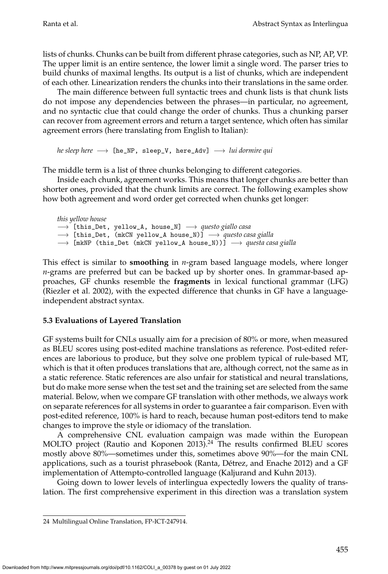lists of chunks. Chunks can be built from different phrase categories, such as NP, AP, VP. The upper limit is an entire sentence, the lower limit a single word. The parser tries to build chunks of maximal lengths. Its output is a list of chunks, which are independent of each other. Linearization renders the chunks into their translations in the same order.

The main difference between full syntactic trees and chunk lists is that chunk lists do not impose any dependencies between the phrases—in particular, no agreement, and no syntactic clue that could change the order of chunks. Thus a chunking parser can recover from agreement errors and return a target sentence, which often has similar agreement errors (here translating from English to Italian):

*he sleep here* → [he\_NP, sleep\_V, here\_Adv] → *lui dormire qui* 

The middle term is a list of three chunks belonging to different categories.

Inside each chunk, agreement works. This means that longer chunks are better than shorter ones, provided that the chunk limits are correct. The following examples show how both agreement and word order get corrected when chunks get longer:

*this yellow house* −→ [this\_Det, yellow\_A, house\_N] −→ *questo giallo casa* −→ [this\_Det, (mkCN yellow\_A house\_N)] −→ *questo casa gialla* → [mkNP (this\_Det (mkCN yellow\_A house\_N))] → *questa casa gialla* 

This effect is similar to **smoothing** in *n*-gram based language models, where longer *n*-grams are preferred but can be backed up by shorter ones. In grammar-based approaches, GF chunks resemble the **fragments** in lexical functional grammar (LFG) [\(Riezler et al. 2002\)](#page-0-0), with the expected difference that chunks in GF have a languageindependent abstract syntax.

# **5.3 Evaluations of Layered Translation**

GF systems built for CNLs usually aim for a precision of 80% or more, when measured as BLEU scores using post-edited machine translations as reference. Post-edited references are laborious to produce, but they solve one problem typical of rule-based MT, which is that it often produces translations that are, although correct, not the same as in a static reference. Static references are also unfair for statistical and neural translations, but do make more sense when the test set and the training set are selected from the same material. Below, when we compare GF translation with other methods, we always work on separate references for all systems in order to guarantee a fair comparison. Even with post-edited reference, 100% is hard to reach, because human post-editors tend to make changes to improve the style or idiomacy of the translation.

A comprehensive CNL evaluation campaign was made within the European MOLTO project [\(Rautio and Koponen 2013\)](#page-0-0).<sup>[24](#page-30-0)</sup> The results confirmed BLEU scores mostly above 80%—sometimes under this, sometimes above 90%—for the main CNL applications, such as a tourist phrasebook (Ranta, Détrez, and Enache 2012) and a GF implementation of Attempto-controlled language [\(Kaljurand and Kuhn 2013\)](#page-0-0).

Going down to lower levels of interlingua expectedly lowers the quality of translation. The first comprehensive experiment in this direction was a translation system

<span id="page-30-0"></span><sup>24</sup> Multilingual Online Translation, FP-ICT-247914.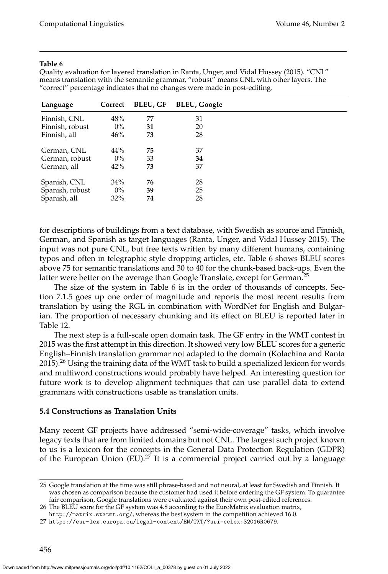#### **Table 6**

<span id="page-31-1"></span>Quality evaluation for layered translation in [Ranta, Unger, and Vidal Hussey \(2015\)](#page-0-0). "CNL" means translation with the semantic grammar, "robust" means CNL with other layers. The "correct" percentage indicates that no changes were made in post-editing.

| Language        | Correct | <b>BLEU, GF</b> | <b>BLEU, Google</b> |
|-----------------|---------|-----------------|---------------------|
| Finnish, CNL    | 48%     | 77              | 31                  |
| Finnish, robust | $0\%$   | 31              | 20                  |
| Finnish, all    | 46%     | 73              | 28                  |
| German, CNL     | 44%     | 75              | 37                  |
| German, robust  | $0\%$   | 33              | 34                  |
| German, all     | 42%     | 73              | 37                  |
| Spanish, CNL    | 34%     | 76              | 28                  |
| Spanish, robust | $0\%$   | 39              | 25                  |
| Spanish, all    | 32%     | 74              | 28                  |

for descriptions of buildings from a text database, with Swedish as source and Finnish, German, and Spanish as target languages [\(Ranta, Unger, and Vidal Hussey 2015\)](#page-0-0). The input was not pure CNL, but free texts written by many different humans, containing typos and often in telegraphic style dropping articles, etc. Table [6](#page-31-1) shows BLEU scores above 75 for semantic translations and 30 to 40 for the chunk-based back-ups. Even the latter were better on the average than Google Translate, except for German.<sup>[25](#page-31-2)</sup>

The size of the system in Table [6](#page-31-1) is in the order of thousands of concepts. Section [7.1.5](#page-47-0) goes up one order of magnitude and reports the most recent results from translation by using the RGL in combination with WordNet for English and Bulgarian. The proportion of necessary chunking and its effect on BLEU is reported later in Table [12.](#page-47-1)

The next step is a full-scale open domain task. The GF entry in the WMT contest in 2015 was the first attempt in this direction. It showed very low BLEU scores for a generic English–Finnish translation grammar not adapted to the domain [\(Kolachina and Ranta](#page-0-0)  $2015$ .<sup>[26](#page-31-3)</sup> Using the training data of the WMT task to build a specialized lexicon for words and multiword constructions would probably have helped. An interesting question for future work is to develop alignment techniques that can use parallel data to extend grammars with constructions usable as translation units.

### <span id="page-31-0"></span>**5.4 Constructions as Translation Units**

Many recent GF projects have addressed "semi-wide-coverage" tasks, which involve legacy texts that are from limited domains but not CNL. The largest such project known to us is a lexicon for the concepts in the General Data Protection Regulation (GDPR) of the European Union (EU).<sup>[27](#page-31-4)</sup> It is a commercial project carried out by a language

<span id="page-31-2"></span><sup>25</sup> Google translation at the time was still phrase-based and not neural, at least for Swedish and Finnish. It was chosen as comparison because the customer had used it before ordering the GF system. To guarantee fair comparison, Google translations were evaluated against their own post-edited references.

<span id="page-31-3"></span><sup>26</sup> The BLEU score for the GF system was 4.8 according to the EuroMatrix evaluation matrix,

<span id="page-31-4"></span><http://matrix.statmt.org/>, whereas the best system in the competition achieved 16.0.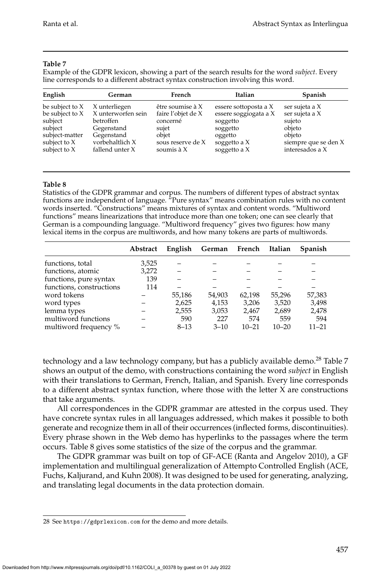#### **Table 7**

<span id="page-32-0"></span>Example of the GDPR lexicon, showing a part of the search results for the word *subject*. Every line corresponds to a different abstract syntax construction involving this word.

| English           | German             | French             | Italian               | <b>Spanish</b>       |
|-------------------|--------------------|--------------------|-----------------------|----------------------|
| be subject to $X$ | X unterliegen      | être soumise à $X$ | essere sottoposta a X | ser sujeta a X       |
| be subject to X   | X unterworfen sein | faire l'objet de X | essere soggiogata a X | ser sujeta a X       |
| subject           | betroffen          | concerné           | soggetto              | sujeto               |
| subject           | Gegenstand         | sujet              | soggetto              | objeto               |
| subject-matter    | Gegenstand         | objet              | oggetto               | objeto               |
| subject to X      | vorbehaltlich X    | sous reserve de X  | soggetto a X          | siempre que se den X |
| subject to X      | fallend unter $X$  | soumis $\lambda$ X | soggetto a X          | interesados a X      |

#### **Table 8**

<span id="page-32-2"></span>Statistics of the GDPR grammar and corpus. The numbers of different types of abstract syntax functions are independent of language. "Pure syntax" means combination rules with no content words inserted. "Constructions" means mixtures of syntax and content words. "Multiword functions" means linearizations that introduce more than one token; one can see clearly that German is a compounding language. "Multiword frequency" gives two figures: how many lexical items in the corpus are multiwords, and how many tokens are parts of multiwords.

|                          | Abstract | English  | German French |           | Italian   | Spanish   |
|--------------------------|----------|----------|---------------|-----------|-----------|-----------|
| functions, total         | 3,525    |          |               |           |           |           |
| functions, atomic        | 3,272    |          |               |           |           |           |
| functions, pure syntax   | 139      |          |               |           |           |           |
| functions, constructions | 114      |          |               |           |           |           |
| word tokens              |          | 55,186   | 54,903        | 62,198    | 55.296    | 57,383    |
| word types               |          | 2,625    | 4,153         | 3,206     | 3,520     | 3,498     |
| lemma types              |          | 2,555    | 3,053         | 2,467     | 2,689     | 2,478     |
| multiword functions      |          | 590      | 227           | 574       | 559       | 594       |
| multiword frequency %    |          | $8 - 13$ | $3 - 10$      | $10 - 21$ | $10 - 20$ | $11 - 21$ |

technology and a law technology company, but has a publicly available demo.<sup>[28](#page-32-1)</sup> Table [7](#page-32-0) shows an output of the demo, with constructions containing the word *subject* in English with their translations to German, French, Italian, and Spanish. Every line corresponds to a different abstract syntax function, where those with the letter X are constructions that take arguments.

All correspondences in the GDPR grammar are attested in the corpus used. They have concrete syntax rules in all languages addressed, which makes it possible to both generate and recognize them in all of their occurrences (inflected forms, discontinuities). Every phrase shown in the Web demo has hyperlinks to the passages where the term occurs. Table [8](#page-32-2) gives some statistics of the size of the corpus and the grammar.

The GDPR grammar was built on top of GF-ACE [\(Ranta and Angelov 2010\)](#page-0-0), a GF implementation and multilingual generalization of Attempto Controlled English (ACE, Fuchs, Kaljurand, and Kuhn [2008\)](#page-0-0). It was designed to be used for generating, analyzing, and translating legal documents in the data protection domain.

<span id="page-32-1"></span><sup>28</sup> See <https://gdprlexicon.com> for the demo and more details.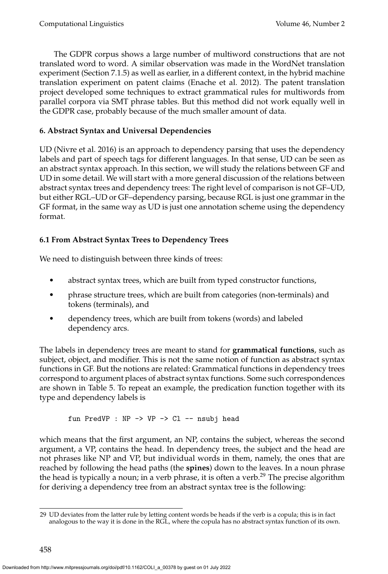The GDPR corpus shows a large number of multiword constructions that are not translated word to word. A similar observation was made in the WordNet translation experiment (Section [7.1.5\)](#page-47-0) as well as earlier, in a different context, in the hybrid machine translation experiment on patent claims [\(Enache et al. 2012\)](#page-0-0). The patent translation project developed some techniques to extract grammatical rules for multiwords from parallel corpora via SMT phrase tables. But this method did not work equally well in the GDPR case, probably because of the much smaller amount of data.

# <span id="page-33-0"></span>**6. Abstract Syntax and Universal Dependencies**

UD [\(Nivre et al. 2016\)](#page-0-0) is an approach to dependency parsing that uses the dependency labels and part of speech tags for different languages. In that sense, UD can be seen as an abstract syntax approach. In this section, we will study the relations between GF and UD in some detail. We will start with a more general discussion of the relations between abstract syntax trees and dependency trees: The right level of comparison is not GF–UD, but either RGL–UD or GF–dependency parsing, because RGL is just one grammar in the GF format, in the same way as UD is just one annotation scheme using the dependency format.

# **6.1 From Abstract Syntax Trees to Dependency Trees**

We need to distinguish between three kinds of trees:

- abstract syntax trees, which are built from typed constructor functions,
- phrase structure trees, which are built from categories (non-terminals) and tokens (terminals), and
- dependency trees, which are built from tokens (words) and labeled dependency arcs.

The labels in dependency trees are meant to stand for **grammatical functions**, such as subject, object, and modifier. This is not the same notion of function as abstract syntax functions in GF. But the notions are related: Grammatical functions in dependency trees correspond to argument places of abstract syntax functions. Some such correspondences are shown in Table [5.](#page-24-0) To repeat an example, the predication function together with its type and dependency labels is

fun PredVP : NP -> VP -> Cl -- nsubj head

which means that the first argument, an NP, contains the subject, whereas the second argument, a VP, contains the head. In dependency trees, the subject and the head are not phrases like NP and VP, but individual words in them, namely, the ones that are reached by following the head paths (the **spines**) down to the leaves. In a noun phrase the head is typically a noun; in a verb phrase, it is often a verb.<sup>[29](#page-33-1)</sup> The precise algorithm for deriving a dependency tree from an abstract syntax tree is the following:

<span id="page-33-1"></span><sup>29</sup> UD deviates from the latter rule by letting content words be heads if the verb is a copula; this is in fact analogous to the way it is done in the RGL, where the copula has no abstract syntax function of its own.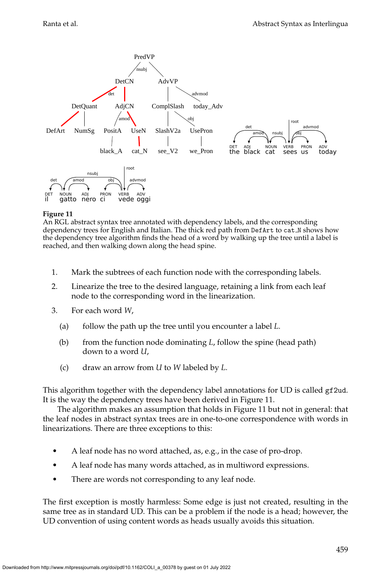![](_page_34_Figure_2.jpeg)

<span id="page-34-0"></span>An RGL abstract syntax tree annotated with dependency labels, and the corresponding dependency trees for English and Italian. The thick red path from DefArt to cat N shows how the dependency tree algorithm finds the head of a word by walking up the tree until a label is reached, and then walking down along the head spine.

- 1. Mark the subtrees of each function node with the corresponding labels.
- 2. Linearize the tree to the desired language, retaining a link from each leaf node to the corresponding word in the linearization.
- 3. For each word *W*,
	- (a) follow the path up the tree until you encounter a label *L*.
	- (b) from the function node dominating *L*, follow the spine (head path) down to a word *U*,
	- (c) draw an arrow from *U* to *W* labeled by *L*.

This algorithm together with the dependency label annotations for UD is called gf2ud. It is the way the dependency trees have been derived in Figure [11.](#page-34-0)

The algorithm makes an assumption that holds in Figure [11](#page-34-0) but not in general: that the leaf nodes in abstract syntax trees are in one-to-one correspondence with words in linearizations. There are three exceptions to this:

- A leaf node has no word attached, as, e.g., in the case of pro-drop.
- A leaf node has many words attached, as in multiword expressions.
- There are words not corresponding to any leaf node.

The first exception is mostly harmless: Some edge is just not created, resulting in the same tree as in standard UD. This can be a problem if the node is a head; however, the UD convention of using content words as heads usually avoids this situation.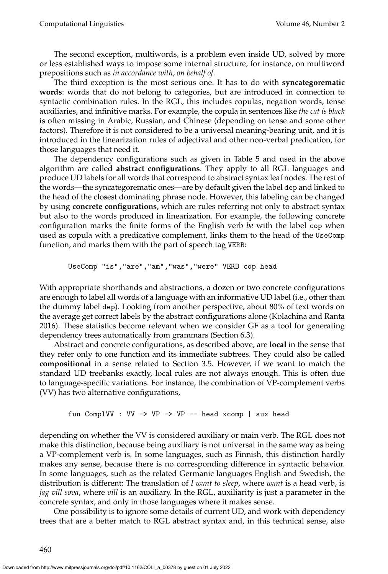The second exception, multiwords, is a problem even inside UD, solved by more or less established ways to impose some internal structure, for instance, on multiword prepositions such as *in accordance with*, *on behalf of*.

The third exception is the most serious one. It has to do with **syncategorematic words**: words that do not belong to categories, but are introduced in connection to syntactic combination rules. In the RGL, this includes copulas, negation words, tense auxiliaries, and infinitive marks. For example, the copula in sentences like *the cat is black* is often missing in Arabic, Russian, and Chinese (depending on tense and some other factors). Therefore it is not considered to be a universal meaning-bearing unit, and it is introduced in the linearization rules of adjectival and other non-verbal predication, for those languages that need it.

The dependency configurations such as given in Table [5](#page-24-0) and used in the above algorithm are called **abstract configurations**. They apply to all RGL languages and produce UD labels for all words that correspond to abstract syntax leaf nodes. The rest of the words—the syncategorematic ones—are by default given the label dep and linked to the head of the closest dominating phrase node. However, this labeling can be changed by using **concrete configurations**, which are rules referring not only to abstract syntax but also to the words produced in linearization. For example, the following concrete configuration marks the finite forms of the English verb *be* with the label cop when used as copula with a predicative complement, links them to the head of the UseComp function, and marks them with the part of speech tag VERB:

UseComp "is","are","am","was","were" VERB cop head

With appropriate shorthands and abstractions, a dozen or two concrete configurations are enough to label all words of a language with an informative UD label (i.e., other than the dummy label dep). Looking from another perspective, about 80% of text words on the average get correct labels by the abstract configurations alone [\(Kolachina and Ranta](#page-0-0) [2016\)](#page-0-0). These statistics become relevant when we consider GF as a tool for generating dependency trees automatically from grammars (Section [6.3\)](#page-37-0).

Abstract and concrete configurations, as described above, are **local** in the sense that they refer only to one function and its immediate subtrees. They could also be called **compositional** in a sense related to Section [3.5.](#page-17-0) However, if we want to match the standard UD treebanks exactly, local rules are not always enough. This is often due to language-specific variations. For instance, the combination of VP-complement verbs (VV) has two alternative configurations,

fun ComplVV : VV -> VP -> VP -- head xcomp | aux head

depending on whether the VV is considered auxiliary or main verb. The RGL does not make this distinction, because being auxiliary is not universal in the same way as being a VP-complement verb is. In some languages, such as Finnish, this distinction hardly makes any sense, because there is no corresponding difference in syntactic behavior. In some languages, such as the related Germanic languages English and Swedish, the distribution is different: The translation of *I want to sleep*, where *want* is a head verb, is *jag vill sova*, where *vill* is an auxiliary. In the RGL, auxiliarity is just a parameter in the concrete syntax, and only in those languages where it makes sense.

One possibility is to ignore some details of current UD, and work with dependency trees that are a better match to RGL abstract syntax and, in this technical sense, also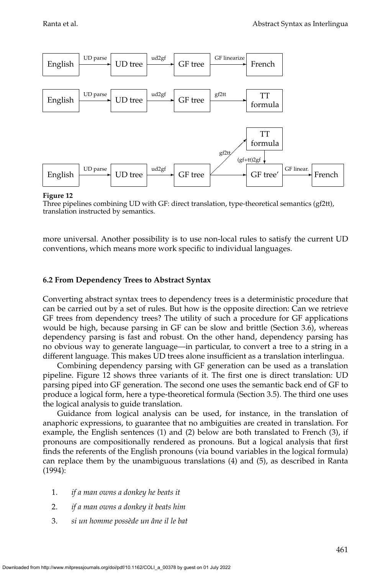![](_page_36_Figure_2.jpeg)

<span id="page-36-0"></span>Three pipelines combining UD with GF: direct translation, type-theoretical semantics (gf2tt), translation instructed by semantics.

more universal. Another possibility is to use non-local rules to satisfy the current UD conventions, which means more work specific to individual languages.

#### **6.2 From Dependency Trees to Abstract Syntax**

Converting abstract syntax trees to dependency trees is a deterministic procedure that can be carried out by a set of rules. But how is the opposite direction: Can we retrieve GF trees from dependency trees? The utility of such a procedure for GF applications would be high, because parsing in GF can be slow and brittle (Section [3.6\)](#page-18-1), whereas dependency parsing is fast and robust. On the other hand, dependency parsing has no obvious way to generate language—in particular, to convert a tree to a string in a different language. This makes UD trees alone insufficient as a translation interlingua.

Combining dependency parsing with GF generation can be used as a translation pipeline. Figure [12](#page-36-0) shows three variants of it. The first one is direct translation: UD parsing piped into GF generation. The second one uses the semantic back end of GF to produce a logical form, here a type-theoretical formula (Section [3.5\)](#page-17-0). The third one uses the logical analysis to guide translation.

Guidance from logical analysis can be used, for instance, in the translation of anaphoric expressions, to guarantee that no ambiguities are created in translation. For example, the English sentences (1) and (2) below are both translated to French (3), if pronouns are compositionally rendered as pronouns. But a logical analysis that first finds the referents of the English pronouns (via bound variables in the logical formula) can replace them by the unambiguous translations (4) and (5), as described in [Ranta](#page-0-0) [\(1994\)](#page-0-0):

- 1. *if a man owns a donkey he beats it*
- 2. *if a man owns a donkey it beats him*
- 3. *si un homme poss`ede un ˆane il le bat*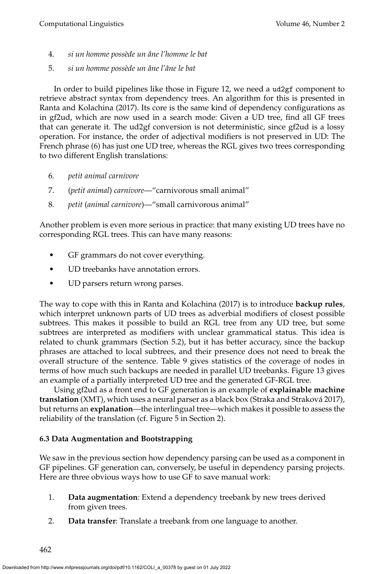- 4. *si un homme poss`ede un ˆane l'homme le bat*
- 5. *si un homme poss`ede un ˆane l'ˆane le bat*

In order to build pipelines like those in Figure [12,](#page-36-0) we need a ud2gf component to retrieve abstract syntax from dependency trees. An algorithm for this is presented in [Ranta and Kolachina \(2017\)](#page-0-0). Its core is the same kind of dependency configurations as in gf2ud, which are now used in a search mode: Given a UD tree, find all GF trees that can generate it. The ud2gf conversion is not deterministic, since gf2ud is a lossy operation. For instance, the order of adjectival modifiers is not preserved in UD: The French phrase (6) has just one UD tree, whereas the RGL gives two trees corresponding to two different English translations:

- 6. *petit animal carnivore*
- 7. (*petit animal*) *carnivore*—"carnivorous small animal"
- 8. *petit* (*animal carnivore*)—"small carnivorous animal"

Another problem is even more serious in practice: that many existing UD trees have no corresponding RGL trees. This can have many reasons:

- GF grammars do not cover everything.
- UD treebanks have annotation errors.
- UD parsers return wrong parses.

The way to cope with this in [Ranta and Kolachina \(2017\)](#page-0-0) is to introduce **backup rules**, which interpret unknown parts of UD trees as adverbial modifiers of closest possible subtrees. This makes it possible to build an RGL tree from any UD tree, but some subtrees are interpreted as modifiers with unclear grammatical status. This idea is related to chunk grammars (Section [5.2\)](#page-29-0), but it has better accuracy, since the backup phrases are attached to local subtrees, and their presence does not need to break the overall structure of the sentence. Table [9](#page-38-0) gives statistics of the coverage of nodes in terms of how much such backups are needed in parallel UD treebanks. Figure [13](#page-38-1) gives an example of a partially interpreted UD tree and the generated GF-RGL tree.

Using gf2ud as a front end to GF generation is an example of **explainable machine translation** (XMT), which uses a neural parser as a black box [\(Straka and Strakova 2017\)](#page-0-0), ´ but returns an **explanation**—the interlingual tree—which makes it possible to assess the reliability of the translation (cf. Figure [5](#page-8-0) in Section [2\)](#page-4-1).

# <span id="page-37-0"></span>**6.3 Data Augmentation and Bootstrapping**

We saw in the previous section how dependency parsing can be used as a component in GF pipelines. GF generation can, conversely, be useful in dependency parsing projects. Here are three obvious ways how to use GF to save manual work:

- 1. **Data augmentation**: Extend a dependency treebank by new trees derived from given trees.
- 2. **Data transfer**: Translate a treebank from one language to another.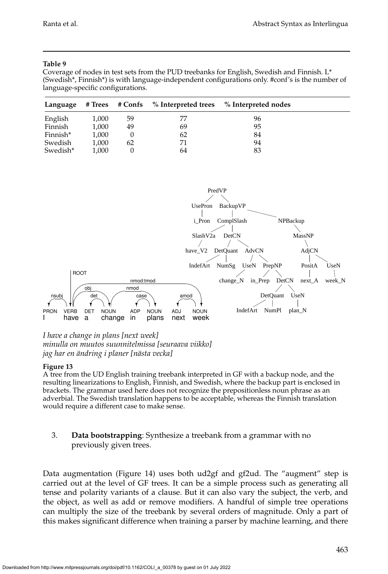#### **Table 9**

<span id="page-38-0"></span>Coverage of nodes in test sets from the PUD treebanks for English, Swedish and Finnish. L\* (Swedish\*, Finnish\*) is with language-independent configurations only. #conf's is the number of language-specific configurations.

| Language |       | # Trees # Confs | $\%$ Interpreted trees | % Interpreted nodes |  |
|----------|-------|-----------------|------------------------|---------------------|--|
| English  | 1,000 | 59              | 77                     | 96                  |  |
| Finnish  | 1,000 | 49              | 69                     | 95                  |  |
| Finnish* | 1,000 |                 | 62                     | 84                  |  |
| Swedish  | 1,000 | 62              | 71                     | 94                  |  |
| Swedish* | 1.000 |                 | 64                     | 83                  |  |

![](_page_38_Figure_5.jpeg)

# *I have a change in plans [next week] minulla on muutos suunnitelmissa [seuraava viikko] jag har en ¨andring i planer [n¨asta vecka]*

#### **Figure 13**

<span id="page-38-1"></span>A tree from the UD English training treebank interpreted in GF with a backup node, and the resulting linearizations to English, Finnish, and Swedish, where the backup part is enclosed in brackets. The grammar used here does not recognize the prepositionless noun phrase as an adverbial. The Swedish translation happens to be acceptable, whereas the Finnish translation would require a different case to make sense.

# 3. **Data bootstrapping**: Synthesize a treebank from a grammar with no previously given trees.

Data augmentation (Figure [14\)](#page-39-0) uses both ud2gf and gf2ud. The "augment" step is carried out at the level of GF trees. It can be a simple process such as generating all tense and polarity variants of a clause. But it can also vary the subject, the verb, and the object, as well as add or remove modifiers. A handful of simple tree operations can multiply the size of the treebank by several orders of magnitude. Only a part of this makes significant difference when training a parser by machine learning, and there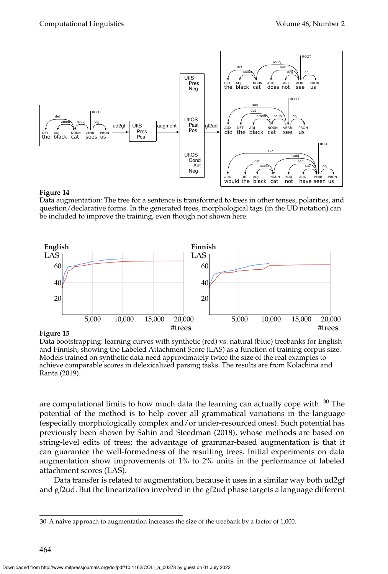![](_page_39_Figure_2.jpeg)

<span id="page-39-0"></span>Data augmentation: The tree for a sentence is transformed to trees in other tenses, polarities, and question/declarative forms. In the generated trees, morphological tags (in the UD notation) can be included to improve the training, even though not shown here.

![](_page_39_Figure_5.jpeg)

**Figure 15**

<span id="page-39-2"></span>Data bootstrapping: learning curves with synthetic (red) vs. natural (blue) treebanks for English and Finnish, showing the Labeled Attachment Score (LAS) as a function of training corpus size. Models trained on synthetic data need approximately twice the size of the real examples to achieve comparable scores in delexicalized parsing tasks. The results are from [Kolachina and](#page-0-0) [Ranta \(2019\)](#page-0-0).

are computational limits to how much data the learning can actually cope with.  $30$  The potential of the method is to help cover all grammatical variations in the language (especially morphologically complex and/or under-resourced ones). Such potential has previously been shown by [Sahin and Steedman \(2018\)](#page-0-0), whose methods are based on string-level edits of trees; the advantage of grammar-based augmentation is that it can guarantee the well-formedness of the resulting trees. Initial experiments on data augmentation show improvements of 1% to 2% units in the performance of labeled attachment scores (LAS).

Data transfer is related to augmentation, because it uses in a similar way both ud2gf and gf2ud. But the linearization involved in the gf2ud phase targets a language different

<span id="page-39-1"></span><sup>30</sup> A naive approach to augmentation increases the size of the treebank by a factor of 1,000.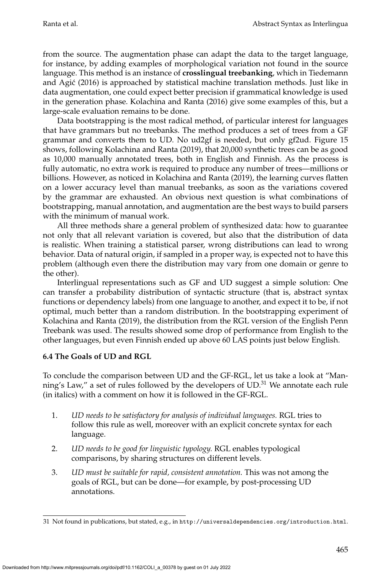from the source. The augmentation phase can adapt the data to the target language, for instance, by adding examples of morphological variation not found in the source language. This method is an instance of **crosslingual treebanking**, which in [Tiedemann](#page-0-0) [and Agic \(2016\)](#page-0-0) is approached by statistical machine translation methods. Just like in ´ data augmentation, one could expect better precision if grammatical knowledge is used in the generation phase. [Kolachina and Ranta \(2016\)](#page-0-0) give some examples of this, but a large-scale evaluation remains to be done.

Data bootstrapping is the most radical method, of particular interest for languages that have grammars but no treebanks. The method produces a set of trees from a GF grammar and converts them to UD. No ud2gf is needed, but only gf2ud. Figure [15](#page-39-2) shows, following [Kolachina and Ranta \(2019\)](#page-0-0), that 20,000 synthetic trees can be as good as 10,000 manually annotated trees, both in English and Finnish. As the process is fully automatic, no extra work is required to produce any number of trees—millions or billions. However, as noticed in [Kolachina and Ranta \(2019\)](#page-0-0), the learning curves flatten on a lower accuracy level than manual treebanks, as soon as the variations covered by the grammar are exhausted. An obvious next question is what combinations of bootstrapping, manual annotation, and augmentation are the best ways to build parsers with the minimum of manual work.

All three methods share a general problem of synthesized data: how to guarantee not only that all relevant variation is covered, but also that the distribution of data is realistic. When training a statistical parser, wrong distributions can lead to wrong behavior. Data of natural origin, if sampled in a proper way, is expected not to have this problem (although even there the distribution may vary from one domain or genre to the other).

Interlingual representations such as GF and UD suggest a simple solution: One can transfer a probability distribution of syntactic structure (that is, abstract syntax functions or dependency labels) from one language to another, and expect it to be, if not optimal, much better than a random distribution. In the bootstrapping experiment of [Kolachina and Ranta \(2019\)](#page-0-0), the distribution from the RGL version of the English Penn Treebank was used. The results showed some drop of performance from English to the other languages, but even Finnish ended up above 60 LAS points just below English.

# **6.4 The Goals of UD and RGL**

To conclude the comparison between UD and the GF-RGL, let us take a look at "Manning's Law," a set of rules followed by the developers of  $UD$ <sup>[31](#page-40-0)</sup>. We annotate each rule (in italics) with a comment on how it is followed in the GF-RGL.

- 1. *UD needs to be satisfactory for analysis of individual languages.* RGL tries to follow this rule as well, moreover with an explicit concrete syntax for each language.
- 2. *UD needs to be good for linguistic typology.* RGL enables typological comparisons, by sharing structures on different levels.
- 3. *UD must be suitable for rapid, consistent annotation.* This was not among the goals of RGL, but can be done—for example, by post-processing UD annotations.

<span id="page-40-0"></span><sup>31</sup> Not found in publications, but stated, e.g., in <http://universaldependencies.org/introduction.html>.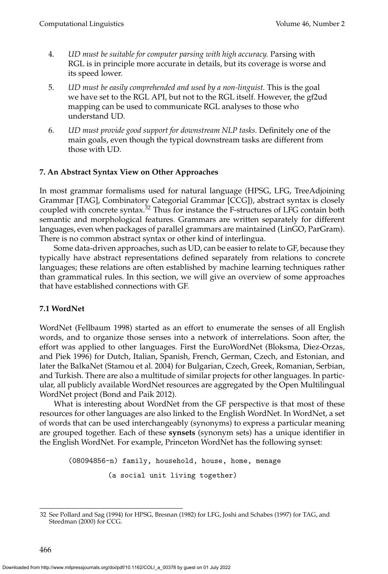- 4. *UD must be suitable for computer parsing with high accuracy.* Parsing with RGL is in principle more accurate in details, but its coverage is worse and its speed lower.
- 5. *UD must be easily comprehended and used by a non-linguist.* This is the goal we have set to the RGL API, but not to the RGL itself. However, the gf2ud mapping can be used to communicate RGL analyses to those who understand UD.
- 6. *UD must provide good support for downstream NLP tasks.* Definitely one of the main goals, even though the typical downstream tasks are different from those with UD.

# <span id="page-41-0"></span>**7. An Abstract Syntax View on Other Approaches**

In most grammar formalisms used for natural language (HPSG, LFG, TreeAdjoining Grammar [TAG], Combinatory Categorial Grammar [CCG]), abstract syntax is closely coupled with concrete syntax.<sup>[32](#page-41-2)</sup> Thus for instance the F-structures of LFG contain both semantic and morphological features. Grammars are written separately for different languages, even when packages of parallel grammars are maintained (LinGO, ParGram). There is no common abstract syntax or other kind of interlingua.

Some data-driven approaches, such as UD, can be easier to relate to GF, because they typically have abstract representations defined separately from relations to concrete languages; these relations are often established by machine learning techniques rather than grammatical rules. In this section, we will give an overview of some approaches that have established connections with GF.

### <span id="page-41-1"></span>**7.1 WordNet**

WordNet [\(Fellbaum 1998\)](#page-0-0) started as an effort to enumerate the senses of all English words, and to organize those senses into a network of interrelations. Soon after, the effort was applied to other languages. First the EuroWordNet [\(Bloksma, Diez-Orzas,](#page-0-0) [and Piek 1996\)](#page-0-0) for Dutch, Italian, Spanish, French, German, Czech, and Estonian, and later the BalkaNet [\(Stamou et al. 2004\)](#page-0-0) for Bulgarian, Czech, Greek, Romanian, Serbian, and Turkish. There are also a multitude of similar projects for other languages. In particular, all publicly available WordNet resources are aggregated by the Open Multilingual WordNet project [\(Bond and Paik 2012\)](#page-0-0).

What is interesting about WordNet from the GF perspective is that most of these resources for other languages are also linked to the English WordNet. In WordNet, a set of words that can be used interchangeably (synonyms) to express a particular meaning are grouped together. Each of these **synsets** (synonym sets) has a unique identifier in the English WordNet. For example, Princeton WordNet has the following synset:

(08094856-n) family, household, house, home, menage (a social unit living together)

<span id="page-41-2"></span><sup>32</sup> See [Pollard and Sag \(1994\)](#page-0-0) for HPSG, [Bresnan \(1982\)](#page-0-0) for LFG, [Joshi and Schabes \(1997\)](#page-0-0) for TAG, and [Steedman \(2000\)](#page-0-0) for CCG.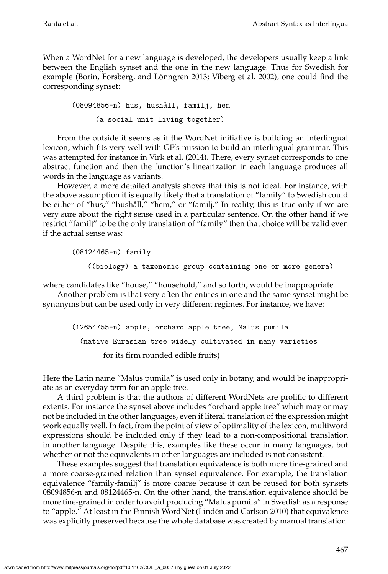When a WordNet for a new language is developed, the developers usually keep a link between the English synset and the one in the new language. Thus for Swedish for example (Borin, Forsberg, and Lönngren 2013; Viberg et al. 2002), one could find the corresponding synset:

(08094856-n) hus, hushåll, familj, hem (a social unit living together)

From the outside it seems as if the WordNet initiative is building an interlingual lexicon, which fits very well with GF's mission to build an interlingual grammar. This was attempted for instance in [Virk et al. \(2014\)](#page-0-0). There, every synset corresponds to one abstract function and then the function's linearization in each language produces all words in the language as variants.

However, a more detailed analysis shows that this is not ideal. For instance, with the above assumption it is equally likely that a translation of "family" to Swedish could be either of "hus," "hushåll," "hem," or "familj." In reality, this is true only if we are very sure about the right sense used in a particular sentence. On the other hand if we restrict "familj" to be the only translation of "family" then that choice will be valid even if the actual sense was:

(08124465-n) family

((biology) a taxonomic group containing one or more genera)

where candidates like "house," "household," and so forth, would be inappropriate.

Another problem is that very often the entries in one and the same synset might be synonyms but can be used only in very different regimes. For instance, we have:

(12654755-n) apple, orchard apple tree, Malus pumila (native Eurasian tree widely cultivated in many varieties for its firm rounded edible fruits)

Here the Latin name "Malus pumila" is used only in botany, and would be inappropriate as an everyday term for an apple tree.

A third problem is that the authors of different WordNets are prolific to different extents. For instance the synset above includes "orchard apple tree" which may or may not be included in the other languages, even if literal translation of the expression might work equally well. In fact, from the point of view of optimality of the lexicon, multiword expressions should be included only if they lead to a non-compositional translation in another language. Despite this, examples like these occur in many languages, but whether or not the equivalents in other languages are included is not consistent.

These examples suggest that translation equivalence is both more fine-grained and a more coarse-grained relation than synset equivalence. For example, the translation equivalence "family-familj" is more coarse because it can be reused for both synsets 08094856-n and 08124465-n. On the other hand, the translation equivalence should be more fine-grained in order to avoid producing "Malus pumila" in Swedish as a response to "apple." At least in the Finnish WordNet (Lindén and Carlson 2010) that equivalence was explicitly preserved because the whole database was created by manual translation.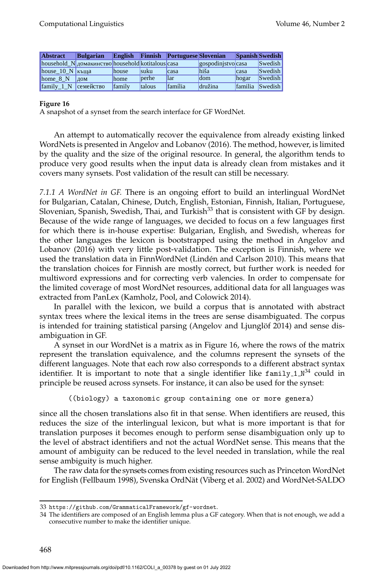| <b>Abstract</b>   | <b>Bulgarian</b>                                  |        |               | English Finnish Portuguese Slovenian |                   |                | <b>Spanish Swedish</b> |
|-------------------|---------------------------------------------------|--------|---------------|--------------------------------------|-------------------|----------------|------------------------|
|                   | household N домакинство household kotitalous casa |        |               |                                      | gospodinjstvocasa |                | <b>Swedish</b>         |
| house $10 N$ къща |                                                   | house  | <b>suku</b>   | Icasa                                | hiša              | Icasa          | <b>Swedish</b>         |
| home 8 N          | 10M                                               | home   | berhe         | llar                                 | dom               | hogar          | <b>Swedish</b>         |
| family 1 N        | семейство                                         | family | <b>talous</b> | família                              | družina           | <i>familia</i> | Swedish                |

<span id="page-43-1"></span>A snapshot of a synset from the search interface for GF WordNet.

An attempt to automatically recover the equivalence from already existing linked WordNets is presented in [Angelov and Lobanov \(2016\)](#page-0-0). The method, however, is limited by the quality and the size of the original resource. In general, the algorithm tends to produce very good results when the input data is already clean from mistakes and it covers many synsets. Post validation of the result can still be necessary.

*7.1.1 A WordNet in GF.* There is an ongoing effort to build an interlingual WordNet for Bulgarian, Catalan, Chinese, Dutch, English, Estonian, Finnish, Italian, Portuguese, Slovenian, Spanish, Swedish, Thai, and Turkish $33$  that is consistent with GF by design. Because of the wide range of languages, we decided to focus on a few languages first for which there is in-house expertise: Bulgarian, English, and Swedish, whereas for the other languages the lexicon is bootstrapped using the method in [Angelov and](#page-0-0) [Lobanov \(2016\)](#page-0-0) with very little post-validation. The exception is Finnish, where we used the translation data in FinnWordNet (Lindén and Carlson 2010). This means that the translation choices for Finnish are mostly correct, but further work is needed for multiword expressions and for correcting verb valencies. In order to compensate for the limited coverage of most WordNet resources, additional data for all languages was extracted from PanLex [\(Kamholz, Pool, and Colowick 2014\)](#page-0-0).

In parallel with the lexicon, we build a corpus that is annotated with abstract syntax trees where the lexical items in the trees are sense disambiguated. The corpus is intended for training statistical parsing (Angelov and Ljunglöf 2014) and sense disambiguation in GF.

A synset in our WordNet is a matrix as in Figure [16,](#page-43-1) where the rows of the matrix represent the translation equivalence, and the columns represent the synsets of the different languages. Note that each row also corresponds to a different abstract syntax identifier. It is important to note that a single identifier like <code>family\_1\_N $^{34}$  $^{34}$  $^{34}$ </code> could in principle be reused across synsets. For instance, it can also be used for the synset:

((biology) a taxonomic group containing one or more genera)

since all the chosen translations also fit in that sense. When identifiers are reused, this reduces the size of the interlingual lexicon, but what is more important is that for translation purposes it becomes enough to perform sense disambiguation only up to the level of abstract identifiers and not the actual WordNet sense. This means that the amount of ambiguity can be reduced to the level needed in translation, while the real sense ambiguity is much higher.

The raw data for the synsets comes from existing resources such as Princeton WordNet for English [\(Fellbaum 1998\)](#page-0-0), Svenska OrdNät [\(Viberg et al. 2002\)](#page-0-0) and WordNet-SALDO

<span id="page-43-0"></span><sup>33</sup> <https://github.com/GrammaticalFramework/gf-wordnet>.

<span id="page-43-2"></span><sup>34</sup> The identifiers are composed of an English lemma plus a GF category. When that is not enough, we add a consecutive number to make the identifier unique.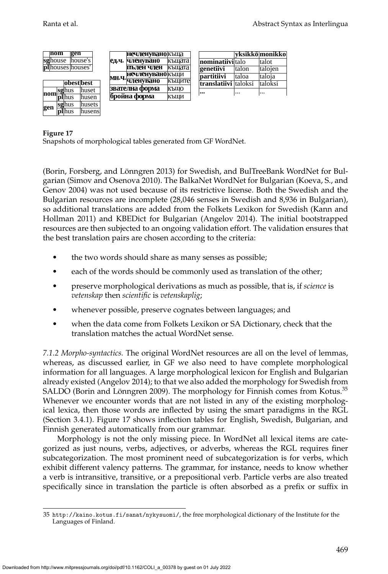|         | nom |  | gen                      |            |  |                             | нечленувано къща        |                      |                  |          | vksikkö monikko |
|---------|-----|--|--------------------------|------------|--|-----------------------------|-------------------------|----------------------|------------------|----------|-----------------|
| sghouse |     |  |                          | lhouse's l |  | ед.ч.                       | членувано               | къшата               | nominatiiviltalo |          | talot           |
|         |     |  | <b>pl</b> houses houses' |            |  |                             | пълен член              | къшата               | genetiivi        | Italon   | talojen         |
|         |     |  |                          |            |  |                             | <b>Нечленувано</b> къщи |                      | partitiivi       | Italoa   | taloja          |
|         |     |  | obestbest                |            |  | мн.ч. <sub>Ч</sub> ленувано | къшите                  | translatiivi taloksi |                  | Italoksi |                 |
|         |     |  |                          | lhuset     |  |                             | звателна форма          | КЪШО                 |                  |          |                 |
|         |     |  | nom <b>sghus</b>         | lhusen     |  |                             | бройна форма            | КЪШИ                 | $\cdots$         | $\cdots$ | $\cdots$        |
|         |     |  | sghus                    | lhusets    |  |                             |                         |                      |                  |          |                 |
| gen     |     |  | plhus                    | lhusensl   |  |                             |                         |                      |                  |          |                 |

<span id="page-44-1"></span>Snapshots of morphological tables generated from GF WordNet.

(Borin, Forsberg, and Lönngren 2013) for Swedish, and BulTreeBank WordNet for Bulgarian [\(Simov and Osenova 2010\)](#page-0-0). The BalkaNet WordNet for Bulgarian [\(Koeva, S., and](#page-0-0) [Genov 2004\)](#page-0-0) was not used because of its restrictive license. Both the Swedish and the Bulgarian resources are incomplete (28,046 senses in Swedish and 8,936 in Bulgarian), so additional translations are added from the Folkets Lexikon for Swedish [\(Kann and](#page-0-0) [Hollman 2011\)](#page-0-0) and KBEDict for Bulgarian [\(Angelov 2014\)](#page-0-0). The initial bootstrapped resources are then subjected to an ongoing validation effort. The validation ensures that the best translation pairs are chosen according to the criteria:

- the two words should share as many senses as possible;
- each of the words should be commonly used as translation of the other;
- preserve morphological derivations as much as possible, that is, if *science* is *vetenskap* then *scientific* is *vetenskaplig*;
- whenever possible, preserve cognates between languages; and
- when the data come from Folkets Lexikon or SA Dictionary, check that the translation matches the actual WordNet sense.

*7.1.2 Morpho-syntactics.* The original WordNet resources are all on the level of lemmas, whereas, as discussed earlier, in GF we also need to have complete morphological information for all languages. A large morphological lexicon for English and Bulgarian already existed [\(Angelov 2014\)](#page-0-0); to that we also added the morphology for Swedish from SALDO (Borin and Lönngren 2009). The morphology for Finnish comes from Kotus. $^{35}$  $^{35}$  $^{35}$ Whenever we encounter words that are not listed in any of the existing morphological lexica, then those words are inflected by using the smart paradigms in the RGL (Section [3.4.1\)](#page-13-2). Figure [17](#page-44-1) shows inflection tables for English, Swedish, Bulgarian, and Finnish generated automatically from our grammar.

Morphology is not the only missing piece. In WordNet all lexical items are categorized as just nouns, verbs, adjectives, or adverbs, whereas the RGL requires finer subcategorization. The most prominent need of subcategorization is for verbs, which exhibit different valency patterns. The grammar, for instance, needs to know whether a verb is intransitive, transitive, or a prepositional verb. Particle verbs are also treated specifically since in translation the particle is often absorbed as a prefix or suffix in

<span id="page-44-0"></span><sup>35</sup> <http://kaino.kotus.fi/sanat/nykysuomi/>, the free morphological dictionary of the Institute for the Languages of Finland.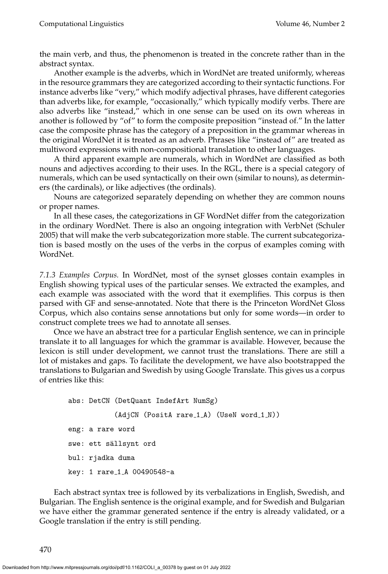the main verb, and thus, the phenomenon is treated in the concrete rather than in the abstract syntax.

Another example is the adverbs, which in WordNet are treated uniformly, whereas in the resource grammars they are categorized according to their syntactic functions. For instance adverbs like "very," which modify adjectival phrases, have different categories than adverbs like, for example, "occasionally," which typically modify verbs. There are also adverbs like "instead," which in one sense can be used on its own whereas in another is followed by "of" to form the composite preposition "instead of." In the latter case the composite phrase has the category of a preposition in the grammar whereas in the original WordNet it is treated as an adverb. Phrases like "instead of" are treated as multiword expressions with non-compositional translation to other languages.

A third apparent example are numerals, which in WordNet are classified as both nouns and adjectives according to their uses. In the RGL, there is a special category of numerals, which can be used syntactically on their own (similar to nouns), as determiners (the cardinals), or like adjectives (the ordinals).

Nouns are categorized separately depending on whether they are common nouns or proper names.

In all these cases, the categorizations in GF WordNet differ from the categorization in the ordinary WordNet. There is also an ongoing integration with VerbNet [\(Schuler](#page-0-0) [2005\)](#page-0-0) that will make the verb subcategorization more stable. The current subcategorization is based mostly on the uses of the verbs in the corpus of examples coming with WordNet.

*7.1.3 Examples Corpus.* In WordNet, most of the synset glosses contain examples in English showing typical uses of the particular senses. We extracted the examples, and each example was associated with the word that it exemplifies. This corpus is then parsed with GF and sense-annotated. Note that there is the Princeton WordNet Gloss Corpus, which also contains sense annotations but only for some words—in order to construct complete trees we had to annotate all senses.

Once we have an abstract tree for a particular English sentence, we can in principle translate it to all languages for which the grammar is available. However, because the lexicon is still under development, we cannot trust the translations. There are still a lot of mistakes and gaps. To facilitate the development, we have also bootstrapped the translations to Bulgarian and Swedish by using Google Translate. This gives us a corpus of entries like this:

```
abs: DetCN (DetQuant IndefArt NumSg)
           (AdjCN (PositA rare_1_A) (UseN word_1_N))
eng: a rare word
swe: ett sällsynt ord
bul: rjadka duma
key: 1 rare 1 A 00490548-a
```
Each abstract syntax tree is followed by its verbalizations in English, Swedish, and Bulgarian. The English sentence is the original example, and for Swedish and Bulgarian we have either the grammar generated sentence if the entry is already validated, or a Google translation if the entry is still pending.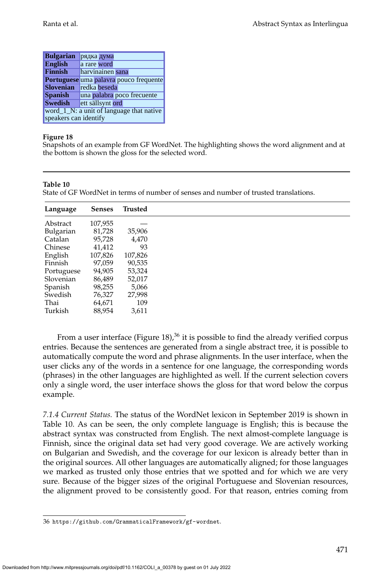| <b>Bulgarian</b>                                                  | рядка дума                             |  |  |  |  |
|-------------------------------------------------------------------|----------------------------------------|--|--|--|--|
| <b>English</b>                                                    | a rare word                            |  |  |  |  |
| <b>Finnish</b>                                                    | harvinainen sana                       |  |  |  |  |
|                                                                   | Portuguese uma palavra pouco frequente |  |  |  |  |
| <b>Slovenian</b>                                                  | redka beseda                           |  |  |  |  |
| <b>Spanish</b>                                                    | una palabra poco frecuente             |  |  |  |  |
| <b>Swedish</b>                                                    | ett sällsynt ord                       |  |  |  |  |
| word_1_N: a unit of language that native<br>speakers can identify |                                        |  |  |  |  |

<span id="page-46-0"></span>Snapshots of an example from GF WordNet. The highlighting shows the word alignment and at the bottom is shown the gloss for the selected word.

#### **Table 10**

<span id="page-46-2"></span>State of GF WordNet in terms of number of senses and number of trusted translations.

| Language   | <b>Senses</b> | Trusted |
|------------|---------------|---------|
| Abstract   | 107,955       |         |
| Bulgarian  | 81,728        | 35,906  |
| Catalan    | 95,728        | 4,470   |
| Chinese    | 41,412        | 93      |
| English    | 107,826       | 107,826 |
| Finnish    | 97,059        | 90,535  |
| Portuguese | 94,905        | 53,324  |
| Slovenian  | 86,489        | 52,017  |
| Spanish    | 98,255        | 5,066   |
| Swedish    | 76,327        | 27,998  |
| Thai       | 64,671        | 109     |
| Turkish    | 88,954        | 3,611   |

From a user interface (Figure [18\)](#page-46-0),<sup>[36](#page-46-1)</sup> it is possible to find the already verified corpus entries. Because the sentences are generated from a single abstract tree, it is possible to automatically compute the word and phrase alignments. In the user interface, when the user clicks any of the words in a sentence for one language, the corresponding words (phrases) in the other languages are highlighted as well. If the current selection covers only a single word, the user interface shows the gloss for that word below the corpus example.

*7.1.4 Current Status.* The status of the WordNet lexicon in September 2019 is shown in Table [10.](#page-46-2) As can be seen, the only complete language is English; this is because the abstract syntax was constructed from English. The next almost-complete language is Finnish, since the original data set had very good coverage. We are actively working on Bulgarian and Swedish, and the coverage for our lexicon is already better than in the original sources. All other languages are automatically aligned; for those languages we marked as trusted only those entries that we spotted and for which we are very sure. Because of the bigger sizes of the original Portuguese and Slovenian resources, the alignment proved to be consistently good. For that reason, entries coming from

<span id="page-46-1"></span><sup>36</sup> <https://github.com/GrammaticalFramework/gf-wordnet>.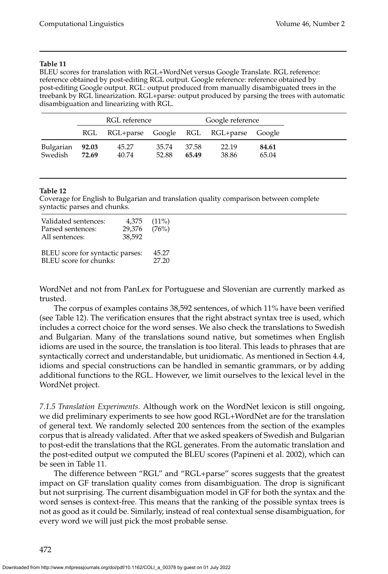#### **Table 11**

<span id="page-47-2"></span>BLEU scores for translation with RGL+WordNet versus Google Translate. RGL reference: reference obtained by post-editing RGL output. Google reference: reference obtained by post-editing Google output. RGL: output produced from manually disambiguated trees in the treebank by RGL linearization. RGL+parse: output produced by parsing the trees with automatic disambiguation and linearizing with RGL.

|                            | RGL reference |                                           |                | Google reference |                |                |
|----------------------------|---------------|-------------------------------------------|----------------|------------------|----------------|----------------|
|                            |               | RGL RGL+parse Google RGL RGL+parse Google |                |                  |                |                |
| Bulgarian 92.03<br>Swedish | 72.69         | 45.27<br>40.74                            | 35.74<br>52.88 | - 37.58<br>65.49 | 22.19<br>38.86 | 84.61<br>65.04 |

#### **Table 12**

<span id="page-47-1"></span>Coverage for English to Bulgarian and translation quality comparison between complete syntactic parses and chunks.

| Validated sentences:<br>Parsed sentences:<br>All sentences: | 4,375<br>29,376<br>38,592 | $(11\%)$<br>(76%) |
|-------------------------------------------------------------|---------------------------|-------------------|
| BLEU score for syntactic parses:                            | 45.27                     |                   |
| BLEU score for chunks:                                      | 27.20                     |                   |

WordNet and not from PanLex for Portuguese and Slovenian are currently marked as trusted.

The corpus of examples contains 38,592 sentences, of which 11% have been verified (see Table [12\)](#page-47-1). The verification ensures that the right abstract syntax tree is used, which includes a correct choice for the word senses. We also check the translations to Swedish and Bulgarian. Many of the translations sound native, but sometimes when English idioms are used in the source, the translation is too literal. This leads to phrases that are syntactically correct and understandable, but unidiomatic. As mentioned in Section [4.4,](#page-24-2) idioms and special constructions can be handled in semantic grammars, or by adding additional functions to the RGL. However, we limit ourselves to the lexical level in the WordNet project.

<span id="page-47-0"></span>*7.1.5 Translation Experiments.* Although work on the WordNet lexicon is still ongoing, we did preliminary experiments to see how good RGL+WordNet are for the translation of general text. We randomly selected 200 sentences from the section of the examples corpus that is already validated. After that we asked speakers of Swedish and Bulgarian to post-edit the translations that the RGL generates. From the automatic translation and the post-edited output we computed the BLEU scores [\(Papineni et al. 2002\)](#page-0-0), which can be seen in Table [11.](#page-47-2)

The difference between "RGL" and "RGL+parse" scores suggests that the greatest impact on GF translation quality comes from disambiguation. The drop is significant but not surprising. The current disambiguation model in GF for both the syntax and the word senses is context-free. This means that the ranking of the possible syntax trees is not as good as it could be. Similarly, instead of real contextual sense disambiguation, for every word we will just pick the most probable sense.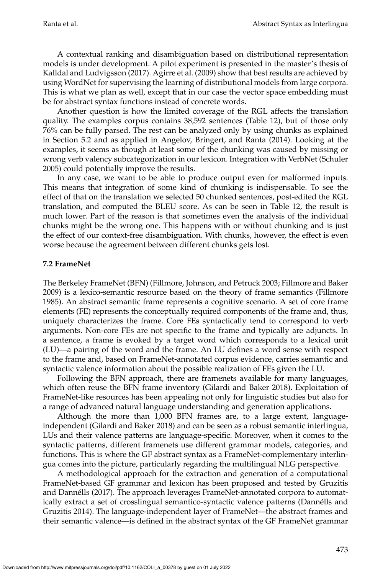A contextual ranking and disambiguation based on distributional representation models is under development. A pilot experiment is presented in the master's thesis of [Kalldal and Ludvigsson \(2017\)](#page-0-0). [Agirre et al. \(2009\)](#page-0-0) show that best results are achieved by using WordNet for supervising the learning of distributional models from large corpora. This is what we plan as well, except that in our case the vector space embedding must be for abstract syntax functions instead of concrete words.

Another question is how the limited coverage of the RGL affects the translation quality. The examples corpus contains 38,592 sentences (Table [12\)](#page-47-1), but of those only 76% can be fully parsed. The rest can be analyzed only by using chunks as explained in Section [5.2](#page-29-0) and as applied in [Angelov, Bringert, and Ranta \(2014\)](#page-0-0). Looking at the examples, it seems as though at least some of the chunking was caused by missing or wrong verb valency subcategorization in our lexicon. Integration with VerbNet [\(Schuler](#page-0-0) [2005\)](#page-0-0) could potentially improve the results.

In any case, we want to be able to produce output even for malformed inputs. This means that integration of some kind of chunking is indispensable. To see the effect of that on the translation we selected 50 chunked sentences, post-edited the RGL translation, and computed the BLEU score. As can be seen in Table [12,](#page-47-1) the result is much lower. Part of the reason is that sometimes even the analysis of the individual chunks might be the wrong one. This happens with or without chunking and is just the effect of our context-free disambiguation. With chunks, however, the effect is even worse because the agreement between different chunks gets lost.

# <span id="page-48-0"></span>**7.2 FrameNet**

The Berkeley FrameNet (BFN) [\(Fillmore, Johnson, and Petruck 2003; Fillmore and Baker](#page-0-0) [2009\)](#page-0-0) is a lexico-semantic resource based on the theory of frame semantics [\(Fillmore](#page-0-0) [1985\)](#page-0-0). An abstract semantic frame represents a cognitive scenario. A set of core frame elements (FE) represents the conceptually required components of the frame and, thus, uniquely characterizes the frame. Core FEs syntactically tend to correspond to verb arguments. Non-core FEs are not specific to the frame and typically are adjuncts. In a sentence, a frame is evoked by a target word which corresponds to a lexical unit (LU)—a pairing of the word and the frame. An LU defines a word sense with respect to the frame and, based on FrameNet-annotated corpus evidence, carries semantic and syntactic valence information about the possible realization of FEs given the LU.

Following the BFN approach, there are framenets available for many languages, which often reuse the BFN frame inventory [\(Gilardi and Baker 2018\)](#page-0-0). Exploitation of FrameNet-like resources has been appealing not only for linguistic studies but also for a range of advanced natural language understanding and generation applications.

Although the more than 1,000 BFN frames are, to a large extent, languageindependent [\(Gilardi and Baker 2018\)](#page-0-0) and can be seen as a robust semantic interlingua, LUs and their valence patterns are language-specific. Moreover, when it comes to the syntactic patterns, different framenets use different grammar models, categories, and functions. This is where the GF abstract syntax as a FrameNet-complementary interlingua comes into the picture, particularly regarding the multilingual NLG perspective.

A methodological approach for the extraction and generation of a computational FrameNet-based GF grammar and lexicon has been proposed and tested by [Gruzitis](#page-0-0) [and Dannells \(2017\)](#page-0-0). The approach leverages FrameNet-annotated corpora to automat- ´ ically extract a set of crosslingual semantico-syntactic valence patterns (Dannélls and [Gruzitis 2014\)](#page-0-0). The language-independent layer of FrameNet—the abstract frames and their semantic valence—is defined in the abstract syntax of the GF FrameNet grammar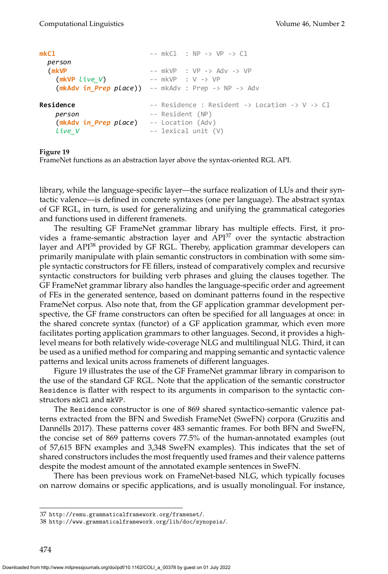```
mkCl -- mkCl : NP -> VP -> Cl
 person
 (mkVP -- mkVP : VP -> Adv -> VP
   (mkVP live_V) -- mkVP : V -> VP
   (mkAdv in_Prep place)) -- mkAdv : Prep -> NP -> Adv
Residence -2 Residence : Resident -5 Location -5 V -5 Cl
  person -- Resident (NP)
   (mkAdv in_Prep place) -- Location (Adv)
   live V -- lexical unit (V)
```
<span id="page-49-2"></span>FrameNet functions as an abstraction layer above the syntax-oriented RGL API.

library, while the language-specific layer—the surface realization of LUs and their syntactic valence—is defined in concrete syntaxes (one per language). The abstract syntax of GF RGL, in turn, is used for generalizing and unifying the grammatical categories and functions used in different framenets.

The resulting GF FrameNet grammar library has multiple effects. First, it provides a frame-semantic abstraction layer and  $API<sup>37</sup>$  $API<sup>37</sup>$  $API<sup>37</sup>$  over the syntactic abstraction layer and API<sup>[38](#page-49-1)</sup> provided by GF RGL. Thereby, application grammar developers can primarily manipulate with plain semantic constructors in combination with some simple syntactic constructors for FE fillers, instead of comparatively complex and recursive syntactic constructors for building verb phrases and gluing the clauses together. The GF FrameNet grammar library also handles the language-specific order and agreement of FEs in the generated sentence, based on dominant patterns found in the respective FrameNet corpus. Also note that, from the GF application grammar development perspective, the GF frame constructors can often be specified for all languages at once: in the shared concrete syntax (functor) of a GF application grammar, which even more facilitates porting application grammars to other languages. Second, it provides a highlevel means for both relatively wide-coverage NLG and multilingual NLG. Third, it can be used as a unified method for comparing and mapping semantic and syntactic valence patterns and lexical units across framenets of different languages.

Figure [19](#page-49-2) illustrates the use of the GF FrameNet grammar library in comparison to the use of the standard GF RGL. Note that the application of the semantic constructor Residence is flatter with respect to its arguments in comparison to the syntactic constructors mkCl and mkVP.

The Residence constructor is one of 869 shared syntactico-semantic valence patterns extracted from the BFN and Swedish FrameNet (SweFN) corpora [\(Gruzitis and](#page-0-0) Dannélls 2017). These patterns cover 483 semantic frames. For both BFN and SweFN, the concise set of 869 patterns covers 77.5% of the human-annotated examples (out of 57,615 BFN examples and 3,348 SweFN examples). This indicates that the set of shared constructors includes the most frequently used frames and their valence patterns despite the modest amount of the annotated example sentences in SweFN.

There has been previous work on FrameNet-based NLG, which typically focuses on narrow domains or specific applications, and is usually monolingual. For instance,

<span id="page-49-0"></span><sup>37</sup> <http://remu.grammaticalframework.org/framenet/>.

<span id="page-49-1"></span><sup>38</sup> <http://www.grammaticalframework.org/lib/doc/synopsis/>.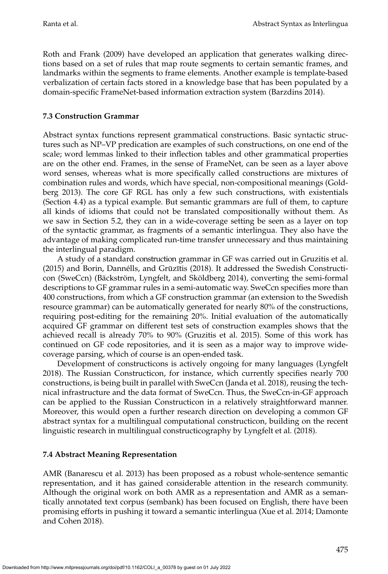[Roth and Frank \(2009\)](#page-0-0) have developed an application that generates walking directions based on a set of rules that map route segments to certain semantic frames, and landmarks within the segments to frame elements. Another example is template-based verbalization of certain facts stored in a knowledge base that has been populated by a domain-specific FrameNet-based information extraction system [\(Barzdins 2014\)](#page-0-0).

# **7.3 Construction Grammar**

Abstract syntax functions represent grammatical constructions. Basic syntactic structures such as NP–VP predication are examples of such constructions, on one end of the scale; word lemmas linked to their inflection tables and other grammatical properties are on the other end. Frames, in the sense of FrameNet, can be seen as a layer above word senses, whereas what is more specifically called constructions are mixtures of combination rules and words, which have special, non-compositional meanings [\(Gold](#page-0-0)[berg 2013\)](#page-0-0). The core GF RGL has only a few such constructions, with existentials (Section [4.4\)](#page-24-2) as a typical example. But semantic grammars are full of them, to capture all kinds of idioms that could not be translated compositionally without them. As we saw in Section [5.2,](#page-29-0) they can in a wide-coverage setting be seen as a layer on top of the syntactic grammar, as fragments of a semantic interlingua. They also have the advantage of making complicated run-time transfer unnecessary and thus maintaining the interlingual paradigm.

A study of a standard construction grammar in GF was carried out in [Gruzitis et al.](#page-0-0) [\(2015\)](#page-0-0) and Borin, Dannélls, and Grūzītis (2018). It addressed the Swedish Constructicon (SweCcn) (Bäckström, Lyngfelt, and Sköldberg 2014), converting the semi-formal descriptions to GF grammar rules in a semi-automatic way. SweCcn specifies more than 400 constructions, from which a GF construction grammar (an extension to the Swedish resource grammar) can be automatically generated for nearly 80% of the constructions, requiring post-editing for the remaining 20%. Initial evaluation of the automatically acquired GF grammar on different test sets of construction examples shows that the achieved recall is already 70% to 90% [\(Gruzitis et al. 2015\)](#page-0-0). Some of this work has continued on GF code repositories, and it is seen as a major way to improve widecoverage parsing, which of course is an open-ended task.

Development of constructicons is actively ongoing for many languages [\(Lyngfelt](#page-0-0) [2018\)](#page-0-0). The Russian Constructicon, for instance, which currently specifies nearly 700 constructions, is being built in parallel with SweCcn [\(Janda et al. 2018\)](#page-0-0), reusing the technical infrastructure and the data format of SweCcn. Thus, the SweCcn-in-GF approach can be applied to the Russian Constructicon in a relatively straightforward manner. Moreover, this would open a further research direction on developing a common GF abstract syntax for a multilingual computational constructicon, building on the recent linguistic research in multilingual constructicography by [Lyngfelt et al. \(2018\)](#page-0-0).

### **7.4 Abstract Meaning Representation**

AMR [\(Banarescu et al. 2013\)](#page-0-0) has been proposed as a robust whole-sentence semantic representation, and it has gained considerable attention in the research community. Although the original work on both AMR as a representation and AMR as a semantically annotated text corpus (sembank) has been focused on English, there have been promising efforts in pushing it toward a semantic interlingua [\(Xue et al. 2014; Damonte](#page-0-0) [and Cohen 2018\)](#page-0-0).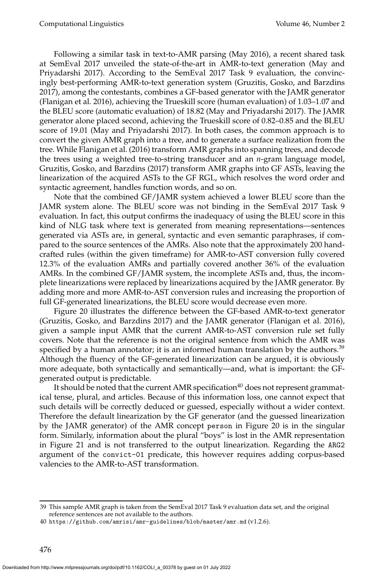Following a similar task in text-to-AMR parsing [\(May 2016\)](#page-0-0), a recent shared task at SemEval 2017 unveiled the state-of-the-art in AMR-to-text generation [\(May and](#page-0-0) [Priyadarshi 2017\)](#page-0-0). According to the SemEval 2017 Task 9 evaluation, the convincingly best-performing AMR-to-text generation system [\(Gruzitis, Gosko, and Barzdins](#page-0-0) [2017\)](#page-0-0), among the contestants, combines a GF-based generator with the JAMR generator (Flanigan et al. [2016\)](#page-0-0), achieving the Trueskill score (human evaluation) of 1.03–1.07 and the BLEU score (automatic evaluation) of 18.82 [\(May and Priyadarshi 2017\)](#page-0-0). The JAMR generator alone placed second, achieving the Trueskill score of 0.82–0.85 and the BLEU score of 19.01 [\(May and Priyadarshi 2017\)](#page-0-0). In both cases, the common approach is to convert the given AMR graph into a tree, and to generate a surface realization from the tree. While [Flanigan et al. \(2016\)](#page-0-0) transform AMR graphs into spanning trees, and decode the trees using a weighted tree-to-string transducer and an *n*-gram language model, [Gruzitis, Gosko, and Barzdins \(2017\)](#page-0-0) transform AMR graphs into GF ASTs, leaving the linearization of the acquired ASTs to the GF RGL, which resolves the word order and syntactic agreement, handles function words, and so on.

Note that the combined GF/JAMR system achieved a lower BLEU score than the JAMR system alone. The BLEU score was not binding in the SemEval 2017 Task 9 evaluation. In fact, this output confirms the inadequacy of using the BLEU score in this kind of NLG task where text is generated from meaning representations—sentences generated via ASTs are, in general, syntactic and even semantic paraphrases, if compared to the source sentences of the AMRs. Also note that the approximately 200 handcrafted rules (within the given timeframe) for AMR-to-AST conversion fully covered 12.3% of the evaluation AMRs and partially covered another 36% of the evaluation AMRs. In the combined GF/JAMR system, the incomplete ASTs and, thus, the incomplete linearizations were replaced by linearizations acquired by the JAMR generator. By adding more and more AMR-to-AST conversion rules and increasing the proportion of full GF-generated linearizations, the BLEU score would decrease even more.

Figure [20](#page-52-0) illustrates the difference between the GF-based AMR-to-text generator [\(Gruzitis, Gosko, and Barzdins 2017\)](#page-0-0) and the JAMR generator [\(Flanigan et al. 2016\)](#page-0-0), given a sample input AMR that the current AMR-to-AST conversion rule set fully covers. Note that the reference is not the original sentence from which the AMR was specified by a human annotator; it is an informed human translation by the authors.<sup>[39](#page-51-0)</sup> Although the fluency of the GF-generated linearization can be argued, it is obviously more adequate, both syntactically and semantically—and, what is important: the GFgenerated output is predictable.

It should be noted that the current AMR specification<sup>[40](#page-51-1)</sup> does not represent grammatical tense, plural, and articles. Because of this information loss, one cannot expect that such details will be correctly deduced or guessed, especially without a wider context. Therefore the default linearization by the GF generator (and the guessed linearization by the JAMR generator) of the AMR concept person in Figure [20](#page-52-0) is in the singular form. Similarly, information about the plural "boys" is lost in the AMR representation in Figure [21](#page-52-1) and is not transferred to the output linearization. Regarding the ARG2 argument of the convict-01 predicate, this however requires adding corpus-based valencies to the AMR-to-AST transformation.

<span id="page-51-0"></span><sup>39</sup> This sample AMR graph is taken from the SemEval 2017 Task 9 evaluation data set, and the original reference sentences are not available to the authors.

<span id="page-51-1"></span><sup>40</sup> <https://github.com/amrisi/amr-guidelines/blob/master/amr.md> (v1.2.6).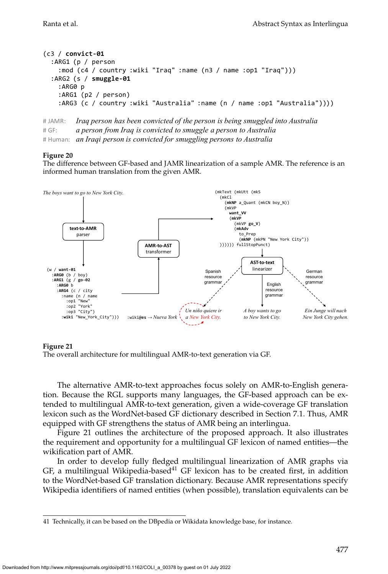```
(c3 / convict-01
  :ARG1 (p / person
    :mod (c4 / country :wiki "Iraq" :name (n3 / name :op1 "Iraq")))
  :ARG2 (s / smuggle-01
    :ARG0 p
    :ARG1 (p2 / person)
    :ARG3 (c / country :wiki "Australia" :name (n / name :op1 "Australia"))))
```

```
#	JAMR: Iraq person has been convicted of the person is being smuggled into Australia
#	GF: a person from Iraq is convicted to smuggle a person to Australia
# Human: an Iraqi person is convicted for smuggling persons to Australia
```
<span id="page-52-0"></span>The difference between GF-based and JAMR linearization of a sample AMR. The reference is an informed human translation from the given AMR.

![](_page_52_Figure_6.jpeg)

#### **Figure 21**

<span id="page-52-1"></span>The overall architecture for multilingual AMR-to-text generation via GF.

The alternative AMR-to-text approaches focus solely on AMR-to-English generation. Because the RGL supports many languages, the GF-based approach can be extended to multilingual AMR-to-text generation, given a wide-coverage GF translation lexicon such as the WordNet-based GF dictionary described in Section [7.1.](#page-41-1) Thus, AMR equipped with GF strengthens the status of AMR being an interlingua.

Figure [21](#page-52-1) outlines the architecture of the proposed approach. It also illustrates the requirement and opportunity for a multilingual GF lexicon of named entities—the wikification part of AMR.

In order to develop fully fledged multilingual linearization of AMR graphs via GF, a multilingual Wikipedia-based<sup>[41](#page-52-2)</sup> GF lexicon has to be created first, in addition to the WordNet-based GF translation dictionary. Because AMR representations specify Wikipedia identifiers of named entities (when possible), translation equivalents can be

<span id="page-52-2"></span><sup>41</sup> Technically, it can be based on the DBpedia or Wikidata knowledge base, for instance.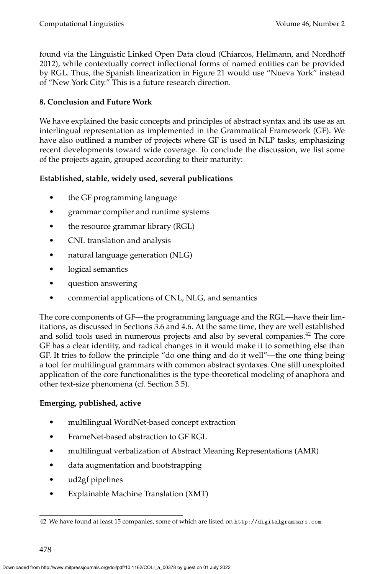found via the Linguistic Linked Open Data cloud [\(Chiarcos, Hellmann, and Nordhoff](#page-0-0) [2012\)](#page-0-0), while contextually correct inflectional forms of named entities can be provided by RGL. Thus, the Spanish linearization in Figure [21](#page-52-1) would use "Nueva York" instead of "New York City." This is a future research direction.

# <span id="page-53-0"></span>**8. Conclusion and Future Work**

We have explained the basic concepts and principles of abstract syntax and its use as an interlingual representation as implemented in the Grammatical Framework (GF). We have also outlined a number of projects where GF is used in NLP tasks, emphasizing recent developments toward wide coverage. To conclude the discussion, we list some of the projects again, grouped according to their maturity:

# **Established, stable, widely used, several publications**

- the GF programming language
- grammar compiler and runtime systems
- the resource grammar library (RGL)
- CNL translation and analysis
- natural language generation (NLG)
- logical semantics
- question answering
- commercial applications of CNL, NLG, and semantics

The core components of GF—the programming language and the RGL—have their limitations, as discussed in Sections [3.6](#page-18-1) and [4.6.](#page-26-0) At the same time, they are well established and solid tools used in numerous projects and also by several companies.[42](#page-53-1) The core GF has a clear identity, and radical changes in it would make it to something else than GF. It tries to follow the principle "do one thing and do it well"—the one thing being a tool for multilingual grammars with common abstract syntaxes. One still unexploited application of the core functionalities is the type-theoretical modeling of anaphora and other text-size phenomena (cf. Section [3.5\)](#page-17-0).

# **Emerging, published, active**

- multilingual WordNet-based concept extraction
- FrameNet-based abstraction to GF RGL
- multilingual verbalization of Abstract Meaning Representations (AMR)
- data augmentation and bootstrapping
- ud2gf pipelines
- Explainable Machine Translation (XMT)

<span id="page-53-1"></span><sup>42</sup> We have found at least 15 companies, some of which are listed on <http://digitalgrammars.com>.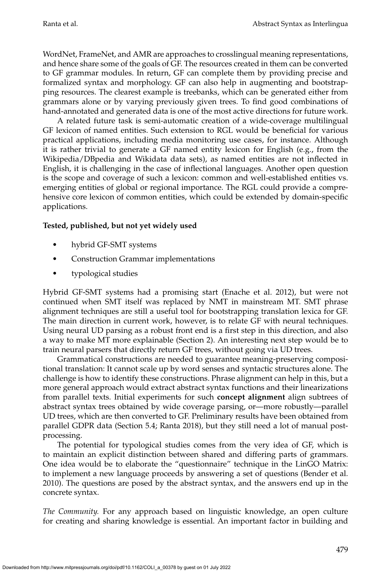WordNet, FrameNet, and AMR are approaches to crosslingual meaning representations, and hence share some of the goals of GF. The resources created in them can be converted to GF grammar modules. In return, GF can complete them by providing precise and formalized syntax and morphology. GF can also help in augmenting and bootstrapping resources. The clearest example is treebanks, which can be generated either from grammars alone or by varying previously given trees. To find good combinations of hand-annotated and generated data is one of the most active directions for future work.

A related future task is semi-automatic creation of a wide-coverage multilingual GF lexicon of named entities. Such extension to RGL would be beneficial for various practical applications, including media monitoring use cases, for instance. Although it is rather trivial to generate a GF named entity lexicon for English (e.g., from the Wikipedia/DBpedia and Wikidata data sets), as named entities are not inflected in English, it is challenging in the case of inflectional languages. Another open question is the scope and coverage of such a lexicon: common and well-established entities vs. emerging entities of global or regional importance. The RGL could provide a comprehensive core lexicon of common entities, which could be extended by domain-specific applications.

# **Tested, published, but not yet widely used**

- hybrid GF-SMT systems
- Construction Grammar implementations
- typological studies

Hybrid GF-SMT systems had a promising start [\(Enache et al. 2012\)](#page-0-0), but were not continued when SMT itself was replaced by NMT in mainstream MT. SMT phrase alignment techniques are still a useful tool for bootstrapping translation lexica for GF. The main direction in current work, however, is to relate GF with neural techniques. Using neural UD parsing as a robust front end is a first step in this direction, and also a way to make MT more explainable (Section [2\)](#page-4-1). An interesting next step would be to train neural parsers that directly return GF trees, without going via UD trees.

Grammatical constructions are needed to guarantee meaning-preserving compositional translation: It cannot scale up by word senses and syntactic structures alone. The challenge is how to identify these constructions. Phrase alignment can help in this, but a more general approach would extract abstract syntax functions and their linearizations from parallel texts. Initial experiments for such **concept alignment** align subtrees of abstract syntax trees obtained by wide coverage parsing, or—more robustly—parallel UD trees, which are then converted to GF. Preliminary results have been obtained from parallel GDPR data (Section [5.4;](#page-31-0) Ranta [2018\)](#page-0-0), but they still need a lot of manual postprocessing.

The potential for typological studies comes from the very idea of GF, which is to maintain an explicit distinction between shared and differing parts of grammars. One idea would be to elaborate the "questionnaire" technique in the LinGO Matrix: to implement a new language proceeds by answering a set of questions [\(Bender et al.](#page-0-0) [2010\)](#page-0-0). The questions are posed by the abstract syntax, and the answers end up in the concrete syntax.

*The Community.* For any approach based on linguistic knowledge, an open culture for creating and sharing knowledge is essential. An important factor in building and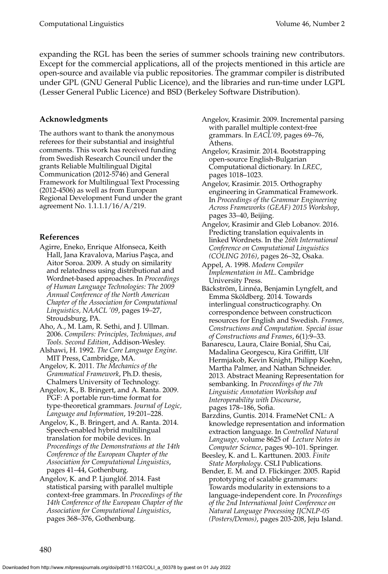expanding the RGL has been the series of summer schools training new contributors. Except for the commercial applications, all of the projects mentioned in this article are open-source and available via public repositories. The grammar compiler is distributed under GPL (GNU General Public Licence), and the libraries and run-time under LGPL (Lesser General Public Licence) and BSD (Berkeley Software Distribution).

# **Acknowledgments**

The authors want to thank the anonymous referees for their substantial and insightful comments. This work has received funding from Swedish Research Council under the grants Reliable Multilingual Digital Communication (2012-5746) and General Framework for Multilingual Text Processing (2012-4506) as well as from European Regional Development Fund under the grant agreement No. 1.1.1.1/16/A/219.

# **References**

- Agirre, Eneko, Enrique Alfonseca, Keith Hall, Jana Kravalova, Marius Paşca, and Aitor Soroa. 2009. A study on similarity and relatedness using distributional and Wordnet-based approaches. In *Proceedings of Human Language Technologies: The 2009 Annual Conference of the North American Chapter of the Association for Computational Linguistics, NAACL '09*, pages 19–27, Stroudsburg, PA.
- Aho, A., M. Lam, R. Sethi, and J. Ullman. 2006. *Compilers: Principles, Techniques, and Tools. Second Edition*, Addison-Wesley.
- Alshawi, H. 1992. *The Core Language Engine*. MIT Press, Cambridge, MA.
- Angelov, K. 2011. *The Mechanics of the Grammatical Framework*, Ph.D. thesis, Chalmers University of Technology.
- Angelov, K., B. Bringert, and A. Ranta. 2009. PGF: A portable run-time format for type-theoretical grammars. *Journal of Logic, Language and Information*, 19:201–228.
- Angelov, K., B. Bringert, and A. Ranta. 2014. Speech-enabled hybrid multilingual translation for mobile devices. In *Proceedings of the Demonstrations at the 14th Conference of the European Chapter of the Association for Computational Linguistics*, pages 41–44, Gothenburg.
- Angelov, K. and P. Ljunglöf. 2014. Fast statistical parsing with parallel multiple context-free grammars. In *Proceedings of the 14th Conference of the European Chapter of the Association for Computational Linguistics*, pages 368–376, Gothenburg.
- Angelov, Krasimir. 2009. Incremental parsing with parallel multiple context-free grammars. In *EACL'09*, pages 69–76, Athens.
- Angelov, Krasimir. 2014. Bootstrapping open-source English-Bulgarian Computational dictionary. In *LREC*, pages 1018–1023.
- Angelov, Krasimir. 2015. Orthography engineering in Grammatical Framework. In *Proceedings of the Grammar Engineering Across Frameworks (GEAF) 2015 Workshop*, pages 33–40, Beijing.
- Angelov, Krasimir and Gleb Lobanov. 2016. Predicting translation equivalents in linked Wordnets. In the *26th International Conference on Computational Linguistics (COLING 2016)*, pages 26–32, Osaka.
- Appel, A. 1998. *Modern Compiler Implementation in ML*. Cambridge University Press.
- Bäckström, Linnéa, Benjamin Lyngfelt, and Emma Sköldberg. 2014. Towards interlingual constructicography. On correspondence between constructicon resources for English and Swedish. *Frames, Constructions and Computation. Special issue of Constructions and Frames*, 6(1):9–33.
- Banarescu, Laura, Claire Bonial, Shu Cai, Madalina Georgescu, Kira Griffitt, Ulf Hermjakob, Kevin Knight, Philipp Koehn, Martha Palmer, and Nathan Schneider. 2013. Abstract Meaning Representation for sembanking. In *Proceedings of the 7th Linguistic Annotation Workshop and Interoperability with Discourse*, pages 178–186, Sofia.
- Barzdins, Guntis. 2014. FrameNet CNL: A knowledge representation and information extraction language. In *Controlled Natural Language,* volume 8625 of *Lecture Notes in Computer Science*, pages 90–101. Springer.
- Beesley, K. and L. Karttunen. 2003. *Finite State Morphology*. CSLI Publications.
- Bender, E. M. and D. Flickinger. 2005. Rapid prototyping of scalable grammars: Towards modularity in extensions to a language-independent core. In *Proceedings of the 2nd International Joint Conference on Natural Language Processing IJCNLP-05 (Posters/Demos)*, pages 203-208, Jeju Island.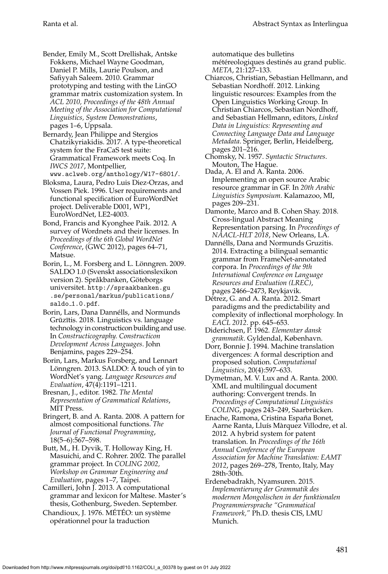Bender, Emily M., Scott Drellishak, Antske Fokkens, Michael Wayne Goodman, Daniel P. Mills, Laurie Poulson, and Safiyyah Saleem. 2010. Grammar prototyping and testing with the LinGO grammar matrix customization system. In *ACL 2010, Proceedings of the 48th Annual Meeting of the Association for Computational Linguistics, System Demonstrations*, pages 1–6, Uppsala.

Bernardy, Jean Philippe and Stergios Chatzikyriakidis. 2017. A type-theoretical system for the FraCaS test suite: Grammatical Framework meets Coq. In *IWCS 2017*, Montpellier, <www.aclweb.org/anthology/W17-6801/>.

Bloksma, Laura, Pedro Luis Diez-Orzas, and Vossen Piek. 1996. User requirements and functional specification of EuroWordNet project. Deliverable D001, WP1, EuroWordNet, LE2-4003.

Bond, Francis and Kyonghee Paik. 2012. A survey of Wordnets and their licenses. In *Proceedings of the 6th Global WordNet Conference*, (GWC 2012), pages 64–71, Matsue.

Borin, L., M. Forsberg and L. Lönngren. 2009. SALDO 1.0 (Svenskt associationslexikon version 2). Språkbanken, Göteborgs universitet. [http://spraakbanken.gu](http://spraakbanken.gu.se/personal/markus/publications/saldo_1.0.pdf) [.se/personal/markus/publications/](http://spraakbanken.gu.se/personal/markus/publications/saldo_1.0.pdf) saldo\_[1.0.pdf](http://spraakbanken.gu.se/personal/markus/publications/saldo_1.0.pdf).

Borin, Lars, Dana Dannélls, and Normunds Grūzītis. 2018. Linguistics vs. language technology in constructicon building and use. In *Constructicography. Constructicon Development Across Languages*. John Benjamins, pages 229–254.

Borin, Lars, Markus Forsberg, and Lennart Lönngren. 2013. SALDO: A touch of yin to WordNet's yang. *Language Resources and Evaluation*, 47(4):1191–1211.

Bresnan, J., editor. 1982. *The Mental Representation of Grammatical Relations*, MIT Press.

Bringert, B. and A. Ranta. 2008. A pattern for almost compositional functions. *The Journal of Functional Programming*, 18(5–6):567–598.

Butt, M., H. Dyvik, T. Holloway King, H. Masuichi, and C. Rohrer. 2002. The parallel grammar project. In *COLING 2002, Workshop on Grammar Engineering and Evaluation*, pages 1–7, Taipei.

Camilleri, John J. 2013. A computational grammar and lexicon for Maltese. Master's thesis, Gothenburg, Sweden. September.

Chandioux, J. 1976. MÉTÉO: un système opérationnel pour la traduction

automatique des bulletins

météreologiques destinés au grand public. *META*, 21:127–133.

- Chiarcos, Christian, Sebastian Hellmann, and Sebastian Nordhoff. 2012. Linking linguistic resources: Examples from the Open Linguistics Working Group. In Christian Chiarcos, Sebastian Nordhoff, and Sebastian Hellmann, editors, *Linked Data in Linguistics: Representing and Connecting Language Data and Language Metadata*. Springer, Berlin, Heidelberg, pages 201–216.
- Chomsky, N. 1957. *Syntactic Structures*. Mouton, The Hague.
- Dada, A. El and A. Ranta. 2006. Implementing an open source Arabic resource grammar in GF. In *20th Arabic Linguistics Symposium*. Kalamazoo, MI, pages 209–231.
- Damonte, Marco and B. Cohen Shay. 2018. Cross-lingual Abstract Meaning Representation parsing. In *Proceedings of NAACL-HLT 2018*, New Orleans, LA.
- Dannélls, Dana and Normunds Gruzitis. 2014. Extracting a bilingual semantic grammar from FrameNet-annotated corpora. In *Proceedings of the 9th International Conference on Language Resources and Evaluation (LREC)*, pages 2466–2473, Reykjavik.
- Détrez, G. and A. Ranta. 2012. Smart paradigms and the predictability and complexity of inflectional morphology. In *EACL 2012*. pp. 645–653.
- Diderichsen, P. 1962. *Elementær dansk grammatik*. Gyldendal, København.

Dorr, Bonnie J. 1994. Machine translation divergences: A formal description and proposed solution. *Computational Linguistics*, 20(4):597–633.

Dymetman, M. V. Lux and A. Ranta. 2000. XML and multilingual document authoring: Convergent trends. In *Proceedings of Computational Linguistics* COLING, pages 243-249, Saarbrücken.

Enache, Ramona, Cristina España Bonet, Aarne Ranta, Lluís Màrquez Villodre, et al. 2012. A hybrid system for patent translation. In *Proceedings of the 16th Annual Conference of the European Association for Machine Translation: EAMT 2012*, pages 269–278, Trento, Italy, May 28th-30th.

Erdenebadrakh, Nyamsuren. 2015. *Implementierung der Grammatik des modernen Mongolischen in der funktionalen Programmiersprache "Grammatical Framework,"* Ph.D. thesis CIS, LMU Munich.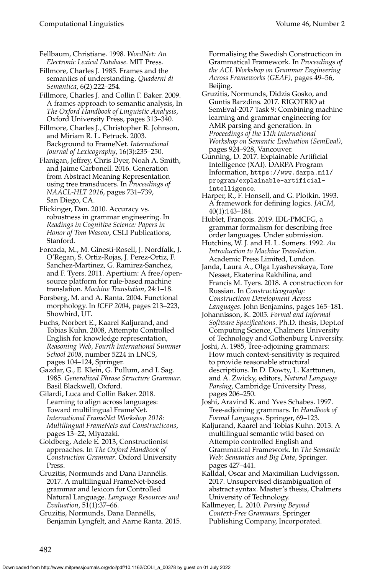Fellbaum, Christiane. 1998. *WordNet: An Electronic Lexical Database*. MIT Press.

Fillmore, Charles J. 1985. Frames and the semantics of understanding. *Quaderni di Semantica*, 6(2):222–254.

Fillmore, Charles J. and Collin F. Baker. 2009. A frames approach to semantic analysis, In *The Oxford Handbook of Linguistic Analysis*, Oxford University Press, pages 313–340.

Fillmore, Charles J., Christopher R. Johnson, and Miriam R. L. Petruck. 2003. Background to FrameNet. *International Journal of Lexicography*, 16(3):235–250.

Flanigan, Jeffrey, Chris Dyer, Noah A. Smith, and Jaime Carbonell. 2016. Generation from Abstract Meaning Representation using tree transducers. In *Proceedings of NAACL-HLT 2016*, pages 731–739, San Diego, CA.

Flickinger, Dan. 2010. Accuracy vs. robustness in grammar engineering. In *Readings in Cognitive Science: Papers in Honor of Tom Wasow*, CSLI Publications, Stanford.

Forcada, M., M. Ginesti-Rosell, J. Nordfalk, J. O'Regan, S. Ortiz-Rojas, J. Perez-Ortiz, F. Sanchez-Martinez, G. Ramirez-Sanchez, and F. Tyers. 2011. Apertium: A free/opensource platform for rule-based machine translation. *Machine Translation*, 24:1–18.

Forsberg, M. and A. Ranta. 2004. Functional morphology. In *ICFP 2004*, pages 213–223, Showbird, UT.

Fuchs, Norbert E., Kaarel Kaljurand, and Tobias Kuhn. 2008, Attempto Controlled English for knowledge representation, *Reasoning Web, Fourth International Summer School 2008*, number 5224 in LNCS, pages 104–124, Springer.

Gazdar, G., E. Klein, G. Pullum, and I. Sag. 1985. *Generalized Phrase Structure Grammar*. Basil Blackwell, Oxford.

Gilardi, Luca and Collin Baker. 2018. Learning to align across languages: Toward multilingual FrameNet. *International FrameNet Workshop 2018: Multilingual FrameNets and Constructicons*, pages 13–22, Miyazaki.

Goldberg, Adele E. 2013, Constructionist approaches. In *The Oxford Handbook of Construction Grammar*. Oxford University Press.

Gruzitis, Normunds and Dana Dannélls. 2017. A multilingual FrameNet-based grammar and lexicon for Controlled Natural Language. *Language Resources and Evaluation*, 51(1):37–66.

Gruzitis, Normunds, Dana Dannélls, Benjamin Lyngfelt, and Aarne Ranta. 2015. Formalising the Swedish Constructicon in Grammatical Framework. In *Proceedings of the ACL Workshop on Grammar Engineering Across Frameworks (GEAF)*, pages 49–56, Beijing.

Gruzitis, Normunds, Didzis Gosko, and Guntis Barzdins. 2017. RIGOTRIO at SemEval-2017 Task 9: Combining machine learning and grammar engineering for AMR parsing and generation. In *Proceedings of the 11th International Workshop on Semantic Evaluation (SemEval)*, pages 924–928, Vancouver.

Gunning, D. 2017. Explainable Artificial Intelligence (XAI). DARPA Program Information, [https://www.darpa.mil/](https://www.darpa.mil/program/explainable-artificial-intelligence) [program/explainable-artificial](https://www.darpa.mil/program/explainable-artificial-intelligence)[intelligence](https://www.darpa.mil/program/explainable-artificial-intelligence).

Harper, R., F. Honsell, and G. Plotkin. 1993. A framework for defining logics. *JACM*, 40(1):143–184.

Hublet, François. 2019. IDL-PMCFG, a grammar formalism for describing free order languages. Under submission.

Hutchins, W. J. and H. L. Somers. 1992. *An Introduction to Machine Translation*. Academic Press Limited, London.

Janda, Laura A., Olga Lyashevskaya, Tore Nesset, Ekaterina Rakhilina, and Francis M. Tyers. 2018. A constructicon for Russian. In *Constructicography: Constructicon Development Across Languages*. John Benjamins, pages 165–181.

Johannisson, K. 2005. *Formal and Informal Software Specifications*. Ph.D. thesis, Dept.of Computing Science, Chalmers University of Technology and Gothenburg University.

Joshi, A. 1985, Tree-adjoining grammars: How much context-sensitivity is required to provide reasonable structural descriptions. In D. Dowty, L. Karttunen, and A. Zwicky, editors, *Natural Language Parsing*, Cambridge University Press, pages 206–250.

Joshi, Aravind K. and Yves Schabes. 1997. Tree-adjoining grammars. In *Handbook of Formal Languages*. Springer, 69–123.

Kaljurand, Kaarel and Tobias Kuhn. 2013. A multilingual semantic wiki based on Attempto controlled English and Grammatical Framework. In *The Semantic Web: Semantics and Big Data*, Springer. pages 427–441.

Kalldal, Oscar and Maximilian Ludvigsson. 2017. Unsupervised disambiguation of abstract syntax. Master's thesis, Chalmers University of Technology.

Kallmeyer, L. 2010. *Parsing Beyond Context-Free Grammars*. Springer Publishing Company, Incorporated.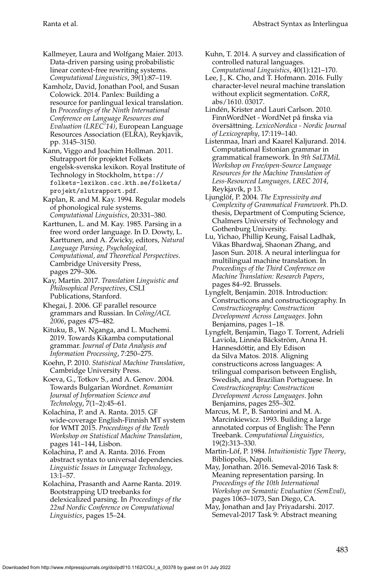Kallmeyer, Laura and Wolfgang Maier. 2013. Data-driven parsing using probabilistic linear context-free rewriting systems. *Computational Linguistics*, 39(1):87–119.

Kamholz, David, Jonathan Pool, and Susan Colowick. 2014. Panlex: Building a resource for panlingual lexical translation. In *Proceedings of the Ninth International Conference on Language Resources and Evaluation (LREC'14)*, European Language Resources Association (ELRA), Reykjavik, pp. 3145–3150.

Kann, Viggo and Joachim Hollman. 2011. Slutrapport för projektet Folkets engelsk-svenska lexikon. Royal Institute of Technology in Stockholm, [https://](https://folkets-lexikon.csc.kth.se/folkets/projekt/slutrapport.pdf) [folkets-lexikon.csc.kth.se/folkets/](https://folkets-lexikon.csc.kth.se/folkets/projekt/slutrapport.pdf) [projekt/slutrapport.pdf](https://folkets-lexikon.csc.kth.se/folkets/projekt/slutrapport.pdf).

Kaplan, R. and M. Kay. 1994. Regular models of phonological rule systems. *Computational Linguistics*, 20:331–380.

Karttunen, L. and M. Kay. 1985. Parsing in a free word order language. In D. Dowty, L. Karttunen, and A. Zwicky, editors, *Natural Language Parsing, Psychological, Computational, and Theoretical Perspectives*. Cambridge University Press, pages 279–306.

Kay, Martin. 2017. *Translation Linguistic and Philosophical Perspectives*, CSLI Publications, Stanford.

Khegai, J. 2006. GF parallel resource grammars and Russian. In *Coling/ACL 2006*, pages 475–482.

Kituku, B., W. Nganga, and L. Muchemi. 2019. Towards Kikamba computational grammar. *Journal of Data Analysis and Information Processing*, 7:250–275.

Koehn, P. 2010. *Statistical Machine Translation*, Cambridge University Press.

Koeva, G., Totkov S., and A. Genov. 2004. Towards Bulgarian Wordnet. *Romanian Journal of Information Science and Technology*, 7(1–2):45–61.

Kolachina, P. and A. Ranta. 2015. GF wide-coverage English-Finnish MT system for WMT 2015. *Proceedings of the Tenth Workshop on Statistical Machine Translation*, pages 141–144, Lisbon.

Kolachina, P. and A. Ranta. 2016. From abstract syntax to universal dependencies. *Linguistic Issues in Language Technology*, 13:1–57.

Kolachina, Prasanth and Aarne Ranta. 2019. Bootstrapping UD treebanks for delexicalized parsing. In *Proceedings of the 22nd Nordic Conference on Computational Linguistics*, pages 15–24.

Kuhn, T. 2014. A survey and classification of controlled natural languages. *Computational Linguistics*, 40(1):121–170.

Lee, J., K. Cho, and T. Hofmann. 2016. Fully character-level neural machine translation without explicit segmentation. *CoRR*, abs/1610. 03017.

Linden, Krister and Lauri Carlson. 2010. ´ FinnWordNet - WordNet på finska via översättning. LexicoNordica - Nordic Journal *of Lexicography*, 17:119–140.

Listenmaa, Inari and Kaarel Kaljurand. 2014. Computational Estonian grammar in grammatical framework. In *9th SaLTMiL Workshop on Free/open-Source Language Resources for the Machine Translation of Less-Resourced Languages, LREC 2014*, Reykjavík, p 13.

Ljunglöf, P. 2004. The Expressivity and *Complexity of Grammatical Framework*. Ph.D. thesis, Department of Computing Science, Chalmers University of Technology and Gothenburg University.

Lu, Yichao, Phillip Keung, Faisal Ladhak, Vikas Bhardwaj, Shaonan Zhang, and Jason Sun. 2018. A neural interlingua for multilingual machine translation. In *Proceedings of the Third Conference on Machine Translation: Research Papers*, pages 84–92. Brussels.

Lyngfelt, Benjamin. 2018. Introduction: Constructicons and constructicography. In *Constructicography: Constructicon Development Across Languages*. John Benjamins, pages 1–18.

Lyngfelt, Benjamin, Tiago T. Torrent, Adrieli Laviola, Linnéa Bäckström, Anna H. Hannesdóttir, and Ely Edison da Silva Matos. 2018. Aligning constructicons across languages: A trilingual comparison between English, Swedish, and Brazilian Portuguese. In *Constructicography: Constructicon Development Across Languages*. John Benjamins, pages 255–302.

Marcus, M. P., B. Santorini and M. A. Marcinkiewicz. 1993. Building a large annotated corpus of English: The Penn Treebank. *Computational Linguistics*, 19(2):313–330.

Martin-Löf, P. 1984. Intuitionistic Type Theory, Bibliopolis, Napoli.

May, Jonathan. 2016. Semeval-2016 Task 8: Meaning representation parsing. In *Proceedings of the 10th International Workshop on Semantic Evaluation (SemEval)*, pages 1063–1073, San Diego, CA.

May, Jonathan and Jay Priyadarshi. 2017. Semeval-2017 Task 9: Abstract meaning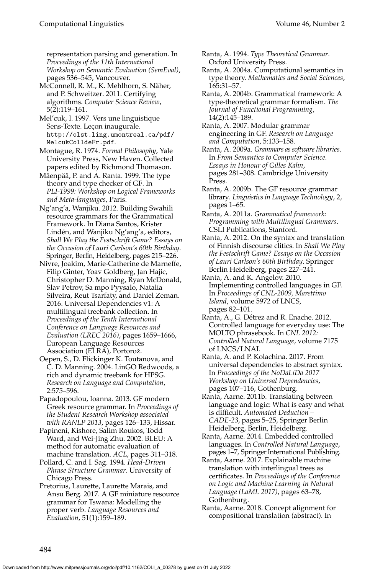representation parsing and generation. In *Proceedings of the 11th International Workshop on Semantic Evaluation (SemEval)*, pages 536–545, Vancouver.

McConnell, R. M., K. Mehlhorn, S. Naher, ¨ and P. Schweitzer. 2011. Certifying algorithms. *Computer Science Review*, 5(2):119–161.

Mel'cuk, I. 1997. Vers une linguistique Sens-Texte. Leçon inaugurale. [http://olst.ling.umontreal.ca/pdf/](http://olst.ling.umontreal.ca/pdf/MelcukColldeFr.pdf) [MelcukColldeFr.pdf](http://olst.ling.umontreal.ca/pdf/MelcukColldeFr.pdf).

Montague, R. 1974. *Formal Philosophy*, Yale University Press, New Haven. Collected papers edited by Richmond Thomason.

Mäenpää, P. and A. Ranta. 1999. The type theory and type checker of GF. In *PLI-1999: Workshop on Logical Frameworks and Meta-languages*, Paris.

Ng'ang'a, Wanjiku. 2012. Building Swahili resource grammars for the Grammatical Framework. In Diana Santos, Krister Lindén, and Wanjiku Ng'ang'a, editors, *Shall We Play the Festschrift Game? Essays on the Occasion of Lauri Carlson's 60th Birthday*. Springer, Berlin, Heidelberg, pages 215–226.

Nivre, Joakim, Marie-Catherine de Marneffe, Filip Ginter, Yoav Goldberg, Jan Hajic, Christopher D. Manning, Ryan McDonald, Slav Petrov, Sa mpo Pyysalo, Natalia Silveira, Reut Tsarfaty, and Daniel Zeman. 2016. Universal Dependencies v1: A multilingual treebank collection. In *Proceedings of the Tenth International Conference on Language Resources and Evaluation (LREC 2016)*, pages 1659–1666, European Language Resources Association (ELRA), Portorož.

Oepen, S., D. Flickinger K. Toutanova, and C. D. Manning. 2004. LinGO Redwoods, a rich and dynamic treebank for HPSG. *Research on Language and Computation*, 2:575–596.

Papadopoulou, Ioanna. 2013. GF modern Greek resource grammar. In *Proceedings of the Student Research Workshop associated with RANLP 2013*, pages 126–133, Hissar.

Papineni, Kishore, Salim Roukos, Todd Ward, and Wei-Jing Zhu. 2002. BLEU: A method for automatic evaluation of machine translation. *ACL*, pages 311–318.

Pollard, C. and I. Sag. 1994. *Head-Driven Phrase Structure Grammar*. University of Chicago Press.

Pretorius, Laurette, Laurette Marais, and Ansu Berg. 2017. A GF miniature resource grammar for Tswana: Modelling the proper verb. *Language Resources and Evaluation*, 51(1):159–189.

Ranta, A. 1994. *Type Theoretical Grammar*. Oxford University Press.

Ranta, A. 2004a. Computational semantics in type theory. *Mathematics and Social Sciences*, 165:31–57.

Ranta, A. 2004b. Grammatical framework: A type-theoretical grammar formalism. *The Journal of Functional Programming*, 14(2):145–189.

Ranta, A. 2007. Modular grammar engineering in GF. *Research on Language and Computation*, 5:133–158.

Ranta, A. 2009a. *Grammars as software libraries*. In *From Semantics to Computer Science. Essays in Honour of Gilles Kahn*, pages 281–308. Cambridge University Press.

Ranta, A. 2009b. The GF resource grammar library. *Linguistics in Language Technology*, 2, pages 1–65.

Ranta, A. 2011a. *Grammatical framework: Programming with Multilingual Grammars*. CSLI Publications, Stanford.

Ranta, A. 2012. On the syntax and translation of Finnish discourse clitics. In *Shall We Play the Festschrift Game? Essays on the Occasion of Lauri Carlson's 60th Birthday*. Springer Berlin Heidelberg, pages 227–241.

Ranta, A. and K. Angelov. 2010. Implementing controlled languages in GF. In *Proceedings of CNL-2009, Marettimo Island*, volume 5972 of LNCS, pages 82–101.

Ranta, A., G. Détrez and R. Enache. 2012. Controlled language for everyday use: The MOLTO phrasebook. In *CNL 2012: Controlled Natural Language*, volume 7175 of LNCS/LNAI.

Ranta, A. and P. Kolachina. 2017. From universal dependencies to abstract syntax. In *Proceedings of the NoDaLiDa 2017 Workshop on Universal Dependencies*, pages 107–116, Gothenburg.

Ranta, Aarne. 2011b. Translating between language and logic: What is easy and what is difficult. *Automated Deduction – CADE-23*, pages 5–25, Springer Berlin Heidelberg, Berlin, Heidelberg.

Ranta, Aarne. 2014. Embedded controlled languages. In *Controlled Natural Language*, pages 1–7, Springer International Publishing.

Ranta, Aarne. 2017. Explainable machine translation with interlingual trees as certificates. In *Proceedings of the Conference on Logic and Machine Learning in Natural Language (LaML 2017)*, pages 63–78, Gothenburg.

Ranta, Aarne. 2018. Concept alignment for compositional translation (abstract). In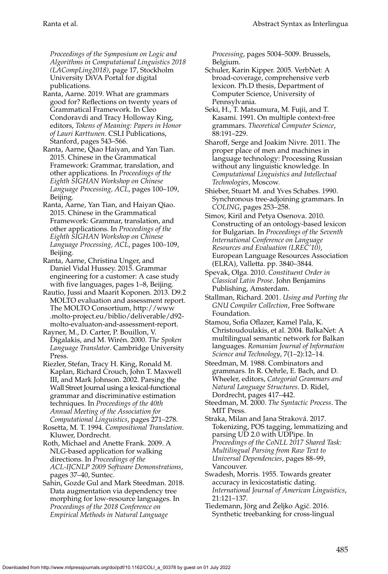*Proceedings of the Symposium on Logic and Algorithms in Computational Linguistics 2018 (LACompLing2018)*, page 17, Stockholm University DiVA Portal for digital publications.

- Ranta, Aarne. 2019. What are grammars good for? Reflections on twenty years of Grammatical Framework. In Cleo Condoravdi and Tracy Holloway King, editors, *Tokens of Meaning: Papers in Honor of Lauri Karttunen*. CSLI Publications, Stanford, pages 543–566.
- Ranta, Aarne, Qiao Haiyan, and Yan Tian. 2015. Chinese in the Grammatical Framework: Grammar, translation, and other applications. In *Proceedings of the Eighth SIGHAN Workshop on Chinese Language Processing, ACL*, pages 100–109, Beijing.
- Ranta, Aarne, Yan Tian, and Haiyan Qiao. 2015. Chinese in the Grammatical Framework: Grammar, translation, and other applications. In *Proceedings of the Eighth SIGHAN Workshop on Chinese Language Processing, ACL*, pages 100–109, Beijing.
- Ranta, Aarne, Christina Unger, and Daniel Vidal Hussey. 2015. Grammar engineering for a customer: A case study with five languages, pages 1–8, Beijing.
- Rautio, Jussi and Maarit Koponen. 2013. D9.2 MOLTO evaluation and assessment report. The MOLTO Consortium, [http://www](http://www.molto-project.eu/biblio/deliverable/d92-molto-evaluaton-and-assessment-report) [.molto-project.eu/biblio/deliverable/d92](http://www.molto-project.eu/biblio/deliverable/d92-molto-evaluaton-and-assessment-report) [molto-evaluaton-and-assessment-report.](http://www.molto-project.eu/biblio/deliverable/d92-molto-evaluaton-and-assessment-report)
- Rayner, M., D. Carter, P. Bouillon, V. Digalakis, and M. Wirén. 2000. The Spoken *Language Translator*. Cambridge University Press.
- Riezler, Stefan, Tracy H. King, Ronald M. Kaplan, Richard Crouch, John T. Maxwell III, and Mark Johnson. 2002. Parsing the Wall Street Journal using a lexical-functional grammar and discriminative estimation techniques. In *Proceedings of the 40th Annual Meeting of the Association for Computational Linguistics*, pages 271–278.
- Rosetta, M. T. 1994. *Compositional Translation*. Kluwer, Dordrecht.
- Roth, Michael and Anette Frank. 2009. A NLG-based application for walking directions. In *Proceedings of the ACL-IJCNLP 2009 Software Demonstrations*, pages 37–40, Suntec.
- Sahin, Gozde Gul and Mark Steedman. 2018. Data augmentation via dependency tree morphing for low-resource languages. In *Proceedings of the 2018 Conference on Empirical Methods in Natural Language*

*Processing*, pages 5004–5009. Brussels, Belgium.

- Schuler, Karin Kipper. 2005. VerbNet: A broad-coverage, comprehensive verb lexicon. Ph.D thesis, Department of Computer Science, University of Pennsylvania.
- Seki, H., T. Matsumura, M. Fujii, and T. Kasami. 1991. On multiple context-free grammars. *Theoretical Computer Science*, 88:191–229.
- Sharoff, Serge and Joakim Nivre. 2011. The proper place of men and machines in language technology: Processing Russian without any linguistic knowledge. In *Computational Linguistics and Intellectual Technologies*, Moscow.
- Shieber, Stuart M. and Yves Schabes. 1990. Synchronous tree-adjoining grammars. In *COLING*, pages 253–258.
- Simov, Kiril and Petya Osenova. 2010. Constructing of an ontology-based lexicon for Bulgarian. In *Proceedings of the Seventh International Conference on Language Resources and Evaluation (LREC'10)*, European Language Resources Association (ELRA), Valletta. pp. 3840–3844.
- Spevak, Olga. 2010. *Constituent Order in Classical Latin Prose*. John Benjamins Publishing, Amsterdam.
- Stallman, Richard. 2001. *Using and Porting the GNU Compiler Collection*, Free Software Foundation.
- Stamou, Sofia Oflazer, Kamel Pala, K. Christoudoulakis, et al. 2004. BalkaNet: A multilingual semantic network for Balkan languages. *Romanian Journal of Information Science and Technology*, 7(1–2):12–14.
- Steedman, M. 1988. Combinators and grammars. In R. Oehrle, E. Bach, and D. Wheeler, editors, *Categorial Grammars and Natural Language Structures*. D. Ridel, Dordrecht, pages 417–442.
- Steedman, M. 2000. *The Syntactic Process*. The MIT Press.
- Straka, Milan and Jana Straková. 2017. Tokenizing, POS tagging, lemmatizing and parsing UD 2.0 with UDPipe. In *Proceedings of the CoNLL 2017 Shared Task: Multilingual Parsing from Raw Text to Universal Dependencies*, pages 88–99, Vancouver.
- Swadesh, Morris. 1955. Towards greater accuracy in lexicostatistic dating. *International Journal of American Linguistics*, 21:121–137.
- Tiedemann, Jörg and Željko Agić. 2016. Synthetic treebanking for cross-lingual